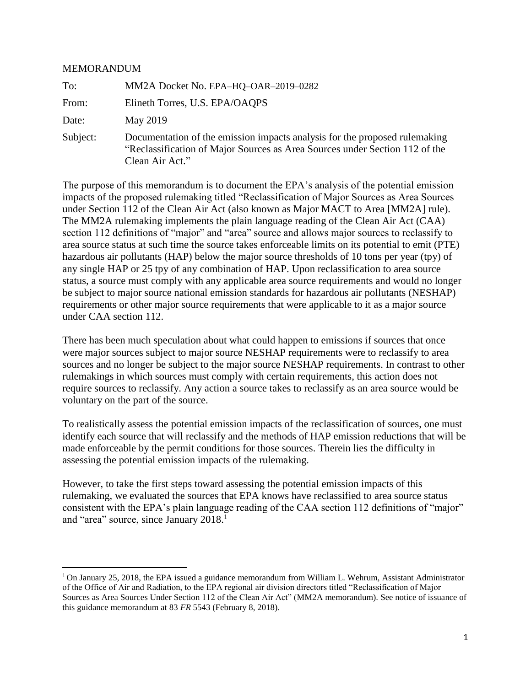#### **MEMORANDUM**

 $\overline{a}$ 

| To:      | MM2A Docket No. EPA-HQ-OAR-2019-0282                                                                                                                                         |
|----------|------------------------------------------------------------------------------------------------------------------------------------------------------------------------------|
| From:    | Elineth Torres, U.S. EPA/OAQPS                                                                                                                                               |
| Date:    | May 2019                                                                                                                                                                     |
| Subject: | Documentation of the emission impacts analysis for the proposed rulemaking<br>"Reclassification of Major Sources as Area Sources under Section 112 of the<br>Clean Air Act." |

The purpose of this memorandum is to document the EPA's analysis of the potential emission impacts of the proposed rulemaking titled "Reclassification of Major Sources as Area Sources under Section 112 of the Clean Air Act (also known as Major MACT to Area [MM2A] rule). The MM2A rulemaking implements the plain language reading of the Clean Air Act (CAA) section 112 definitions of "major" and "area" source and allows major sources to reclassify to area source status at such time the source takes enforceable limits on its potential to emit (PTE) hazardous air pollutants (HAP) below the major source thresholds of 10 tons per year (tpy) of any single HAP or 25 tpy of any combination of HAP. Upon reclassification to area source status, a source must comply with any applicable area source requirements and would no longer be subject to major source national emission standards for hazardous air pollutants (NESHAP) requirements or other major source requirements that were applicable to it as a major source under CAA section 112.

There has been much speculation about what could happen to emissions if sources that once were major sources subject to major source NESHAP requirements were to reclassify to area sources and no longer be subject to the major source NESHAP requirements. In contrast to other rulemakings in which sources must comply with certain requirements, this action does not require sources to reclassify. Any action a source takes to reclassify as an area source would be voluntary on the part of the source.

To realistically assess the potential emission impacts of the reclassification of sources, one must identify each source that will reclassify and the methods of HAP emission reductions that will be made enforceable by the permit conditions for those sources. Therein lies the difficulty in assessing the potential emission impacts of the rulemaking.

However, to take the first steps toward assessing the potential emission impacts of this rulemaking, we evaluated the sources that EPA knows have reclassified to area source status consistent with the EPA's plain language reading of the CAA section 112 definitions of "major" and "area" source, since January 2018.<sup>1</sup>

<sup>&</sup>lt;sup>1</sup> On January 25, 2018, the EPA issued a guidance memorandum from William L. Wehrum, Assistant Administrator of the Office of Air and Radiation, to the EPA regional air division directors titled "Reclassification of Major Sources as Area Sources Under Section 112 of the Clean Air Act" (MM2A memorandum). See notice of issuance of this guidance memorandum at 83 *FR* 5543 (February 8, 2018).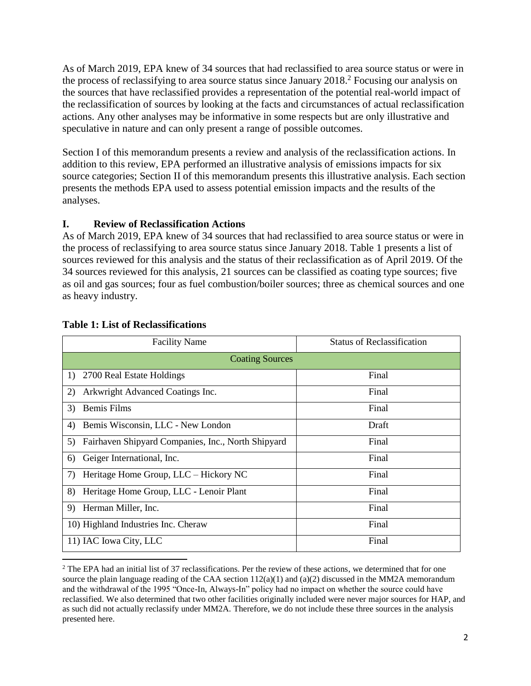As of March 2019, EPA knew of 34 sources that had reclassified to area source status or were in the process of reclassifying to area source status since January 2018.<sup>2</sup> Focusing our analysis on the sources that have reclassified provides a representation of the potential real-world impact of the reclassification of sources by looking at the facts and circumstances of actual reclassification actions. Any other analyses may be informative in some respects but are only illustrative and speculative in nature and can only present a range of possible outcomes.

Section I of this memorandum presents a review and analysis of the reclassification actions. In addition to this review, EPA performed an illustrative analysis of emissions impacts for six source categories; Section II of this memorandum presents this illustrative analysis. Each section presents the methods EPA used to assess potential emission impacts and the results of the analyses.

#### **I. Review of Reclassification Actions**

As of March 2019, EPA knew of 34 sources that had reclassified to area source status or were in the process of reclassifying to area source status since January 2018. Table 1 presents a list of sources reviewed for this analysis and the status of their reclassification as of April 2019. Of the 34 sources reviewed for this analysis, 21 sources can be classified as coating type sources; five as oil and gas sources; four as fuel combustion/boiler sources; three as chemical sources and one as heavy industry.

| <b>Facility Name</b>                                     | <b>Status of Reclassification</b> |  |  |  |  |  |
|----------------------------------------------------------|-----------------------------------|--|--|--|--|--|
| <b>Coating Sources</b>                                   |                                   |  |  |  |  |  |
| 2700 Real Estate Holdings<br>1)                          | Final                             |  |  |  |  |  |
| Arkwright Advanced Coatings Inc.<br>2)                   | Final                             |  |  |  |  |  |
| 3)<br>Bemis Films                                        | Final                             |  |  |  |  |  |
| Bemis Wisconsin, LLC - New London<br>4)                  | Draft                             |  |  |  |  |  |
| Fairhaven Shipyard Companies, Inc., North Shipyard<br>5) | Final                             |  |  |  |  |  |
| Geiger International, Inc.<br>6)                         | Final                             |  |  |  |  |  |
| Heritage Home Group, LLC – Hickory NC<br>7)              | Final                             |  |  |  |  |  |
| Heritage Home Group, LLC - Lenoir Plant<br>8)            | Final                             |  |  |  |  |  |
| Herman Miller, Inc.<br>9)                                | Final                             |  |  |  |  |  |
| 10) Highland Industries Inc. Cheraw                      | Final                             |  |  |  |  |  |
| 11) IAC Iowa City, LLC                                   | Final                             |  |  |  |  |  |

#### **Table 1: List of Reclassifications**

<sup>&</sup>lt;sup>2</sup> The EPA had an initial list of 37 reclassifications. Per the review of these actions, we determined that for one source the plain language reading of the CAA section  $112(a)(1)$  and  $(a)(2)$  discussed in the MM2A memorandum and the withdrawal of the 1995 "Once-In, Always-In" policy had no impact on whether the source could have reclassified. We also determined that two other facilities originally included were never major sources for HAP, and as such did not actually reclassify under MM2A. Therefore, we do not include these three sources in the analysis presented here.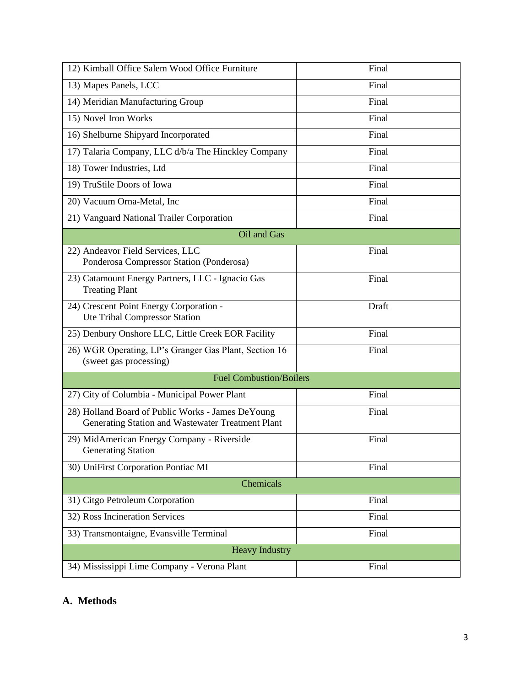| 12) Kimball Office Salem Wood Office Furniture                                                         | Final |  |  |  |  |  |  |
|--------------------------------------------------------------------------------------------------------|-------|--|--|--|--|--|--|
| 13) Mapes Panels, LCC                                                                                  | Final |  |  |  |  |  |  |
| 14) Meridian Manufacturing Group                                                                       | Final |  |  |  |  |  |  |
| 15) Novel Iron Works                                                                                   | Final |  |  |  |  |  |  |
| 16) Shelburne Shipyard Incorporated                                                                    | Final |  |  |  |  |  |  |
| 17) Talaria Company, LLC d/b/a The Hinckley Company                                                    | Final |  |  |  |  |  |  |
| 18) Tower Industries, Ltd                                                                              | Final |  |  |  |  |  |  |
| 19) TruStile Doors of Iowa                                                                             | Final |  |  |  |  |  |  |
| 20) Vacuum Orna-Metal, Inc                                                                             | Final |  |  |  |  |  |  |
| 21) Vanguard National Trailer Corporation                                                              | Final |  |  |  |  |  |  |
| Oil and Gas                                                                                            |       |  |  |  |  |  |  |
| 22) Andeavor Field Services, LLC<br>Ponderosa Compressor Station (Ponderosa)                           | Final |  |  |  |  |  |  |
| 23) Catamount Energy Partners, LLC - Ignacio Gas<br><b>Treating Plant</b>                              | Final |  |  |  |  |  |  |
| 24) Crescent Point Energy Corporation -<br>Ute Tribal Compressor Station                               | Draft |  |  |  |  |  |  |
| 25) Denbury Onshore LLC, Little Creek EOR Facility                                                     | Final |  |  |  |  |  |  |
| 26) WGR Operating, LP's Granger Gas Plant, Section 16<br>(sweet gas processing)                        | Final |  |  |  |  |  |  |
| <b>Fuel Combustion/Boilers</b>                                                                         |       |  |  |  |  |  |  |
| 27) City of Columbia - Municipal Power Plant                                                           | Final |  |  |  |  |  |  |
| 28) Holland Board of Public Works - James DeYoung<br>Generating Station and Wastewater Treatment Plant | Final |  |  |  |  |  |  |
| 29) MidAmerican Energy Company - Riverside<br><b>Generating Station</b>                                | Final |  |  |  |  |  |  |
| 30) UniFirst Corporation Pontiac MI                                                                    | Final |  |  |  |  |  |  |
| Chemicals                                                                                              |       |  |  |  |  |  |  |
| 31) Citgo Petroleum Corporation                                                                        | Final |  |  |  |  |  |  |
| 32) Ross Incineration Services                                                                         | Final |  |  |  |  |  |  |
| 33) Transmontaigne, Evansville Terminal                                                                | Final |  |  |  |  |  |  |
| <b>Heavy Industry</b>                                                                                  |       |  |  |  |  |  |  |
| 34) Mississippi Lime Company - Verona Plant                                                            | Final |  |  |  |  |  |  |

## **A. Methods**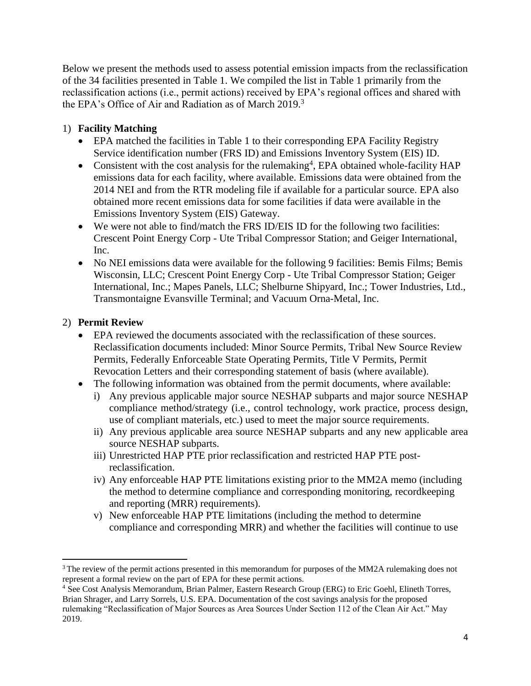Below we present the methods used to assess potential emission impacts from the reclassification of the 34 facilities presented in Table 1. We compiled the list in Table 1 primarily from the reclassification actions (i.e., permit actions) received by EPA's regional offices and shared with the EPA's Office of Air and Radiation as of March 2019. 3

#### 1) **Facility Matching**

- EPA matched the facilities in Table 1 to their corresponding EPA Facility Registry Service identification number (FRS ID) and Emissions Inventory System (EIS) ID.
- Consistent with the cost analysis for the rulemaking<sup>4</sup>, EPA obtained whole-facility HAP emissions data for each facility, where available. Emissions data were obtained from the 2014 NEI and from the RTR modeling file if available for a particular source. EPA also obtained more recent emissions data for some facilities if data were available in the Emissions Inventory System (EIS) Gateway.
- We were not able to find/match the FRS ID/EIS ID for the following two facilities: Crescent Point Energy Corp - Ute Tribal Compressor Station; and Geiger International, Inc.
- No NEI emissions data were available for the following 9 facilities: Bemis Films; Bemis Wisconsin, LLC; Crescent Point Energy Corp - Ute Tribal Compressor Station; Geiger International, Inc.; Mapes Panels, LLC; Shelburne Shipyard, Inc.; Tower Industries, Ltd., Transmontaigne Evansville Terminal; and Vacuum Orna-Metal, Inc.

#### 2) **Permit Review**

- EPA reviewed the documents associated with the reclassification of these sources. Reclassification documents included: Minor Source Permits, Tribal New Source Review Permits, Federally Enforceable State Operating Permits, Title V Permits, Permit Revocation Letters and their corresponding statement of basis (where available).
- The following information was obtained from the permit documents, where available:
	- i) Any previous applicable major source NESHAP subparts and major source NESHAP compliance method/strategy (i.e., control technology, work practice, process design, use of compliant materials, etc.) used to meet the major source requirements.
	- ii) Any previous applicable area source NESHAP subparts and any new applicable area source NESHAP subparts.
	- iii) Unrestricted HAP PTE prior reclassification and restricted HAP PTE postreclassification.
	- iv) Any enforceable HAP PTE limitations existing prior to the MM2A memo (including the method to determine compliance and corresponding monitoring, recordkeeping and reporting (MRR) requirements).
	- v) New enforceable HAP PTE limitations (including the method to determine compliance and corresponding MRR) and whether the facilities will continue to use

<sup>3</sup> The review of the permit actions presented in this memorandum for purposes of the MM2A rulemaking does not represent a formal review on the part of EPA for these permit actions.

<sup>4</sup> See Cost Analysis Memorandum, Brian Palmer, Eastern Research Group (ERG) to Eric Goehl, Elineth Torres, Brian Shrager, and Larry Sorrels, U.S. EPA. Documentation of the cost savings analysis for the proposed rulemaking "Reclassification of Major Sources as Area Sources Under Section 112 of the Clean Air Act." May 2019.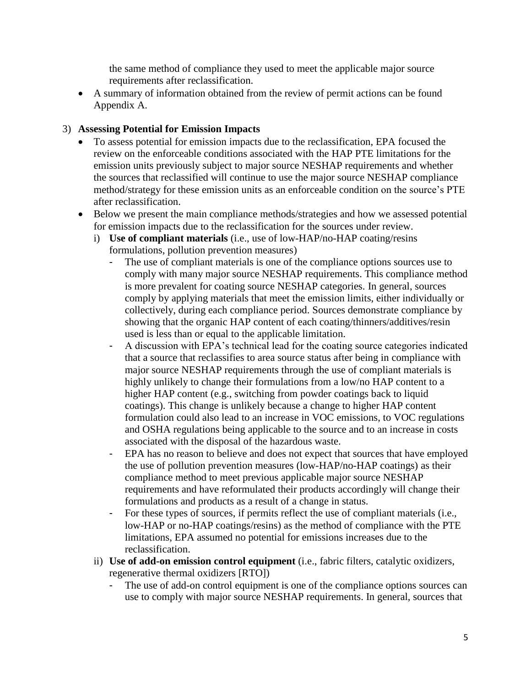the same method of compliance they used to meet the applicable major source requirements after reclassification.

• A summary of information obtained from the review of permit actions can be found Appendix A.

#### 3) **Assessing Potential for Emission Impacts**

- To assess potential for emission impacts due to the reclassification, EPA focused the review on the enforceable conditions associated with the HAP PTE limitations for the emission units previously subject to major source NESHAP requirements and whether the sources that reclassified will continue to use the major source NESHAP compliance method/strategy for these emission units as an enforceable condition on the source's PTE after reclassification.
- Below we present the main compliance methods/strategies and how we assessed potential for emission impacts due to the reclassification for the sources under review.
	- i) **Use of compliant materials** (i.e., use of low-HAP/no-HAP coating/resins formulations, pollution prevention measures)
		- The use of compliant materials is one of the compliance options sources use to comply with many major source NESHAP requirements. This compliance method is more prevalent for coating source NESHAP categories. In general, sources comply by applying materials that meet the emission limits, either individually or collectively, during each compliance period. Sources demonstrate compliance by showing that the organic HAP content of each coating/thinners/additives/resin used is less than or equal to the applicable limitation.
		- A discussion with EPA's technical lead for the coating source categories indicated that a source that reclassifies to area source status after being in compliance with major source NESHAP requirements through the use of compliant materials is highly unlikely to change their formulations from a low/no HAP content to a higher HAP content (e.g., switching from powder coatings back to liquid coatings). This change is unlikely because a change to higher HAP content formulation could also lead to an increase in VOC emissions, to VOC regulations and OSHA regulations being applicable to the source and to an increase in costs associated with the disposal of the hazardous waste.
		- EPA has no reason to believe and does not expect that sources that have employed the use of pollution prevention measures (low-HAP/no-HAP coatings) as their compliance method to meet previous applicable major source NESHAP requirements and have reformulated their products accordingly will change their formulations and products as a result of a change in status.
		- For these types of sources, if permits reflect the use of compliant materials (i.e.*,* low-HAP or no-HAP coatings/resins) as the method of compliance with the PTE limitations, EPA assumed no potential for emissions increases due to the reclassification.
	- ii) **Use of add-on emission control equipment** (i.e., fabric filters, catalytic oxidizers, regenerative thermal oxidizers [RTO])
		- The use of add-on control equipment is one of the compliance options sources can use to comply with major source NESHAP requirements. In general, sources that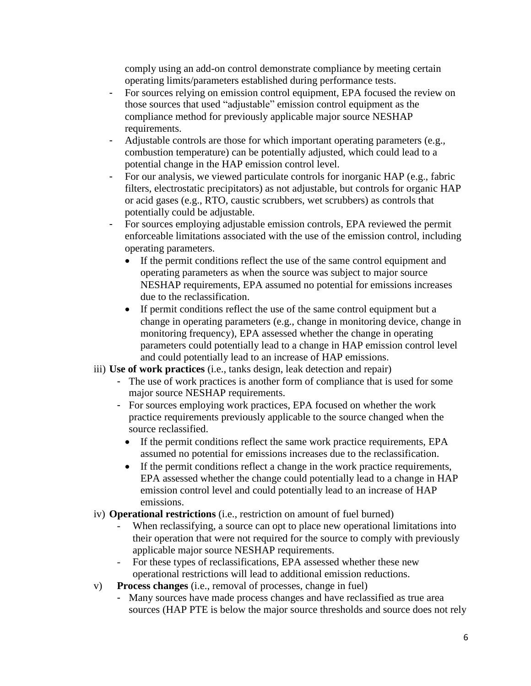comply using an add-on control demonstrate compliance by meeting certain operating limits/parameters established during performance tests.

- For sources relying on emission control equipment, EPA focused the review on those sources that used "adjustable" emission control equipment as the compliance method for previously applicable major source NESHAP requirements.
- Adjustable controls are those for which important operating parameters (e.g.*,* combustion temperature) can be potentially adjusted, which could lead to a potential change in the HAP emission control level.
- For our analysis, we viewed particulate controls for inorganic HAP (e.g., fabric filters, electrostatic precipitators) as not adjustable, but controls for organic HAP or acid gases (e.g., RTO, caustic scrubbers, wet scrubbers) as controls that potentially could be adjustable.
- For sources employing adjustable emission controls, EPA reviewed the permit enforceable limitations associated with the use of the emission control, including operating parameters.
	- If the permit conditions reflect the use of the same control equipment and operating parameters as when the source was subject to major source NESHAP requirements, EPA assumed no potential for emissions increases due to the reclassification.
	- If permit conditions reflect the use of the same control equipment but a change in operating parameters (e.g., change in monitoring device, change in monitoring frequency), EPA assessed whether the change in operating parameters could potentially lead to a change in HAP emission control level and could potentially lead to an increase of HAP emissions.
- iii) **Use of work practices** (i.e., tanks design, leak detection and repair)
	- The use of work practices is another form of compliance that is used for some major source NESHAP requirements.
	- For sources employing work practices, EPA focused on whether the work practice requirements previously applicable to the source changed when the source reclassified.
		- If the permit conditions reflect the same work practice requirements, EPA assumed no potential for emissions increases due to the reclassification.
		- If the permit conditions reflect a change in the work practice requirements, EPA assessed whether the change could potentially lead to a change in HAP emission control level and could potentially lead to an increase of HAP emissions.
- iv) **Operational restrictions** (i.e., restriction on amount of fuel burned)
	- When reclassifying, a source can opt to place new operational limitations into their operation that were not required for the source to comply with previously applicable major source NESHAP requirements.
	- For these types of reclassifications, EPA assessed whether these new operational restrictions will lead to additional emission reductions.
- v) **Process changes** (i.e., removal of processes, change in fuel)
	- Many sources have made process changes and have reclassified as true area sources (HAP PTE is below the major source thresholds and source does not rely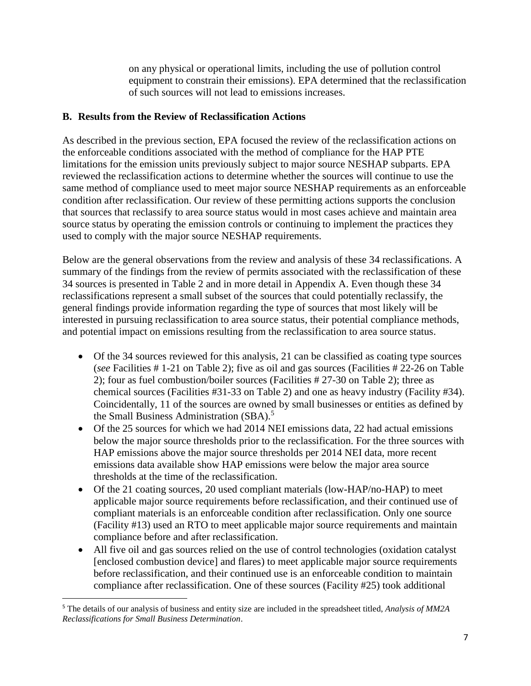on any physical or operational limits, including the use of pollution control equipment to constrain their emissions). EPA determined that the reclassification of such sources will not lead to emissions increases.

#### **B. Results from the Review of Reclassification Actions**

As described in the previous section, EPA focused the review of the reclassification actions on the enforceable conditions associated with the method of compliance for the HAP PTE limitations for the emission units previously subject to major source NESHAP subparts. EPA reviewed the reclassification actions to determine whether the sources will continue to use the same method of compliance used to meet major source NESHAP requirements as an enforceable condition after reclassification. Our review of these permitting actions supports the conclusion that sources that reclassify to area source status would in most cases achieve and maintain area source status by operating the emission controls or continuing to implement the practices they used to comply with the major source NESHAP requirements.

Below are the general observations from the review and analysis of these 34 reclassifications. A summary of the findings from the review of permits associated with the reclassification of these 34 sources is presented in Table 2 and in more detail in Appendix A. Even though these 34 reclassifications represent a small subset of the sources that could potentially reclassify, the general findings provide information regarding the type of sources that most likely will be interested in pursuing reclassification to area source status, their potential compliance methods, and potential impact on emissions resulting from the reclassification to area source status.

- Of the 34 sources reviewed for this analysis, 21 can be classified as coating type sources (*see* Facilities # 1-21 on Table 2); five as oil and gas sources (Facilities # 22-26 on Table 2); four as fuel combustion/boiler sources (Facilities # 27-30 on Table 2); three as chemical sources (Facilities #31-33 on Table 2) and one as heavy industry (Facility #34). Coincidentally, 11 of the sources are owned by small businesses or entities as defined by the Small Business Administration  $(SBA)$ <sup>5</sup>
- Of the 25 sources for which we had 2014 NEI emissions data, 22 had actual emissions below the major source thresholds prior to the reclassification. For the three sources with HAP emissions above the major source thresholds per 2014 NEI data, more recent emissions data available show HAP emissions were below the major area source thresholds at the time of the reclassification.
- Of the 21 coating sources, 20 used compliant materials (low-HAP/no-HAP) to meet applicable major source requirements before reclassification, and their continued use of compliant materials is an enforceable condition after reclassification. Only one source (Facility #13) used an RTO to meet applicable major source requirements and maintain compliance before and after reclassification.
- All five oil and gas sources relied on the use of control technologies (oxidation catalyst [enclosed combustion device] and flares) to meet applicable major source requirements before reclassification, and their continued use is an enforceable condition to maintain compliance after reclassification. One of these sources (Facility #25) took additional

l <sup>5</sup> The details of our analysis of business and entity size are included in the spreadsheet titled, *Analysis of MM2A Reclassifications for Small Business Determination*.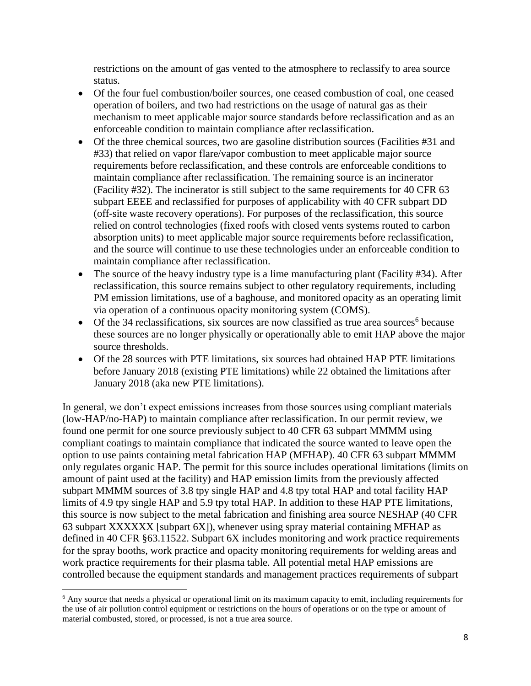restrictions on the amount of gas vented to the atmosphere to reclassify to area source status.

- Of the four fuel combustion/boiler sources, one ceased combustion of coal, one ceased operation of boilers, and two had restrictions on the usage of natural gas as their mechanism to meet applicable major source standards before reclassification and as an enforceable condition to maintain compliance after reclassification.
- Of the three chemical sources, two are gasoline distribution sources (Facilities #31 and #33) that relied on vapor flare/vapor combustion to meet applicable major source requirements before reclassification, and these controls are enforceable conditions to maintain compliance after reclassification. The remaining source is an incinerator (Facility #32). The incinerator is still subject to the same requirements for 40 CFR 63 subpart EEEE and reclassified for purposes of applicability with 40 CFR subpart DD (off-site waste recovery operations). For purposes of the reclassification, this source relied on control technologies (fixed roofs with closed vents systems routed to carbon absorption units) to meet applicable major source requirements before reclassification, and the source will continue to use these technologies under an enforceable condition to maintain compliance after reclassification.
- The source of the heavy industry type is a lime manufacturing plant (Facility #34). After reclassification, this source remains subject to other regulatory requirements, including PM emission limitations, use of a baghouse, and monitored opacity as an operating limit via operation of a continuous opacity monitoring system (COMS).
- Of the 34 reclassifications, six sources are now classified as true area sources<sup>6</sup> because these sources are no longer physically or operationally able to emit HAP above the major source thresholds.
- Of the 28 sources with PTE limitations, six sources had obtained HAP PTE limitations before January 2018 (existing PTE limitations) while 22 obtained the limitations after January 2018 (aka new PTE limitations).

In general, we don't expect emissions increases from those sources using compliant materials (low-HAP/no-HAP) to maintain compliance after reclassification. In our permit review, we found one permit for one source previously subject to 40 CFR 63 subpart MMMM using compliant coatings to maintain compliance that indicated the source wanted to leave open the option to use paints containing metal fabrication HAP (MFHAP). 40 CFR 63 subpart MMMM only regulates organic HAP. The permit for this source includes operational limitations (limits on amount of paint used at the facility) and HAP emission limits from the previously affected subpart MMMM sources of 3.8 tpy single HAP and 4.8 tpy total HAP and total facility HAP limits of 4.9 tpy single HAP and 5.9 tpy total HAP. In addition to these HAP PTE limitations, this source is now subject to the metal fabrication and finishing area source NESHAP (40 CFR 63 subpart XXXXXX [subpart 6X]), whenever using spray material containing MFHAP as defined in 40 CFR §63.11522. Subpart 6X includes monitoring and work practice requirements for the spray booths, work practice and opacity monitoring requirements for welding areas and work practice requirements for their plasma table. All potential metal HAP emissions are controlled because the equipment standards and management practices requirements of subpart

<sup>6</sup> Any source that needs a physical or operational limit on its maximum capacity to emit, including requirements for the use of air pollution control equipment or restrictions on the hours of operations or on the type or amount of material combusted, stored, or processed, is not a true area source.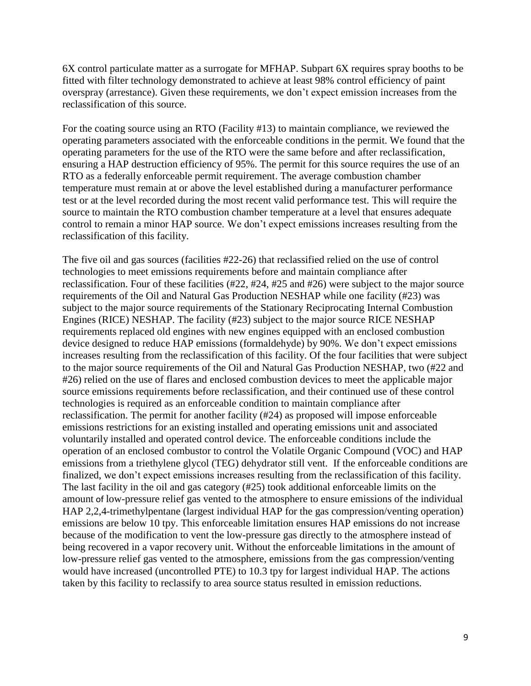6X control particulate matter as a surrogate for MFHAP. Subpart 6X requires spray booths to be fitted with filter technology demonstrated to achieve at least 98% control efficiency of paint overspray (arrestance). Given these requirements, we don't expect emission increases from the reclassification of this source.

For the coating source using an RTO (Facility #13) to maintain compliance, we reviewed the operating parameters associated with the enforceable conditions in the permit. We found that the operating parameters for the use of the RTO were the same before and after reclassification, ensuring a HAP destruction efficiency of 95%. The permit for this source requires the use of an RTO as a federally enforceable permit requirement. The average combustion chamber temperature must remain at or above the level established during a manufacturer performance test or at the level recorded during the most recent valid performance test. This will require the source to maintain the RTO combustion chamber temperature at a level that ensures adequate control to remain a minor HAP source. We don't expect emissions increases resulting from the reclassification of this facility.

The five oil and gas sources (facilities #22-26) that reclassified relied on the use of control technologies to meet emissions requirements before and maintain compliance after reclassification. Four of these facilities (#22, #24, #25 and #26) were subject to the major source requirements of the Oil and Natural Gas Production NESHAP while one facility (#23) was subject to the major source requirements of the Stationary Reciprocating Internal Combustion Engines (RICE) NESHAP. The facility (#23) subject to the major source RICE NESHAP requirements replaced old engines with new engines equipped with an enclosed combustion device designed to reduce HAP emissions (formaldehyde) by 90%. We don't expect emissions increases resulting from the reclassification of this facility. Of the four facilities that were subject to the major source requirements of the Oil and Natural Gas Production NESHAP, two (#22 and #26) relied on the use of flares and enclosed combustion devices to meet the applicable major source emissions requirements before reclassification, and their continued use of these control technologies is required as an enforceable condition to maintain compliance after reclassification. The permit for another facility (#24) as proposed will impose enforceable emissions restrictions for an existing installed and operating emissions unit and associated voluntarily installed and operated control device. The enforceable conditions include the operation of an enclosed combustor to control the Volatile Organic Compound (VOC) and HAP emissions from a triethylene glycol (TEG) dehydrator still vent. If the enforceable conditions are finalized, we don't expect emissions increases resulting from the reclassification of this facility. The last facility in the oil and gas category (#25) took additional enforceable limits on the amount of low-pressure relief gas vented to the atmosphere to ensure emissions of the individual HAP 2,2,4-trimethylpentane (largest individual HAP for the gas compression/venting operation) emissions are below 10 tpy. This enforceable limitation ensures HAP emissions do not increase because of the modification to vent the low-pressure gas directly to the atmosphere instead of being recovered in a vapor recovery unit. Without the enforceable limitations in the amount of low-pressure relief gas vented to the atmosphere, emissions from the gas compression/venting would have increased (uncontrolled PTE) to 10.3 tpy for largest individual HAP. The actions taken by this facility to reclassify to area source status resulted in emission reductions.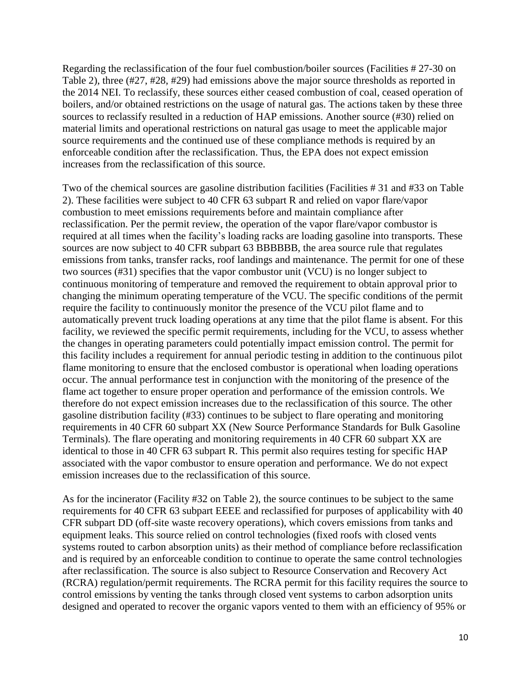Regarding the reclassification of the four fuel combustion/boiler sources (Facilities # 27-30 on Table 2), three (#27, #28, #29) had emissions above the major source thresholds as reported in the 2014 NEI. To reclassify, these sources either ceased combustion of coal, ceased operation of boilers, and/or obtained restrictions on the usage of natural gas. The actions taken by these three sources to reclassify resulted in a reduction of HAP emissions. Another source (#30) relied on material limits and operational restrictions on natural gas usage to meet the applicable major source requirements and the continued use of these compliance methods is required by an enforceable condition after the reclassification. Thus, the EPA does not expect emission increases from the reclassification of this source.

Two of the chemical sources are gasoline distribution facilities (Facilities # 31 and #33 on Table 2). These facilities were subject to 40 CFR 63 subpart R and relied on vapor flare/vapor combustion to meet emissions requirements before and maintain compliance after reclassification. Per the permit review, the operation of the vapor flare/vapor combustor is required at all times when the facility's loading racks are loading gasoline into transports. These sources are now subject to 40 CFR subpart 63 BBBBBB, the area source rule that regulates emissions from tanks, transfer racks, roof landings and maintenance. The permit for one of these two sources (#31) specifies that the vapor combustor unit (VCU) is no longer subject to continuous monitoring of temperature and removed the requirement to obtain approval prior to changing the minimum operating temperature of the VCU. The specific conditions of the permit require the facility to continuously monitor the presence of the VCU pilot flame and to automatically prevent truck loading operations at any time that the pilot flame is absent. For this facility, we reviewed the specific permit requirements, including for the VCU, to assess whether the changes in operating parameters could potentially impact emission control. The permit for this facility includes a requirement for annual periodic testing in addition to the continuous pilot flame monitoring to ensure that the enclosed combustor is operational when loading operations occur. The annual performance test in conjunction with the monitoring of the presence of the flame act together to ensure proper operation and performance of the emission controls. We therefore do not expect emission increases due to the reclassification of this source. The other gasoline distribution facility (#33) continues to be subject to flare operating and monitoring requirements in 40 CFR 60 subpart XX (New Source Performance Standards for Bulk Gasoline Terminals). The flare operating and monitoring requirements in 40 CFR 60 subpart XX are identical to those in 40 CFR 63 subpart R. This permit also requires testing for specific HAP associated with the vapor combustor to ensure operation and performance. We do not expect emission increases due to the reclassification of this source.

As for the incinerator (Facility #32 on Table 2), the source continues to be subject to the same requirements for 40 CFR 63 subpart EEEE and reclassified for purposes of applicability with 40 CFR subpart DD (off-site waste recovery operations), which covers emissions from tanks and equipment leaks. This source relied on control technologies (fixed roofs with closed vents systems routed to carbon absorption units) as their method of compliance before reclassification and is required by an enforceable condition to continue to operate the same control technologies after reclassification. The source is also subject to Resource Conservation and Recovery Act (RCRA) regulation/permit requirements. The RCRA permit for this facility requires the source to control emissions by venting the tanks through closed vent systems to carbon adsorption units designed and operated to recover the organic vapors vented to them with an efficiency of 95% or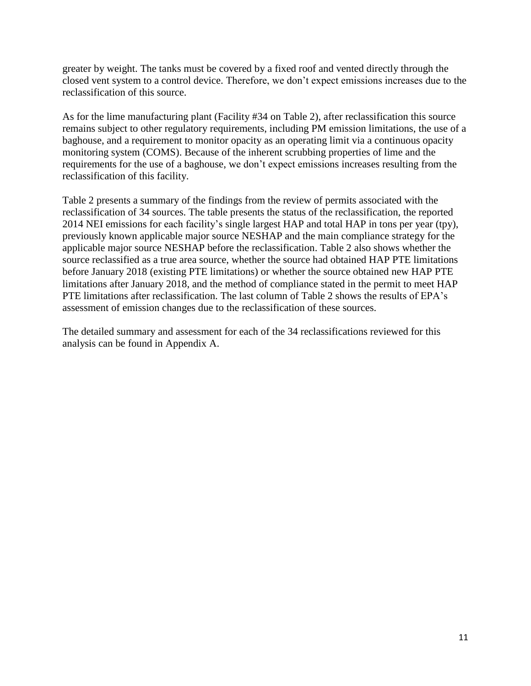greater by weight. The tanks must be covered by a fixed roof and vented directly through the closed vent system to a control device. Therefore, we don't expect emissions increases due to the reclassification of this source.

As for the lime manufacturing plant (Facility #34 on Table 2), after reclassification this source remains subject to other regulatory requirements, including PM emission limitations, the use of a baghouse, and a requirement to monitor opacity as an operating limit via a continuous opacity monitoring system (COMS). Because of the inherent scrubbing properties of lime and the requirements for the use of a baghouse, we don't expect emissions increases resulting from the reclassification of this facility.

Table 2 presents a summary of the findings from the review of permits associated with the reclassification of 34 sources. The table presents the status of the reclassification, the reported 2014 NEI emissions for each facility's single largest HAP and total HAP in tons per year (tpy), previously known applicable major source NESHAP and the main compliance strategy for the applicable major source NESHAP before the reclassification. Table 2 also shows whether the source reclassified as a true area source, whether the source had obtained HAP PTE limitations before January 2018 (existing PTE limitations) or whether the source obtained new HAP PTE limitations after January 2018, and the method of compliance stated in the permit to meet HAP PTE limitations after reclassification. The last column of Table 2 shows the results of EPA's assessment of emission changes due to the reclassification of these sources.

The detailed summary and assessment for each of the 34 reclassifications reviewed for this analysis can be found in Appendix A.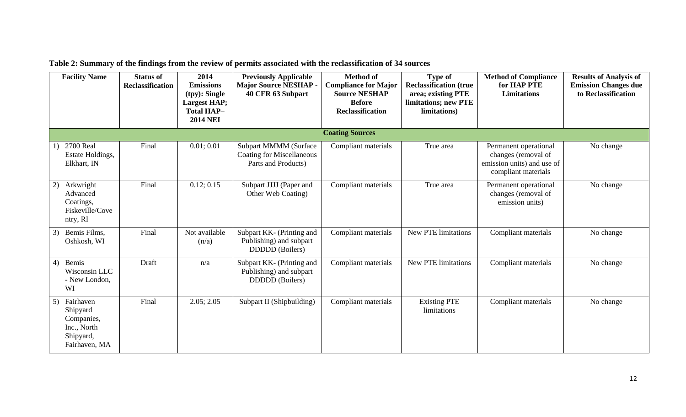|    | <b>Facility Name</b>                                                             | <b>Status of</b><br><b>Reclassification</b> | 2014<br><b>Emissions</b><br>$(tpy)$ : Single<br><b>Largest HAP;</b><br><b>Total HAP-</b><br><b>2014 NEI</b> | <b>Previously Applicable</b><br><b>Major Source NESHAP -</b><br>40 CFR 63 Subpart | <b>Method of</b><br><b>Compliance for Major</b><br><b>Source NESHAP</b><br><b>Before</b><br><b>Reclassification</b> | <b>Type of</b><br><b>Reclassification (true</b><br>area; existing PTE<br>limitations; new PTE<br>limitations) | <b>Method of Compliance</b><br>for HAP PTE<br><b>Limitations</b>                                  | <b>Results of Analysis of</b><br><b>Emission Changes due</b><br>to Reclassification |
|----|----------------------------------------------------------------------------------|---------------------------------------------|-------------------------------------------------------------------------------------------------------------|-----------------------------------------------------------------------------------|---------------------------------------------------------------------------------------------------------------------|---------------------------------------------------------------------------------------------------------------|---------------------------------------------------------------------------------------------------|-------------------------------------------------------------------------------------|
|    |                                                                                  |                                             |                                                                                                             |                                                                                   | <b>Coating Sources</b>                                                                                              |                                                                                                               |                                                                                                   |                                                                                     |
| 1) | 2700 Real<br>Estate Holdings,<br>Elkhart, IN                                     | Final                                       | 0.01; 0.01                                                                                                  | Subpart MMMM (Surface<br><b>Coating for Miscellaneous</b><br>Parts and Products)  | Compliant materials                                                                                                 | True area                                                                                                     | Permanent operational<br>changes (removal of<br>emission units) and use of<br>compliant materials | No change                                                                           |
| 2) | Arkwright<br>Advanced<br>Coatings,<br>Fiskeville/Cove<br>ntry, RI                | Final                                       | 0.12; 0.15                                                                                                  | Subpart JJJJ (Paper and<br>Other Web Coating)                                     | Compliant materials                                                                                                 | True area                                                                                                     | Permanent operational<br>changes (removal of<br>emission units)                                   | No change                                                                           |
| 3) | Bemis Films,<br>Oshkosh, WI                                                      | Final                                       | Not available<br>(n/a)                                                                                      | Subpart KK- (Printing and<br>Publishing) and subpart<br><b>DDDDD</b> (Boilers)    | Compliant materials                                                                                                 | <b>New PTE limitations</b>                                                                                    | Compliant materials                                                                               | No change                                                                           |
| 4) | Bemis<br>Wisconsin LLC<br>- New London,<br>WI                                    | Draft                                       | n/a                                                                                                         | Subpart KK- (Printing and<br>Publishing) and subpart<br><b>DDDDD</b> (Boilers)    | Compliant materials                                                                                                 | New PTE limitations                                                                                           | Compliant materials                                                                               | No change                                                                           |
| 5) | Fairhaven<br>Shipyard<br>Companies,<br>Inc., North<br>Shipyard,<br>Fairhaven, MA | Final                                       | 2.05; 2.05                                                                                                  | Subpart II (Shipbuilding)                                                         | Compliant materials                                                                                                 | <b>Existing PTE</b><br>limitations                                                                            | Compliant materials                                                                               | No change                                                                           |

**Table 2: Summary of the findings from the review of permits associated with the reclassification of 34 sources**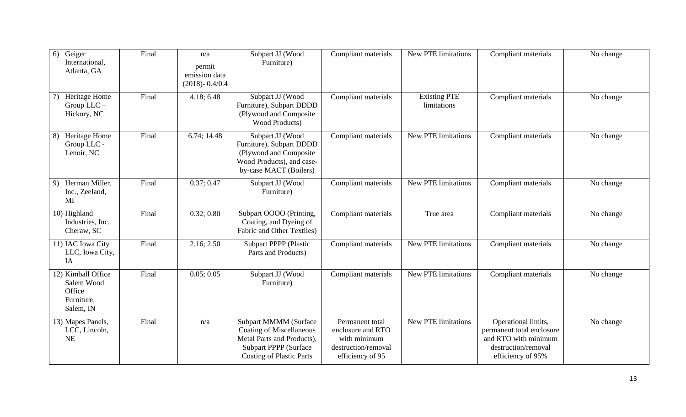| 6) Geiger<br>International,<br>Atlanta, GA                            | Final | n/a<br>permit<br>emission data<br>$(2018) - 0.4/0.4$ | Subpart JJ (Wood<br>Furniture)                                                                                                                     | Compliant materials                                                                             | New PTE limitations                | Compliant materials                                                                                                  | No change |
|-----------------------------------------------------------------------|-------|------------------------------------------------------|----------------------------------------------------------------------------------------------------------------------------------------------------|-------------------------------------------------------------------------------------------------|------------------------------------|----------------------------------------------------------------------------------------------------------------------|-----------|
| Heritage Home<br>7)<br>Group LLC -<br>Hickory, NC                     | Final | 4.18; 6.48                                           | Subpart JJ (Wood<br>Furniture), Subpart DDDD<br>(Plywood and Composite<br>Wood Products)                                                           | Compliant materials                                                                             | <b>Existing PTE</b><br>limitations | Compliant materials                                                                                                  | No change |
| Heritage Home<br>8)<br>Group LLC -<br>Lenoir, NC                      | Final | 6.74; 14.48                                          | Subpart JJ (Wood<br>Furniture), Subpart DDDD<br>(Plywood and Composite<br>Wood Products), and case-<br>by-case MACT (Boilers)                      | Compliant materials                                                                             | New PTE limitations                | Compliant materials                                                                                                  | No change |
| 9) Herman Miller,<br>Inc., Zeeland,<br>MI                             | Final | 0.37; 0.47                                           | Subpart JJ (Wood<br>Furniture)                                                                                                                     | Compliant materials                                                                             | <b>New PTE limitations</b>         | Compliant materials                                                                                                  | No change |
| 10) Highland<br>Industries, Inc.<br>Cheraw, SC                        | Final | 0.32; 0.80                                           | Subpart OOOO (Printing,<br>Coating, and Dyeing of<br>Fabric and Other Textiles)                                                                    | Compliant materials                                                                             | True area                          | Compliant materials                                                                                                  | No change |
| 11) IAC Iowa City<br>LLC, Iowa City,<br>IA                            | Final | 2.16; 2.50                                           | <b>Subpart PPPP (Plastic</b><br>Parts and Products)                                                                                                | Compliant materials                                                                             | <b>New PTE limitations</b>         | Compliant materials                                                                                                  | No change |
| 12) Kimball Office<br>Salem Wood<br>Office<br>Furniture,<br>Salem, IN | Final | 0.05; 0.05                                           | Subpart JJ (Wood<br>Furniture)                                                                                                                     | Compliant materials                                                                             | <b>New PTE limitations</b>         | Compliant materials                                                                                                  | No change |
| 13) Mapes Panels,<br>LCC, Lincoln,<br><b>NE</b>                       | Final | n/a                                                  | Subpart MMMM (Surface<br><b>Coating of Miscellaneous</b><br>Metal Parts and Products),<br>Subpart PPPP (Surface<br><b>Coating of Plastic Parts</b> | Permanent total<br>enclosure and RTO<br>with minimum<br>destruction/removal<br>efficiency of 95 | New PTE limitations                | Operational limits,<br>permanent total enclosure<br>and RTO with minimum<br>destruction/removal<br>efficiency of 95% | No change |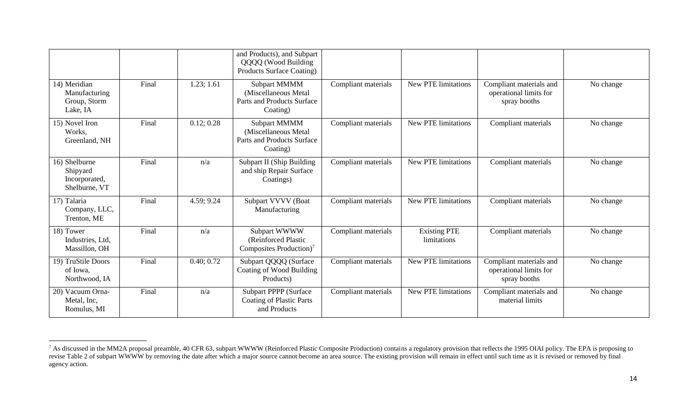|                                                             |       |            | and Products), and Subpart<br>QQQQ (Wood Building<br>Products Surface Coating)  |                     |                                    |                                                                   |           |
|-------------------------------------------------------------|-------|------------|---------------------------------------------------------------------------------|---------------------|------------------------------------|-------------------------------------------------------------------|-----------|
| 14) Meridian<br>Manufacturing<br>Group, Storm<br>Lake, IA   | Final | 1.23; 1.61 | Subpart MMMM<br>(Miscellaneous Metal<br>Parts and Products Surface<br>Coating)  | Compliant materials | New PTE limitations                | Compliant materials and<br>operational limits for<br>spray booths | No change |
| 15) Novel Iron<br>Works,<br>Greenland, NH                   | Final | 0.12; 0.28 | Subpart MMMM<br>(Miscellaneous Metal<br>Parts and Products Surface<br>Coating)  | Compliant materials | <b>New PTE limitations</b>         | Compliant materials                                               | No change |
| 16) Shelburne<br>Shipyard<br>Incorporated,<br>Shelburne, VT | Final | n/a        | Subpart II (Ship Building<br>and ship Repair Surface<br>Coatings)               | Compliant materials | New PTE limitations                | Compliant materials                                               | No change |
| 17) Talaria<br>Company, LLC,<br>Trenton, ME                 | Final | 4.59; 9.24 | Subpart VVVV (Boat<br>Manufacturing                                             | Compliant materials | New PTE limitations                | Compliant materials                                               | No change |
| 18) Tower<br>Industries, Ltd,<br>Massillon, OH              | Final | n/a        | Subpart WWWW<br>(Reinforced Plastic<br>Composites Production) <sup>7</sup>      | Compliant materials | <b>Existing PTE</b><br>limitations | Compliant materials                                               | No change |
| 19) TruStile Doors<br>of Iowa,<br>Northwood, IA             | Final | 0.40; 0.72 | Subpart QQQQ (Surface<br>Coating of Wood Building<br>Products)                  | Compliant materials | New PTE limitations                | Compliant materials and<br>operational limits for<br>spray booths | No change |
| 20) Vacuum Orna-<br>Metal, Inc.<br>Romulus, MI              | Final | n/a        | <b>Subpart PPPP (Surface</b><br><b>Coating of Plastic Parts</b><br>and Products | Compliant materials | New PTE limitations                | Compliant materials and<br>material limits                        | No change |

<sup>&</sup>lt;sup>7</sup> As discussed in the MM2A proposal preamble, 40 CFR 63, subpart WWWW (Reinforced Plastic Composite Production) contains a regulatory provision that reflects the 1995 OIAI policy. The EPA is proposing to revise Table 2 of subpart WWWW by removing the date after which a major source cannot become an area source. The existing provision will remain in effect until such time as it is revised or removed by final agency action.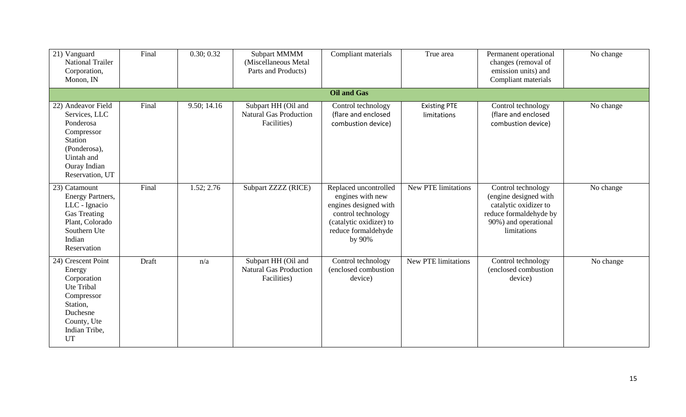| 21) Vanguard<br><b>National Trailer</b><br>Corporation,<br>Monon, IN                                                                              | Final | 0.30; 0.32  | Subpart MMMM<br>(Miscellaneous Metal<br>Parts and Products)         | Compliant materials                                                                                                                                  | True area                          | Permanent operational<br>changes (removal of<br>emission units) and<br>Compliant materials                                            | No change |
|---------------------------------------------------------------------------------------------------------------------------------------------------|-------|-------------|---------------------------------------------------------------------|------------------------------------------------------------------------------------------------------------------------------------------------------|------------------------------------|---------------------------------------------------------------------------------------------------------------------------------------|-----------|
|                                                                                                                                                   |       |             |                                                                     | <b>Oil and Gas</b>                                                                                                                                   |                                    |                                                                                                                                       |           |
| 22) Andeavor Field<br>Services, LLC<br>Ponderosa<br>Compressor<br><b>Station</b><br>(Ponderosa),<br>Uintah and<br>Ouray Indian<br>Reservation, UT | Final | 9.50; 14.16 | Subpart HH (Oil and<br><b>Natural Gas Production</b><br>Facilities) | Control technology<br>(flare and enclosed<br>combustion device)                                                                                      | <b>Existing PTE</b><br>limitations | Control technology<br>(flare and enclosed<br>combustion device)                                                                       | No change |
| 23) Catamount<br>Energy Partners,<br>LLC - Ignacio<br><b>Gas Treating</b><br>Plant, Colorado<br>Southern Ute<br>Indian<br>Reservation             | Final | 1.52; 2.76  | Subpart ZZZZ (RICE)                                                 | Replaced uncontrolled<br>engines with new<br>engines designed with<br>control technology<br>(catalytic oxidizer) to<br>reduce formaldehyde<br>by 90% | New PTE limitations                | Control technology<br>(engine designed with<br>catalytic oxidizer to<br>reduce formaldehyde by<br>90%) and operational<br>limitations | No change |
| 24) Crescent Point<br>Energy<br>Corporation<br>Ute Tribal<br>Compressor<br>Station,<br>Duchesne<br>County, Ute<br>Indian Tribe,<br><b>UT</b>      | Draft | n/a         | Subpart HH (Oil and<br><b>Natural Gas Production</b><br>Facilities) | Control technology<br>(enclosed combustion<br>device)                                                                                                | New PTE limitations                | Control technology<br>(enclosed combustion<br>device)                                                                                 | No change |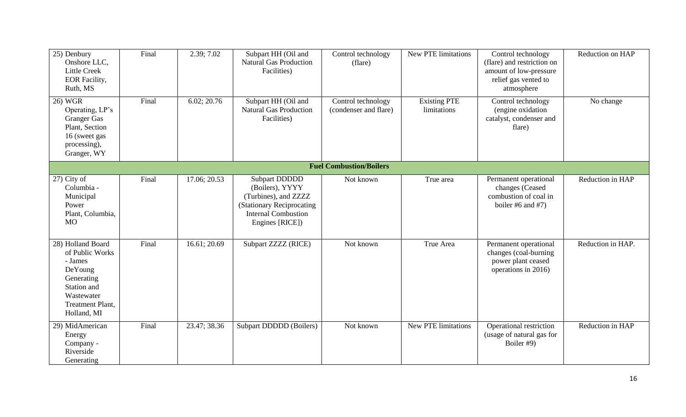| 25) Denbury<br>Onshore LLC,<br><b>Little Creek</b><br><b>EOR</b> Facility,<br>Ruth, MS                                                          | Final | 2.39; 7.02   | Subpart HH (Oil and<br><b>Natural Gas Production</b><br>Facilities)                                                                           | Control technology<br>(flare)               | New PTE limitations                | Control technology<br>(flare) and restriction on<br>amount of low-pressure<br>relief gas vented to<br>atmosphere | Reduction on HAP  |  |  |  |
|-------------------------------------------------------------------------------------------------------------------------------------------------|-------|--------------|-----------------------------------------------------------------------------------------------------------------------------------------------|---------------------------------------------|------------------------------------|------------------------------------------------------------------------------------------------------------------|-------------------|--|--|--|
| 26) WGR<br>Operating, LP's<br><b>Granger Gas</b><br>Plant, Section<br>16 (sweet gas<br>processing),<br>Granger, WY                              | Final | 6.02; 20.76  | Subpart HH (Oil and<br><b>Natural Gas Production</b><br>Facilities)                                                                           | Control technology<br>(condenser and flare) | <b>Existing PTE</b><br>limitations | Control technology<br>(engine oxidation<br>catalyst, condenser and<br>flare)                                     | No change         |  |  |  |
| <b>Fuel Combustion/Boilers</b>                                                                                                                  |       |              |                                                                                                                                               |                                             |                                    |                                                                                                                  |                   |  |  |  |
| 27) City of<br>Columbia -<br>Municipal<br>Power<br>Plant, Columbia,<br><b>MO</b>                                                                | Final | 17.06; 20.53 | <b>Subpart DDDDD</b><br>(Boilers), YYYY<br>(Turbines), and ZZZZ<br>(Stationary Reciprocating<br><b>Internal Combustion</b><br>Engines [RICE]) | Not known                                   | True area                          | Permanent operational<br>changes (Ceased<br>combustion of coal in<br>boiler #6 and #7)                           | Reduction in HAP  |  |  |  |
| 28) Holland Board<br>of Public Works<br>- James<br>DeYoung<br>Generating<br>Station and<br>Wastewater<br><b>Treatment Plant,</b><br>Holland, MI | Final | 16.61; 20.69 | Subpart ZZZZ (RICE)                                                                                                                           | Not known                                   | True Area                          | Permanent operational<br>changes (coal-burning<br>power plant ceased<br>operations in 2016)                      | Reduction in HAP. |  |  |  |
| 29) MidAmerican<br>Energy<br>Company -<br>Riverside<br>Generating                                                                               | Final | 23.47; 38.36 | <b>Subpart DDDDD</b> (Boilers)                                                                                                                | Not known                                   | <b>New PTE limitations</b>         | Operational restriction<br>(usage of natural gas for<br>Boiler #9)                                               | Reduction in HAP  |  |  |  |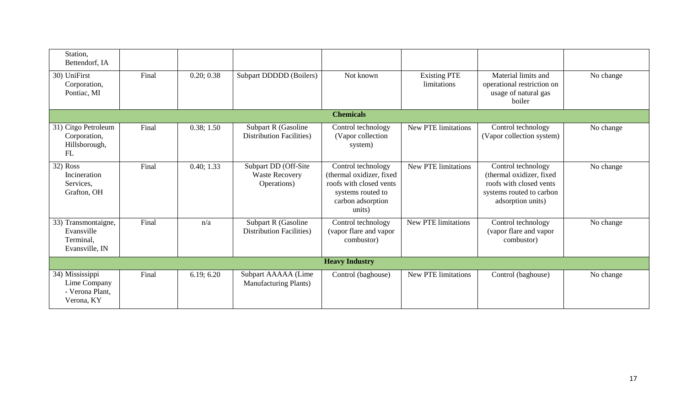| Station,<br>Bettendorf, IA                                       |       |            |                                                              |                                                                                                                               |                                    |                                                                                                                            |           |
|------------------------------------------------------------------|-------|------------|--------------------------------------------------------------|-------------------------------------------------------------------------------------------------------------------------------|------------------------------------|----------------------------------------------------------------------------------------------------------------------------|-----------|
| 30) UniFirst<br>Corporation,<br>Pontiac, MI                      | Final | 0.20; 0.38 | Subpart DDDDD (Boilers)                                      | Not known                                                                                                                     | <b>Existing PTE</b><br>limitations | Material limits and<br>operational restriction on<br>usage of natural gas<br>boiler                                        | No change |
|                                                                  |       |            |                                                              | <b>Chemicals</b>                                                                                                              |                                    |                                                                                                                            |           |
| 31) Citgo Petroleum<br>Corporation,<br>Hillsborough,<br>FL       | Final | 0.38; 1.50 | Subpart R (Gasoline<br><b>Distribution Facilities</b> )      | Control technology<br>(Vapor collection<br>system)                                                                            | New PTE limitations                | Control technology<br>(Vapor collection system)                                                                            | No change |
| 32) Ross<br>Incineration<br>Services,<br>Grafton, OH             | Final | 0.40; 1.33 | Subpart DD (Off-Site<br><b>Waste Recovery</b><br>Operations) | Control technology<br>(thermal oxidizer, fixed<br>roofs with closed vents<br>systems routed to<br>carbon adsorption<br>units) | New PTE limitations                | Control technology<br>(thermal oxidizer, fixed<br>roofs with closed vents<br>systems routed to carbon<br>adsorption units) | No change |
| 33) Transmontaigne,<br>Evansville<br>Terminal,<br>Evansville, IN | Final | n/a        | Subpart R (Gasoline<br><b>Distribution Facilities</b> )      | Control technology<br>(vapor flare and vapor<br>combustor)                                                                    | New PTE limitations                | Control technology<br>(vapor flare and vapor<br>combustor)                                                                 | No change |
|                                                                  |       |            |                                                              | <b>Heavy Industry</b>                                                                                                         |                                    |                                                                                                                            |           |
| 34) Mississippi<br>Lime Company<br>- Verona Plant,<br>Verona, KY | Final | 6.19; 6.20 | Subpart AAAAA (Lime<br><b>Manufacturing Plants</b> )         | Control (baghouse)                                                                                                            | New PTE limitations                | Control (baghouse)                                                                                                         | No change |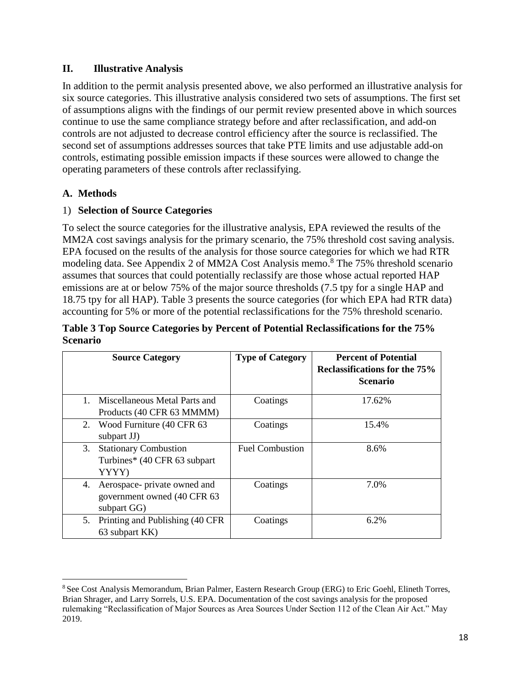#### **II. Illustrative Analysis**

In addition to the permit analysis presented above, we also performed an illustrative analysis for six source categories. This illustrative analysis considered two sets of assumptions. The first set of assumptions aligns with the findings of our permit review presented above in which sources continue to use the same compliance strategy before and after reclassification, and add-on controls are not adjusted to decrease control efficiency after the source is reclassified. The second set of assumptions addresses sources that take PTE limits and use adjustable add-on controls, estimating possible emission impacts if these sources were allowed to change the operating parameters of these controls after reclassifying.

#### **A. Methods**

 $\overline{a}$ 

#### 1) **Selection of Source Categories**

To select the source categories for the illustrative analysis, EPA reviewed the results of the MM2A cost savings analysis for the primary scenario, the 75% threshold cost saving analysis. EPA focused on the results of the analysis for those source categories for which we had RTR modeling data. See Appendix 2 of MM2A Cost Analysis memo.<sup>8</sup> The 75% threshold scenario assumes that sources that could potentially reclassify are those whose actual reported HAP emissions are at or below 75% of the major source thresholds (7.5 tpy for a single HAP and 18.75 tpy for all HAP). Table 3 presents the source categories (for which EPA had RTR data) accounting for 5% or more of the potential reclassifications for the 75% threshold scenario.

#### **Table 3 Top Source Categories by Percent of Potential Reclassifications for the 75% Scenario**

|         | <b>Source Category</b>                                                      | <b>Type of Category</b> | <b>Percent of Potential</b><br><b>Reclassifications for the 75%</b><br><b>Scenario</b> |
|---------|-----------------------------------------------------------------------------|-------------------------|----------------------------------------------------------------------------------------|
| $1_{-}$ | Miscellaneous Metal Parts and<br>Products (40 CFR 63 MMMM)                  | Coatings                | 17.62%                                                                                 |
|         | 2. Wood Furniture (40 CFR 63)<br>subpart JJ)                                | Coatings                | 15.4%                                                                                  |
| 3.      | <b>Stationary Combustion</b><br>Turbines* (40 CFR 63 subpart<br>YYYY)       | <b>Fuel Combustion</b>  | 8.6%                                                                                   |
| 4.      | Aerospace- private owned and<br>government owned (40 CFR 63)<br>subpart GG) | Coatings                | 7.0%                                                                                   |
|         | 5. Printing and Publishing (40 CFR)<br>63 subpart KK)                       | Coatings                | 6.2%                                                                                   |

<sup>8</sup> See Cost Analysis Memorandum, Brian Palmer, Eastern Research Group (ERG) to Eric Goehl, Elineth Torres, Brian Shrager, and Larry Sorrels, U.S. EPA. Documentation of the cost savings analysis for the proposed rulemaking "Reclassification of Major Sources as Area Sources Under Section 112 of the Clean Air Act." May 2019.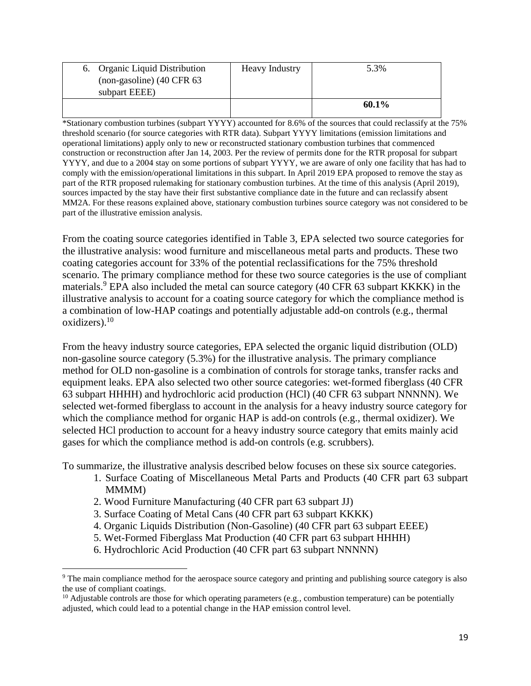| 6. Organic Liquid Distribution<br>$non-gasoline$ ) (40 CFR 63 | <b>Heavy Industry</b> | 5.3%     |
|---------------------------------------------------------------|-----------------------|----------|
| subpart EEEE)                                                 |                       |          |
|                                                               |                       | $60.1\%$ |

\*Stationary combustion turbines (subpart YYYY) accounted for 8.6% of the sources that could reclassify at the 75% threshold scenario (for source categories with RTR data). Subpart YYYY limitations (emission limitations and operational limitations) apply only to new or reconstructed stationary combustion turbines that commenced construction or reconstruction after Jan 14, 2003. Per the review of permits done for the RTR proposal for subpart YYYY, and due to a 2004 stay on some portions of subpart YYYY, we are aware of only one facility that has had to comply with the emission/operational limitations in this subpart. In April 2019 EPA proposed to remove the stay as part of the RTR proposed rulemaking for stationary combustion turbines. At the time of this analysis (April 2019), sources impacted by the stay have their first substantive compliance date in the future and can reclassify absent MM2A. For these reasons explained above, stationary combustion turbines source category was not considered to be part of the illustrative emission analysis.

From the coating source categories identified in Table 3, EPA selected two source categories for the illustrative analysis: wood furniture and miscellaneous metal parts and products. These two coating categories account for 33% of the potential reclassifications for the 75% threshold scenario. The primary compliance method for these two source categories is the use of compliant materials.<sup>9</sup> EPA also included the metal can source category (40 CFR 63 subpart KKKK) in the illustrative analysis to account for a coating source category for which the compliance method is a combination of low-HAP coatings and potentially adjustable add-on controls (e.g., thermal oxidizers). $10$ 

From the heavy industry source categories, EPA selected the organic liquid distribution (OLD) non-gasoline source category (5.3%) for the illustrative analysis. The primary compliance method for OLD non-gasoline is a combination of controls for storage tanks, transfer racks and equipment leaks. EPA also selected two other source categories: wet-formed fiberglass (40 CFR 63 subpart HHHH) and hydrochloric acid production (HCl) (40 CFR 63 subpart NNNNN). We selected wet-formed fiberglass to account in the analysis for a heavy industry source category for which the compliance method for organic HAP is add-on controls (e.g., thermal oxidizer). We selected HCl production to account for a heavy industry source category that emits mainly acid gases for which the compliance method is add-on controls (e.g. scrubbers).

To summarize, the illustrative analysis described below focuses on these six source categories.

- 1. Surface Coating of Miscellaneous Metal Parts and Products (40 CFR part 63 subpart MMM<sub>)</sub>
- 2. Wood Furniture Manufacturing (40 CFR part 63 subpart JJ)

l

- 3. Surface Coating of Metal Cans (40 CFR part 63 subpart KKKK)
- 4. Organic Liquids Distribution (Non-Gasoline) (40 CFR part 63 subpart EEEE)
- 5. Wet-Formed Fiberglass Mat Production (40 CFR part 63 subpart HHHH)
- 6. Hydrochloric Acid Production (40 CFR part 63 subpart NNNNN)

<sup>&</sup>lt;sup>9</sup> The main compliance method for the aerospace source category and printing and publishing source category is also the use of compliant coatings.

<sup>10</sup> Adjustable controls are those for which operating parameters (e.g.*,* combustion temperature) can be potentially adjusted, which could lead to a potential change in the HAP emission control level.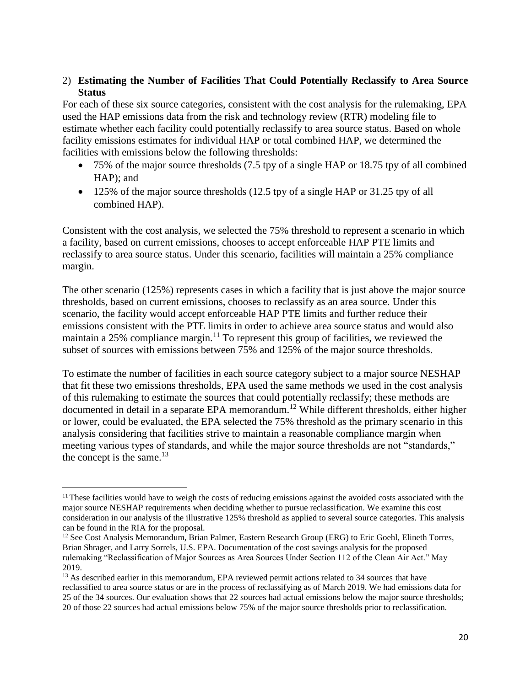#### 2) **Estimating the Number of Facilities That Could Potentially Reclassify to Area Source Status**

For each of these six source categories, consistent with the cost analysis for the rulemaking, EPA used the HAP emissions data from the risk and technology review (RTR) modeling file to estimate whether each facility could potentially reclassify to area source status. Based on whole facility emissions estimates for individual HAP or total combined HAP, we determined the facilities with emissions below the following thresholds:

- 75% of the major source thresholds (7.5 tpy of a single HAP or 18.75 tpy of all combined HAP); and
- 125% of the major source thresholds  $(12.5$  tpy of a single HAP or 31.25 tpy of all combined HAP).

Consistent with the cost analysis, we selected the 75% threshold to represent a scenario in which a facility, based on current emissions, chooses to accept enforceable HAP PTE limits and reclassify to area source status. Under this scenario, facilities will maintain a 25% compliance margin.

The other scenario (125%) represents cases in which a facility that is just above the major source thresholds, based on current emissions, chooses to reclassify as an area source. Under this scenario, the facility would accept enforceable HAP PTE limits and further reduce their emissions consistent with the PTE limits in order to achieve area source status and would also maintain a 25% compliance margin.<sup>11</sup> To represent this group of facilities, we reviewed the subset of sources with emissions between 75% and 125% of the major source thresholds.

To estimate the number of facilities in each source category subject to a major source NESHAP that fit these two emissions thresholds, EPA used the same methods we used in the cost analysis of this rulemaking to estimate the sources that could potentially reclassify; these methods are documented in detail in a separate EPA memorandum.<sup>12</sup> While different thresholds, either higher or lower, could be evaluated, the EPA selected the 75% threshold as the primary scenario in this analysis considering that facilities strive to maintain a reasonable compliance margin when meeting various types of standards, and while the major source thresholds are not "standards," the concept is the same. $13$ 

 $<sup>11</sup>$  These facilities would have to weigh the costs of reducing emissions against the avoided costs associated with the</sup> major source NESHAP requirements when deciding whether to pursue reclassification. We examine this cost consideration in our analysis of the illustrative 125% threshold as applied to several source categories. This analysis can be found in the RIA for the proposal.

<sup>&</sup>lt;sup>12</sup> See Cost Analysis Memorandum, Brian Palmer, Eastern Research Group (ERG) to Eric Goehl, Elineth Torres, Brian Shrager, and Larry Sorrels, U.S. EPA. Documentation of the cost savings analysis for the proposed rulemaking "Reclassification of Major Sources as Area Sources Under Section 112 of the Clean Air Act." May 2019.

<sup>&</sup>lt;sup>13</sup> As described earlier in this memorandum, EPA reviewed permit actions related to 34 sources that have reclassified to area source status or are in the process of reclassifying as of March 2019. We had emissions data for 25 of the 34 sources. Our evaluation shows that 22 sources had actual emissions below the major source thresholds; 20 of those 22 sources had actual emissions below 75% of the major source thresholds prior to reclassification.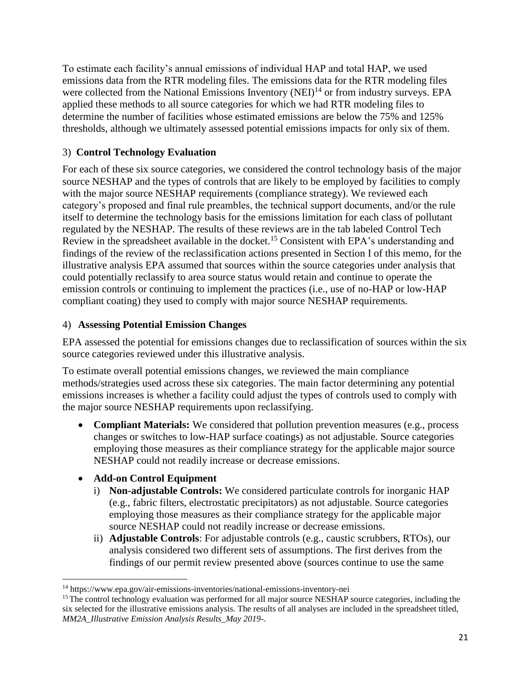To estimate each facility's annual emissions of individual HAP and total HAP, we used emissions data from the RTR modeling files. The emissions data for the RTR modeling files were collected from the National Emissions Inventory  $(NEI)^{14}$  or from industry surveys. EPA applied these methods to all source categories for which we had RTR modeling files to determine the number of facilities whose estimated emissions are below the 75% and 125% thresholds, although we ultimately assessed potential emissions impacts for only six of them.

## 3) **Control Technology Evaluation**

For each of these six source categories, we considered the control technology basis of the major source NESHAP and the types of controls that are likely to be employed by facilities to comply with the major source NESHAP requirements (compliance strategy). We reviewed each category's proposed and final rule preambles, the technical support documents, and/or the rule itself to determine the technology basis for the emissions limitation for each class of pollutant regulated by the NESHAP. The results of these reviews are in the tab labeled Control Tech Review in the spreadsheet available in the docket.<sup>15</sup> Consistent with EPA's understanding and findings of the review of the reclassification actions presented in Section I of this memo, for the illustrative analysis EPA assumed that sources within the source categories under analysis that could potentially reclassify to area source status would retain and continue to operate the emission controls or continuing to implement the practices (i.e., use of no-HAP or low-HAP compliant coating) they used to comply with major source NESHAP requirements.

## 4) **Assessing Potential Emission Changes**

EPA assessed the potential for emissions changes due to reclassification of sources within the six source categories reviewed under this illustrative analysis.

To estimate overall potential emissions changes, we reviewed the main compliance methods/strategies used across these six categories. The main factor determining any potential emissions increases is whether a facility could adjust the types of controls used to comply with the major source NESHAP requirements upon reclassifying.

• **Compliant Materials:** We considered that pollution prevention measures (e.g., process changes or switches to low-HAP surface coatings) as not adjustable. Source categories employing those measures as their compliance strategy for the applicable major source NESHAP could not readily increase or decrease emissions.

## • **Add-on Control Equipment**

- i) **Non-adjustable Controls:** We considered particulate controls for inorganic HAP (e.g., fabric filters, electrostatic precipitators) as not adjustable. Source categories employing those measures as their compliance strategy for the applicable major source NESHAP could not readily increase or decrease emissions.
- ii) **Adjustable Controls**: For adjustable controls (e.g., caustic scrubbers, RTOs), our analysis considered two different sets of assumptions. The first derives from the findings of our permit review presented above (sources continue to use the same

 $\overline{a}$ <sup>14</sup> https://www.epa.gov/air-emissions-inventories/national-emissions-inventory-nei

<sup>&</sup>lt;sup>15</sup> The control technology evaluation was performed for all major source NESHAP source categories, including the six selected for the illustrative emissions analysis. The results of all analyses are included in the spreadsheet titled, *MM2A\_Illustrative Emission Analysis Results\_May 2019-*.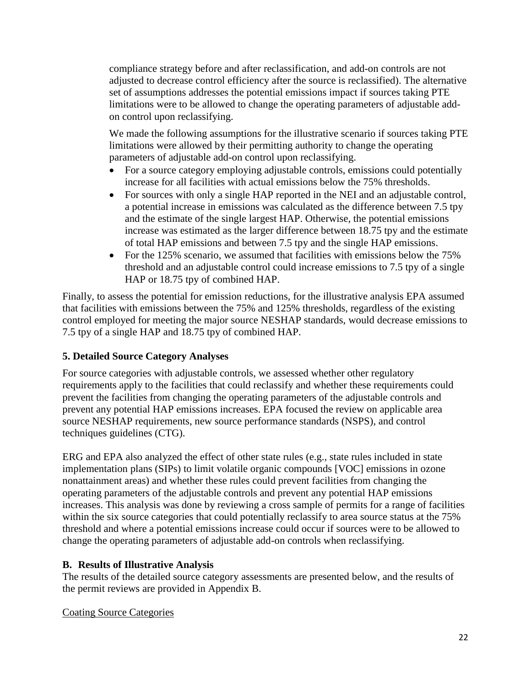compliance strategy before and after reclassification, and add-on controls are not adjusted to decrease control efficiency after the source is reclassified). The alternative set of assumptions addresses the potential emissions impact if sources taking PTE limitations were to be allowed to change the operating parameters of adjustable addon control upon reclassifying.

We made the following assumptions for the illustrative scenario if sources taking PTE limitations were allowed by their permitting authority to change the operating parameters of adjustable add-on control upon reclassifying.

- For a source category employing adjustable controls, emissions could potentially increase for all facilities with actual emissions below the 75% thresholds.
- For sources with only a single HAP reported in the NEI and an adjustable control, a potential increase in emissions was calculated as the difference between 7.5 tpy and the estimate of the single largest HAP. Otherwise, the potential emissions increase was estimated as the larger difference between 18.75 tpy and the estimate of total HAP emissions and between 7.5 tpy and the single HAP emissions.
- For the 125% scenario, we assumed that facilities with emissions below the 75% threshold and an adjustable control could increase emissions to 7.5 tpy of a single HAP or 18.75 tpy of combined HAP.

Finally, to assess the potential for emission reductions, for the illustrative analysis EPA assumed that facilities with emissions between the 75% and 125% thresholds, regardless of the existing control employed for meeting the major source NESHAP standards, would decrease emissions to 7.5 tpy of a single HAP and 18.75 tpy of combined HAP.

## **5. Detailed Source Category Analyses**

For source categories with adjustable controls, we assessed whether other regulatory requirements apply to the facilities that could reclassify and whether these requirements could prevent the facilities from changing the operating parameters of the adjustable controls and prevent any potential HAP emissions increases. EPA focused the review on applicable area source NESHAP requirements, new source performance standards (NSPS), and control techniques guidelines (CTG).

ERG and EPA also analyzed the effect of other state rules (e.g.*,* state rules included in state implementation plans (SIPs) to limit volatile organic compounds [VOC] emissions in ozone nonattainment areas) and whether these rules could prevent facilities from changing the operating parameters of the adjustable controls and prevent any potential HAP emissions increases. This analysis was done by reviewing a cross sample of permits for a range of facilities within the six source categories that could potentially reclassify to area source status at the  $75\%$ threshold and where a potential emissions increase could occur if sources were to be allowed to change the operating parameters of adjustable add-on controls when reclassifying.

#### **B. Results of Illustrative Analysis**

The results of the detailed source category assessments are presented below, and the results of the permit reviews are provided in Appendix B.

## Coating Source Categories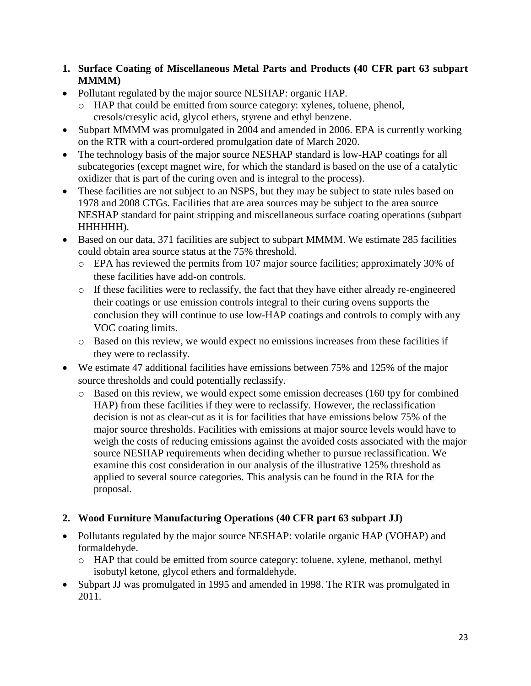- **1. Surface Coating of Miscellaneous Metal Parts and Products (40 CFR part 63 subpart MMMM)**
- Pollutant regulated by the major source NESHAP: organic HAP.
	- o HAP that could be emitted from source category: xylenes, toluene, phenol, cresols/cresylic acid, glycol ethers, styrene and ethyl benzene.
- Subpart MMMM was promulgated in 2004 and amended in 2006. EPA is currently working on the RTR with a court-ordered promulgation date of March 2020.
- The technology basis of the major source NESHAP standard is low-HAP coatings for all subcategories (except magnet wire, for which the standard is based on the use of a catalytic oxidizer that is part of the curing oven and is integral to the process).
- These facilities are not subject to an NSPS, but they may be subject to state rules based on 1978 and 2008 CTGs. Facilities that are area sources may be subject to the area source NESHAP standard for paint stripping and miscellaneous surface coating operations (subpart HHHHHH).
- Based on our data, 371 facilities are subject to subpart MMMM. We estimate 285 facilities could obtain area source status at the 75% threshold.
	- o EPA has reviewed the permits from 107 major source facilities; approximately 30% of these facilities have add-on controls.
	- o If these facilities were to reclassify, the fact that they have either already re-engineered their coatings or use emission controls integral to their curing ovens supports the conclusion they will continue to use low-HAP coatings and controls to comply with any VOC coating limits.
	- o Based on this review, we would expect no emissions increases from these facilities if they were to reclassify.
- We estimate 47 additional facilities have emissions between 75% and 125% of the major source thresholds and could potentially reclassify.
	- o Based on this review, we would expect some emission decreases (160 tpy for combined HAP) from these facilities if they were to reclassify. However, the reclassification decision is not as clear-cut as it is for facilities that have emissions below 75% of the major source thresholds. Facilities with emissions at major source levels would have to weigh the costs of reducing emissions against the avoided costs associated with the major source NESHAP requirements when deciding whether to pursue reclassification. We examine this cost consideration in our analysis of the illustrative 125% threshold as applied to several source categories. This analysis can be found in the RIA for the proposal.

## **2. Wood Furniture Manufacturing Operations (40 CFR part 63 subpart JJ)**

- Pollutants regulated by the major source NESHAP: volatile organic HAP (VOHAP) and formaldehyde.
	- o HAP that could be emitted from source category: toluene, xylene, methanol, methyl isobutyl ketone, glycol ethers and formaldehyde.
- Subpart JJ was promulgated in 1995 and amended in 1998. The RTR was promulgated in 2011.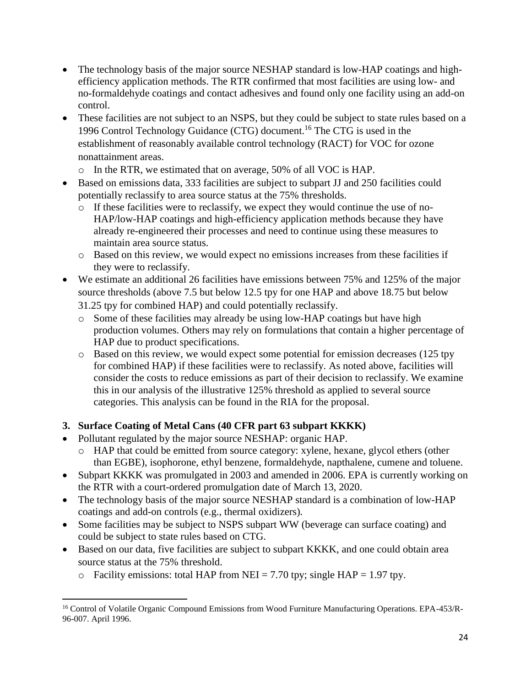- The technology basis of the major source NESHAP standard is low-HAP coatings and highefficiency application methods. The RTR confirmed that most facilities are using low- and no-formaldehyde coatings and contact adhesives and found only one facility using an add-on control.
- These facilities are not subject to an NSPS, but they could be subject to state rules based on a 1996 Control Technology Guidance (CTG) document. <sup>16</sup> The CTG is used in the establishment of reasonably available control technology (RACT) for VOC for ozone nonattainment areas.
	- o In the RTR, we estimated that on average, 50% of all VOC is HAP.
- Based on emissions data, 333 facilities are subject to subpart JJ and 250 facilities could potentially reclassify to area source status at the 75% thresholds.
	- o If these facilities were to reclassify, we expect they would continue the use of no-HAP/low-HAP coatings and high-efficiency application methods because they have already re-engineered their processes and need to continue using these measures to maintain area source status.
	- o Based on this review, we would expect no emissions increases from these facilities if they were to reclassify.
- We estimate an additional 26 facilities have emissions between 75% and 125% of the major source thresholds (above 7.5 but below 12.5 tpy for one HAP and above 18.75 but below 31.25 tpy for combined HAP) and could potentially reclassify.
	- o Some of these facilities may already be using low-HAP coatings but have high production volumes. Others may rely on formulations that contain a higher percentage of HAP due to product specifications.
	- o Based on this review, we would expect some potential for emission decreases (125 tpy for combined HAP) if these facilities were to reclassify. As noted above, facilities will consider the costs to reduce emissions as part of their decision to reclassify. We examine this in our analysis of the illustrative 125% threshold as applied to several source categories. This analysis can be found in the RIA for the proposal.

## **3. Surface Coating of Metal Cans (40 CFR part 63 subpart KKKK)**

• Pollutant regulated by the major source NESHAP: organic HAP.

 $\overline{a}$ 

- o HAP that could be emitted from source category: xylene, hexane, glycol ethers (other than EGBE), isophorone, ethyl benzene, formaldehyde, napthalene, cumene and toluene.
- Subpart KKKK was promulgated in 2003 and amended in 2006. EPA is currently working on the RTR with a court-ordered promulgation date of March 13, 2020.
- The technology basis of the major source NESHAP standard is a combination of low-HAP coatings and add-on controls (e.g., thermal oxidizers).
- Some facilities may be subject to NSPS subpart WW (beverage can surface coating) and could be subject to state rules based on CTG.
- Based on our data, five facilities are subject to subpart KKKK, and one could obtain area source status at the 75% threshold.
	- $\circ$  Facility emissions: total HAP from NEI = 7.70 tpy; single HAP = 1.97 tpy.

<sup>&</sup>lt;sup>16</sup> Control of Volatile Organic Compound Emissions from Wood Furniture Manufacturing Operations. EPA-453/R-96-007. April 1996.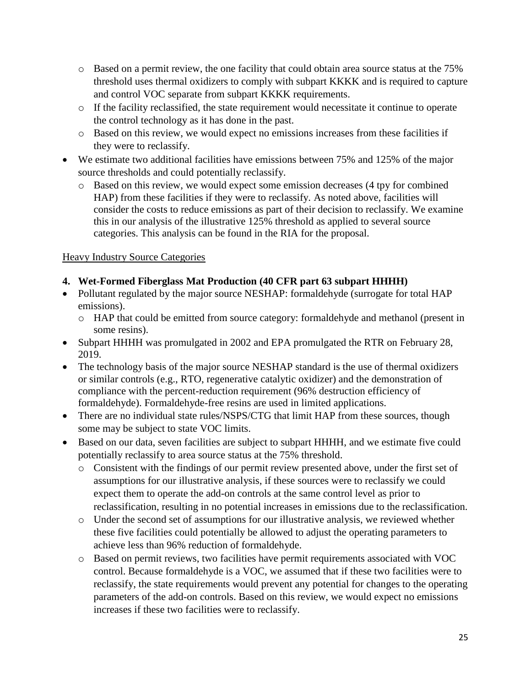- o Based on a permit review, the one facility that could obtain area source status at the 75% threshold uses thermal oxidizers to comply with subpart KKKK and is required to capture and control VOC separate from subpart KKKK requirements.
- o If the facility reclassified, the state requirement would necessitate it continue to operate the control technology as it has done in the past.
- o Based on this review, we would expect no emissions increases from these facilities if they were to reclassify.
- We estimate two additional facilities have emissions between 75% and 125% of the major source thresholds and could potentially reclassify.
	- o Based on this review, we would expect some emission decreases (4 tpy for combined HAP) from these facilities if they were to reclassify. As noted above, facilities will consider the costs to reduce emissions as part of their decision to reclassify. We examine this in our analysis of the illustrative 125% threshold as applied to several source categories. This analysis can be found in the RIA for the proposal.

## Heavy Industry Source Categories

## **4. Wet-Formed Fiberglass Mat Production (40 CFR part 63 subpart HHHH)**

- Pollutant regulated by the major source NESHAP: formaldehyde (surrogate for total HAP emissions).
	- o HAP that could be emitted from source category: formaldehyde and methanol (present in some resins).
- Subpart HHHH was promulgated in 2002 and EPA promulgated the RTR on February 28, 2019.
- The technology basis of the major source NESHAP standard is the use of thermal oxidizers or similar controls (e.g., RTO, regenerative catalytic oxidizer) and the demonstration of compliance with the percent-reduction requirement (96% destruction efficiency of formaldehyde). Formaldehyde-free resins are used in limited applications.
- There are no individual state rules/NSPS/CTG that limit HAP from these sources, though some may be subject to state VOC limits.
- Based on our data, seven facilities are subject to subpart HHHH, and we estimate five could potentially reclassify to area source status at the 75% threshold.
	- o Consistent with the findings of our permit review presented above, under the first set of assumptions for our illustrative analysis, if these sources were to reclassify we could expect them to operate the add-on controls at the same control level as prior to reclassification, resulting in no potential increases in emissions due to the reclassification.
	- o Under the second set of assumptions for our illustrative analysis, we reviewed whether these five facilities could potentially be allowed to adjust the operating parameters to achieve less than 96% reduction of formaldehyde.
	- o Based on permit reviews, two facilities have permit requirements associated with VOC control. Because formaldehyde is a VOC, we assumed that if these two facilities were to reclassify, the state requirements would prevent any potential for changes to the operating parameters of the add-on controls. Based on this review, we would expect no emissions increases if these two facilities were to reclassify.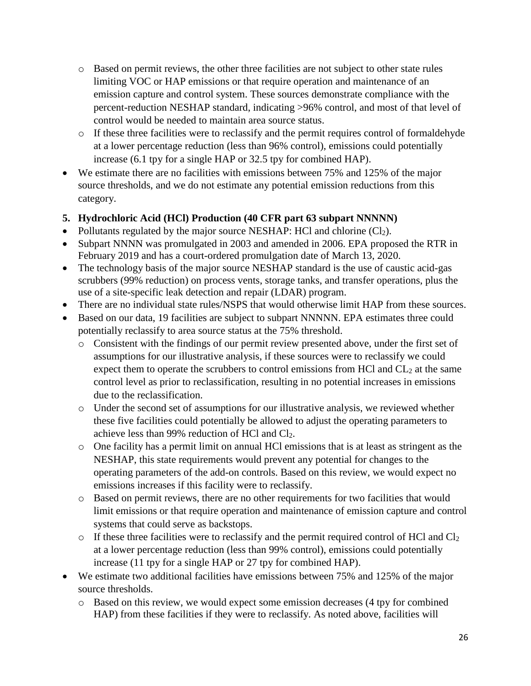- o Based on permit reviews, the other three facilities are not subject to other state rules limiting VOC or HAP emissions or that require operation and maintenance of an emission capture and control system. These sources demonstrate compliance with the percent-reduction NESHAP standard, indicating >96% control, and most of that level of control would be needed to maintain area source status.
- o If these three facilities were to reclassify and the permit requires control of formaldehyde at a lower percentage reduction (less than 96% control), emissions could potentially increase (6.1 tpy for a single HAP or 32.5 tpy for combined HAP).
- We estimate there are no facilities with emissions between 75% and 125% of the major source thresholds, and we do not estimate any potential emission reductions from this category.

## **5. Hydrochloric Acid (HCl) Production (40 CFR part 63 subpart NNNNN)**

- Pollutants regulated by the major source NESHAP: HCl and chlorine  $(Cl<sub>2</sub>)$ .
- Subpart NNNN was promulgated in 2003 and amended in 2006. EPA proposed the RTR in February 2019 and has a court-ordered promulgation date of March 13, 2020.
- The technology basis of the major source NESHAP standard is the use of caustic acid-gas scrubbers (99% reduction) on process vents, storage tanks, and transfer operations, plus the use of a site-specific leak detection and repair (LDAR) program.
- There are no individual state rules/NSPS that would otherwise limit HAP from these sources.
- Based on our data, 19 facilities are subject to subpart NNNNN. EPA estimates three could potentially reclassify to area source status at the 75% threshold.
	- o Consistent with the findings of our permit review presented above, under the first set of assumptions for our illustrative analysis, if these sources were to reclassify we could expect them to operate the scrubbers to control emissions from HCl and  $CL<sub>2</sub>$  at the same control level as prior to reclassification, resulting in no potential increases in emissions due to the reclassification.
	- o Under the second set of assumptions for our illustrative analysis, we reviewed whether these five facilities could potentially be allowed to adjust the operating parameters to achieve less than 99% reduction of HCl and Cl2.
	- o One facility has a permit limit on annual HCl emissions that is at least as stringent as the NESHAP, this state requirements would prevent any potential for changes to the operating parameters of the add-on controls. Based on this review, we would expect no emissions increases if this facility were to reclassify.
	- o Based on permit reviews, there are no other requirements for two facilities that would limit emissions or that require operation and maintenance of emission capture and control systems that could serve as backstops.
	- $\circ$  If these three facilities were to reclassify and the permit required control of HCl and Cl<sub>2</sub> at a lower percentage reduction (less than 99% control), emissions could potentially increase (11 tpy for a single HAP or 27 tpy for combined HAP).
- We estimate two additional facilities have emissions between 75% and 125% of the major source thresholds.
	- o Based on this review, we would expect some emission decreases (4 tpy for combined HAP) from these facilities if they were to reclassify. As noted above, facilities will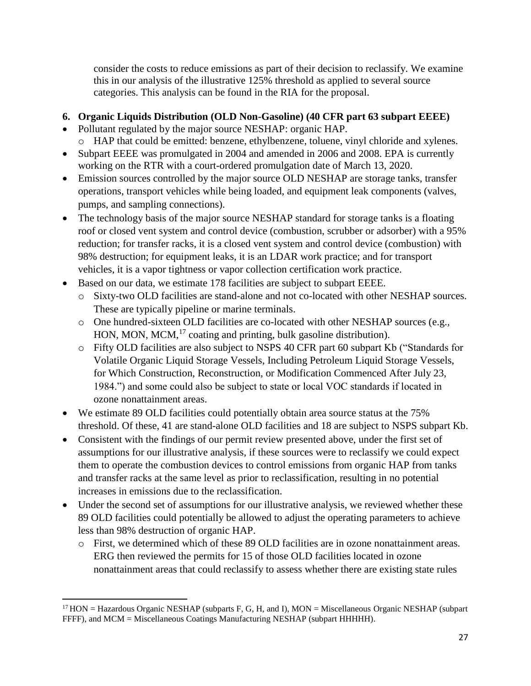consider the costs to reduce emissions as part of their decision to reclassify. We examine this in our analysis of the illustrative 125% threshold as applied to several source categories. This analysis can be found in the RIA for the proposal.

#### **6. Organic Liquids Distribution (OLD Non-Gasoline) (40 CFR part 63 subpart EEEE)**

- Pollutant regulated by the major source NESHAP: organic HAP. o HAP that could be emitted: benzene, ethylbenzene, toluene, vinyl chloride and xylenes.
- Subpart EEEE was promulgated in 2004 and amended in 2006 and 2008. EPA is currently working on the RTR with a court-ordered promulgation date of March 13, 2020.
- Emission sources controlled by the major source OLD NESHAP are storage tanks, transfer operations, transport vehicles while being loaded, and equipment leak components (valves, pumps, and sampling connections).
- The technology basis of the major source NESHAP standard for storage tanks is a floating roof or closed vent system and control device (combustion, scrubber or adsorber) with a 95% reduction; for transfer racks, it is a closed vent system and control device (combustion) with 98% destruction; for equipment leaks, it is an LDAR work practice; and for transport vehicles, it is a vapor tightness or vapor collection certification work practice.
- Based on our data, we estimate 178 facilities are subject to subpart EEEE.
	- o Sixty-two OLD facilities are stand-alone and not co-located with other NESHAP sources. These are typically pipeline or marine terminals.
	- o One hundred-sixteen OLD facilities are co-located with other NESHAP sources (e.g.*,* HON, MON, MCM,<sup>17</sup> coating and printing, bulk gasoline distribution).
	- o Fifty OLD facilities are also subject to NSPS 40 CFR part 60 subpart Kb ("Standards for Volatile Organic Liquid Storage Vessels, Including Petroleum Liquid Storage Vessels, for Which Construction, Reconstruction, or Modification Commenced After July 23, 1984.") and some could also be subject to state or local VOC standards if located in ozone nonattainment areas.
- We estimate 89 OLD facilities could potentially obtain area source status at the 75% threshold. Of these, 41 are stand-alone OLD facilities and 18 are subject to NSPS subpart Kb.
- Consistent with the findings of our permit review presented above, under the first set of assumptions for our illustrative analysis, if these sources were to reclassify we could expect them to operate the combustion devices to control emissions from organic HAP from tanks and transfer racks at the same level as prior to reclassification, resulting in no potential increases in emissions due to the reclassification.
- Under the second set of assumptions for our illustrative analysis, we reviewed whether these 89 OLD facilities could potentially be allowed to adjust the operating parameters to achieve less than 98% destruction of organic HAP.
	- o First, we determined which of these 89 OLD facilities are in ozone nonattainment areas. ERG then reviewed the permits for 15 of those OLD facilities located in ozone nonattainment areas that could reclassify to assess whether there are existing state rules

 $\overline{a}$ 

 $17$  HON = Hazardous Organic NESHAP (subparts F, G, H, and I), MON = Miscellaneous Organic NESHAP (subpart FFFF), and MCM = Miscellaneous Coatings Manufacturing NESHAP (subpart HHHHH).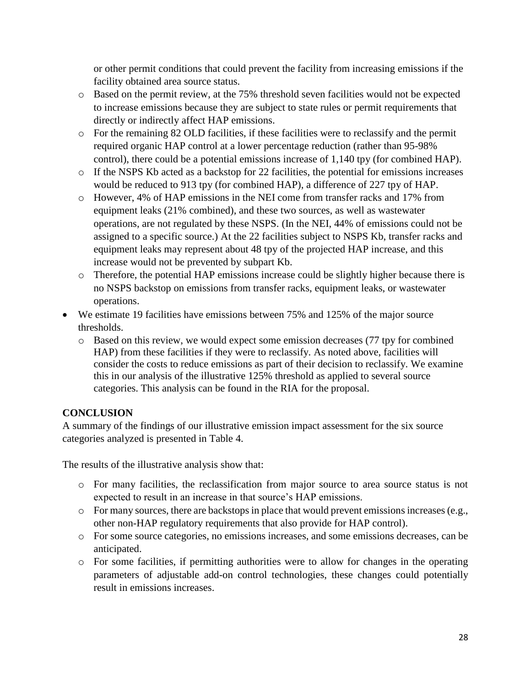or other permit conditions that could prevent the facility from increasing emissions if the facility obtained area source status.

- o Based on the permit review, at the 75% threshold seven facilities would not be expected to increase emissions because they are subject to state rules or permit requirements that directly or indirectly affect HAP emissions.
- o For the remaining 82 OLD facilities, if these facilities were to reclassify and the permit required organic HAP control at a lower percentage reduction (rather than 95-98% control), there could be a potential emissions increase of 1,140 tpy (for combined HAP).
- o If the NSPS Kb acted as a backstop for 22 facilities, the potential for emissions increases would be reduced to 913 tpy (for combined HAP), a difference of 227 tpy of HAP.
- o However, 4% of HAP emissions in the NEI come from transfer racks and 17% from equipment leaks (21% combined), and these two sources, as well as wastewater operations, are not regulated by these NSPS. (In the NEI, 44% of emissions could not be assigned to a specific source.) At the 22 facilities subject to NSPS Kb, transfer racks and equipment leaks may represent about 48 tpy of the projected HAP increase, and this increase would not be prevented by subpart Kb.
- o Therefore, the potential HAP emissions increase could be slightly higher because there is no NSPS backstop on emissions from transfer racks, equipment leaks, or wastewater operations.
- We estimate 19 facilities have emissions between 75% and 125% of the major source thresholds.
	- o Based on this review, we would expect some emission decreases (77 tpy for combined HAP) from these facilities if they were to reclassify. As noted above, facilities will consider the costs to reduce emissions as part of their decision to reclassify. We examine this in our analysis of the illustrative 125% threshold as applied to several source categories. This analysis can be found in the RIA for the proposal.

## **CONCLUSION**

A summary of the findings of our illustrative emission impact assessment for the six source categories analyzed is presented in Table 4.

The results of the illustrative analysis show that:

- o For many facilities, the reclassification from major source to area source status is not expected to result in an increase in that source's HAP emissions.
- o For many sources, there are backstops in place that would prevent emissionsincreases (e.g., other non-HAP regulatory requirements that also provide for HAP control).
- o For some source categories, no emissions increases, and some emissions decreases, can be anticipated.
- o For some facilities, if permitting authorities were to allow for changes in the operating parameters of adjustable add-on control technologies, these changes could potentially result in emissions increases.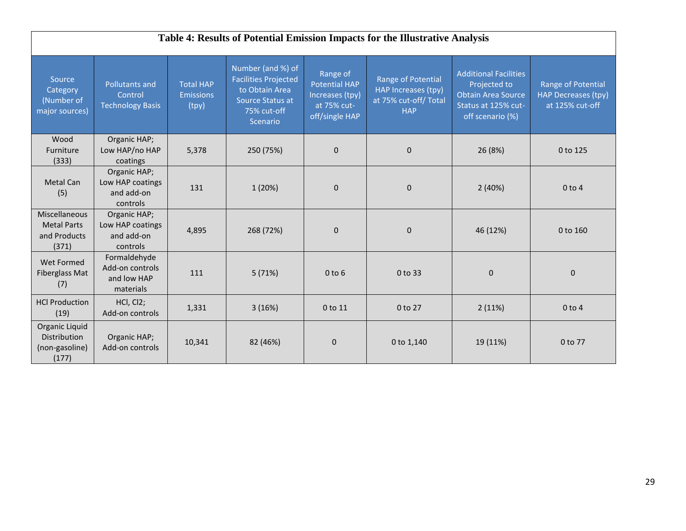|                                                              | Table 4: Results of Potential Emission Impacts for the Illustrative Analysis |                                               |                                                                                                                   |                                                                                      |                                                                                 |                                                                                                                      |                                                                     |  |  |
|--------------------------------------------------------------|------------------------------------------------------------------------------|-----------------------------------------------|-------------------------------------------------------------------------------------------------------------------|--------------------------------------------------------------------------------------|---------------------------------------------------------------------------------|----------------------------------------------------------------------------------------------------------------------|---------------------------------------------------------------------|--|--|
| Source<br>Category<br>(Number of<br>major sources)           | <b>Pollutants and</b><br>Control<br><b>Technology Basis</b>                  | <b>Total HAP</b><br><b>Emissions</b><br>(tpy) | Number (and %) of<br><b>Facilities Projected</b><br>to Obtain Area<br>Source Status at<br>75% cut-off<br>Scenario | Range of<br><b>Potential HAP</b><br>Increases (tpy)<br>at 75% cut-<br>off/single HAP | Range of Potential<br>HAP Increases (tpy)<br>at 75% cut-off/Total<br><b>HAP</b> | <b>Additional Facilities</b><br>Projected to<br><b>Obtain Area Source</b><br>Status at 125% cut-<br>off scenario (%) | Range of Potential<br><b>HAP Decreases (tpy)</b><br>at 125% cut-off |  |  |
| Wood<br>Furniture<br>(333)                                   | Organic HAP;<br>Low HAP/no HAP<br>coatings                                   | 5,378                                         | 250 (75%)                                                                                                         | $\mathbf{0}$                                                                         | $\mathbf 0$                                                                     | 26 (8%)                                                                                                              | 0 to 125                                                            |  |  |
| Metal Can<br>(5)                                             | Organic HAP;<br>Low HAP coatings<br>and add-on<br>controls                   | 131                                           | 1 (20%)                                                                                                           | $\mathbf{0}$                                                                         | $\mathbf{0}$                                                                    | 2(40%)                                                                                                               | $0$ to 4                                                            |  |  |
| Miscellaneous<br><b>Metal Parts</b><br>and Products<br>(371) | Organic HAP;<br>Low HAP coatings<br>and add-on<br>controls                   | 4,895                                         | 268 (72%)                                                                                                         | $\mathbf{0}$                                                                         | $\mathbf 0$                                                                     | 46 (12%)                                                                                                             | 0 to 160                                                            |  |  |
| Wet Formed<br>Fiberglass Mat<br>(7)                          | Formaldehyde<br>Add-on controls<br>and low HAP<br>materials                  | 111                                           | 5(71%)                                                                                                            | $0$ to $6$                                                                           | 0 to 33                                                                         | $\Omega$                                                                                                             | $\mathbf 0$                                                         |  |  |
| <b>HCl Production</b><br>(19)                                | HCl, Cl <sub>2</sub> ;<br>Add-on controls                                    | 1,331                                         | 3(16%)                                                                                                            | 0 to 11                                                                              | 0 to 27                                                                         | 2(11%)                                                                                                               | $0$ to $4$                                                          |  |  |
| Organic Liquid<br>Distribution<br>(non-gasoline)<br>(177)    | Organic HAP;<br>Add-on controls                                              | 10,341                                        | 82 (46%)                                                                                                          | $\mathbf{0}$                                                                         | 0 to 1,140                                                                      | 19 (11%)                                                                                                             | 0 to 77                                                             |  |  |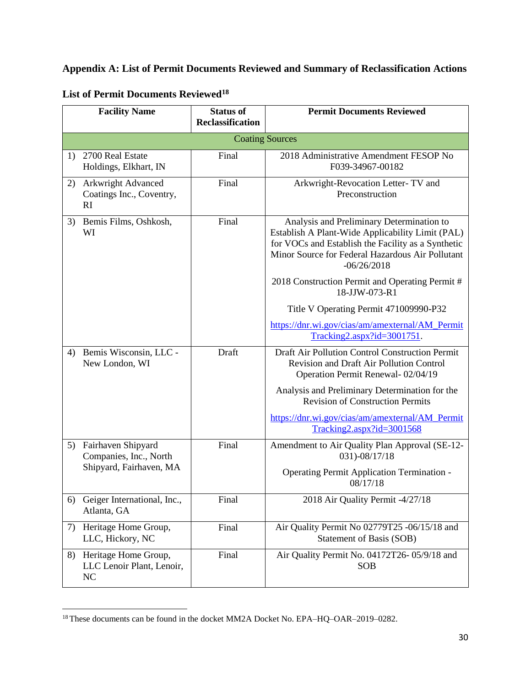## **Appendix A: List of Permit Documents Reviewed and Summary of Reclassification Actions**

|    | <b>Facility Name</b>                                                    | <b>Status of</b><br><b>Reclassification</b> | <b>Permit Documents Reviewed</b>                                                                                                                                                                                         |
|----|-------------------------------------------------------------------------|---------------------------------------------|--------------------------------------------------------------------------------------------------------------------------------------------------------------------------------------------------------------------------|
|    |                                                                         |                                             |                                                                                                                                                                                                                          |
|    |                                                                         |                                             | <b>Coating Sources</b>                                                                                                                                                                                                   |
| 1) | 2700 Real Estate<br>Holdings, Elkhart, IN                               | Final                                       | 2018 Administrative Amendment FESOP No<br>F039-34967-00182                                                                                                                                                               |
| 2) | Arkwright Advanced<br>Coatings Inc., Coventry,<br>RI                    | Final                                       | Arkwright-Revocation Letter-TV and<br>Preconstruction                                                                                                                                                                    |
| 3) | Bemis Films, Oshkosh,<br>WI                                             | Final                                       | Analysis and Preliminary Determination to<br>Establish A Plant-Wide Applicability Limit (PAL)<br>for VOCs and Establish the Facility as a Synthetic<br>Minor Source for Federal Hazardous Air Pollutant<br>$-06/26/2018$ |
|    |                                                                         |                                             | 2018 Construction Permit and Operating Permit #<br>18-JJW-073-R1                                                                                                                                                         |
|    |                                                                         |                                             | Title V Operating Permit 471009990-P32                                                                                                                                                                                   |
|    |                                                                         |                                             | https://dnr.wi.gov/cias/am/amexternal/AM_Permit<br>$Tracking2.aspx?id=3001751.$                                                                                                                                          |
| 4) | Bemis Wisconsin, LLC -<br>New London, WI                                | Draft                                       | Draft Air Pollution Control Construction Permit<br>Revision and Draft Air Pollution Control<br>Operation Permit Renewal-02/04/19                                                                                         |
|    |                                                                         |                                             | Analysis and Preliminary Determination for the<br><b>Revision of Construction Permits</b>                                                                                                                                |
|    |                                                                         |                                             | https://dnr.wi.gov/cias/am/amexternal/AM Permit<br>Tracking2.aspx?id=3001568                                                                                                                                             |
| 5) | Fairhaven Shipyard<br>Companies, Inc., North<br>Shipyard, Fairhaven, MA | Final                                       | Amendment to Air Quality Plan Approval (SE-12-<br>031)-08/17/18                                                                                                                                                          |
|    |                                                                         |                                             | Operating Permit Application Termination -<br>08/17/18                                                                                                                                                                   |
| 6) | Geiger International, Inc.,<br>Atlanta, GA                              | Final                                       | 2018 Air Quality Permit -4/27/18                                                                                                                                                                                         |
| 7) | Heritage Home Group,<br>LLC, Hickory, NC                                | Final                                       | Air Quality Permit No 02779T25 -06/15/18 and<br>Statement of Basis (SOB)                                                                                                                                                 |
| 8) | Heritage Home Group,<br>LLC Lenoir Plant, Lenoir,<br>NC                 | Final                                       | Air Quality Permit No. 04172T26-05/9/18 and<br><b>SOB</b>                                                                                                                                                                |

# **List of Permit Documents Reviewed<sup>18</sup>**

<sup>18</sup> These documents can be found in the docket MM2A Docket No. EPA–HQ–OAR–2019–0282.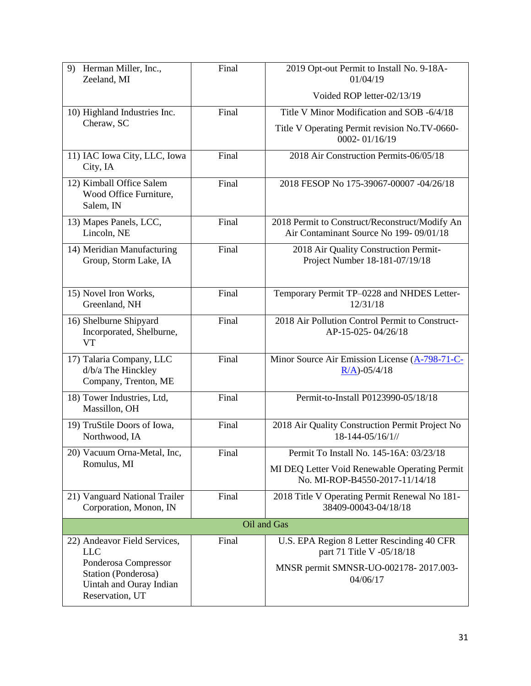| 9)<br>Herman Miller, Inc.,<br>Zeeland, MI                                                 | Final | 2019 Opt-out Permit to Install No. 9-18A-<br>01/04/19                                    |  |  |  |
|-------------------------------------------------------------------------------------------|-------|------------------------------------------------------------------------------------------|--|--|--|
|                                                                                           |       | Voided ROP letter-02/13/19                                                               |  |  |  |
| 10) Highland Industries Inc.                                                              | Final | Title V Minor Modification and SOB -6/4/18                                               |  |  |  |
| Cheraw, SC                                                                                |       | Title V Operating Permit revision No.TV-0660-<br>0002-01/16/19                           |  |  |  |
| 11) IAC Iowa City, LLC, Iowa<br>City, IA                                                  | Final | 2018 Air Construction Permits-06/05/18                                                   |  |  |  |
| 12) Kimball Office Salem<br>Wood Office Furniture,<br>Salem, IN                           | Final | 2018 FESOP No 175-39067-00007 -04/26/18                                                  |  |  |  |
| 13) Mapes Panels, LCC,<br>Lincoln, NE                                                     | Final | 2018 Permit to Construct/Reconstruct/Modify An<br>Air Contaminant Source No 199-09/01/18 |  |  |  |
| 14) Meridian Manufacturing<br>Group, Storm Lake, IA                                       | Final | 2018 Air Quality Construction Permit-<br>Project Number 18-181-07/19/18                  |  |  |  |
| 15) Novel Iron Works,<br>Greenland, NH                                                    | Final | Temporary Permit TP-0228 and NHDES Letter-<br>12/31/18                                   |  |  |  |
| 16) Shelburne Shipyard<br>Incorporated, Shelburne,<br><b>VT</b>                           | Final | 2018 Air Pollution Control Permit to Construct-<br>AP-15-025-04/26/18                    |  |  |  |
| 17) Talaria Company, LLC<br>d/b/a The Hinckley<br>Company, Trenton, ME                    | Final | Minor Source Air Emission License (A-798-71-C-<br>$R/A$ )-05/4/18                        |  |  |  |
| 18) Tower Industries, Ltd,<br>Massillon, OH                                               | Final | Permit-to-Install P0123990-05/18/18                                                      |  |  |  |
| 19) TruStile Doors of Iowa,<br>Northwood, IA                                              | Final | 2018 Air Quality Construction Permit Project No<br>18-144-05/16/1//                      |  |  |  |
| 20) Vacuum Orna-Metal, Inc,                                                               | Final | Permit To Install No. 145-16A: 03/23/18                                                  |  |  |  |
| Romulus, MI                                                                               |       | MI DEQ Letter Void Renewable Operating Permit<br>No. MI-ROP-B4550-2017-11/14/18          |  |  |  |
| 21) Vanguard National Trailer<br>Corporation, Monon, IN                                   | Final | 2018 Title V Operating Permit Renewal No 181-<br>38409-00043-04/18/18                    |  |  |  |
| Oil and Gas                                                                               |       |                                                                                          |  |  |  |
| 22) Andeavor Field Services,<br>$LLC$                                                     | Final | U.S. EPA Region 8 Letter Rescinding 40 CFR<br>part 71 Title V -05/18/18                  |  |  |  |
| Ponderosa Compressor<br>Station (Ponderosa)<br>Uintah and Ouray Indian<br>Reservation, UT |       | MNSR permit SMNSR-UO-002178-2017.003-<br>04/06/17                                        |  |  |  |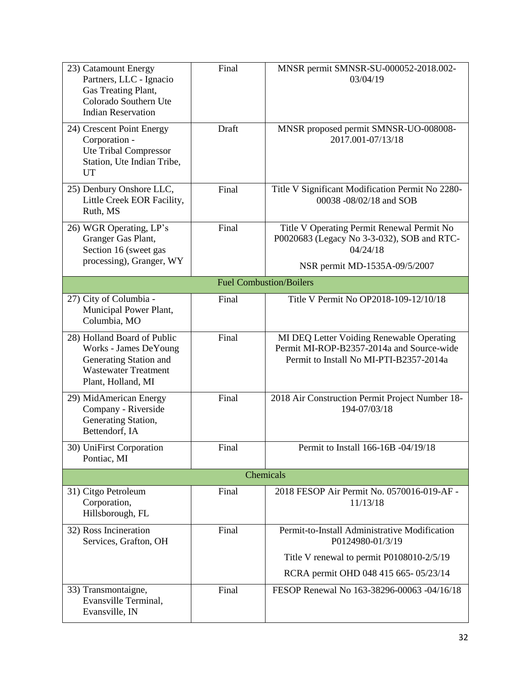| 23) Catamount Energy<br>Partners, LLC - Ignacio<br>Gas Treating Plant,<br>Colorado Southern Ute<br><b>Indian Reservation</b>        | Final | MNSR permit SMNSR-SU-000052-2018.002-<br>03/04/19                                                                                 |  |  |  |
|-------------------------------------------------------------------------------------------------------------------------------------|-------|-----------------------------------------------------------------------------------------------------------------------------------|--|--|--|
| 24) Crescent Point Energy<br>Corporation -<br><b>Ute Tribal Compressor</b><br>Station, Ute Indian Tribe,<br>UT                      | Draft | MNSR proposed permit SMNSR-UO-008008-<br>2017.001-07/13/18                                                                        |  |  |  |
| 25) Denbury Onshore LLC,<br>Little Creek EOR Facility,<br>Ruth, MS                                                                  | Final | Title V Significant Modification Permit No 2280-<br>00038 -08/02/18 and SOB                                                       |  |  |  |
| 26) WGR Operating, LP's<br>Granger Gas Plant,<br>Section 16 (sweet gas<br>processing), Granger, WY                                  | Final | Title V Operating Permit Renewal Permit No<br>P0020683 (Legacy No 3-3-032), SOB and RTC-<br>04/24/18                              |  |  |  |
|                                                                                                                                     |       | NSR permit MD-1535A-09/5/2007                                                                                                     |  |  |  |
| <b>Fuel Combustion/Boilers</b>                                                                                                      |       |                                                                                                                                   |  |  |  |
| 27) City of Columbia -<br>Municipal Power Plant,<br>Columbia, MO                                                                    | Final | Title V Permit No OP2018-109-12/10/18                                                                                             |  |  |  |
| 28) Holland Board of Public<br>Works - James DeYoung<br>Generating Station and<br><b>Wastewater Treatment</b><br>Plant, Holland, MI | Final | MI DEQ Letter Voiding Renewable Operating<br>Permit MI-ROP-B2357-2014a and Source-wide<br>Permit to Install No MI-PTI-B2357-2014a |  |  |  |
| 29) MidAmerican Energy<br>Company - Riverside<br>Generating Station,<br>Bettendorf, IA                                              | Final | 2018 Air Construction Permit Project Number 18-<br>194-07/03/18                                                                   |  |  |  |
| 30) UniFirst Corporation<br>Pontiac, MI                                                                                             | Final | Permit to Install 166-16B -04/19/18                                                                                               |  |  |  |
| Chemicals                                                                                                                           |       |                                                                                                                                   |  |  |  |
| 31) Citgo Petroleum<br>Corporation,<br>Hillsborough, FL                                                                             | Final | 2018 FESOP Air Permit No. 0570016-019-AF -<br>11/13/18                                                                            |  |  |  |
| 32) Ross Incineration<br>Services, Grafton, OH                                                                                      | Final | Permit-to-Install Administrative Modification<br>P0124980-01/3/19                                                                 |  |  |  |
|                                                                                                                                     |       | Title V renewal to permit P0108010-2/5/19                                                                                         |  |  |  |
|                                                                                                                                     |       | RCRA permit OHD 048 415 665-05/23/14                                                                                              |  |  |  |
| 33) Transmontaigne,<br>Evansville Terminal,<br>Evansville, IN                                                                       | Final | FESOP Renewal No 163-38296-00063 -04/16/18                                                                                        |  |  |  |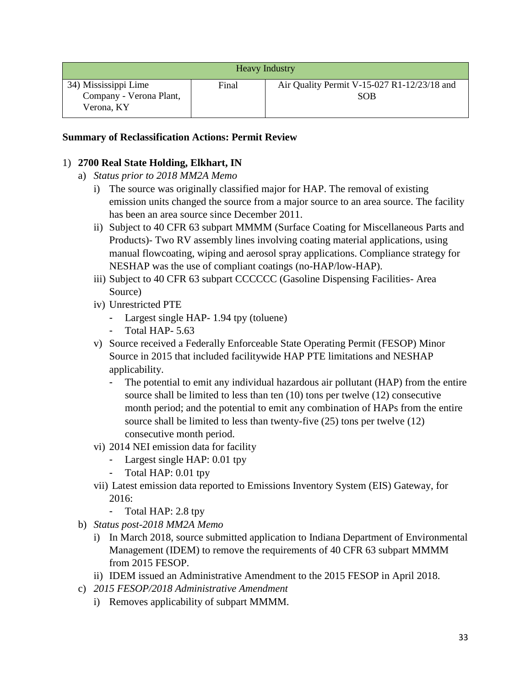| <b>Heavy Industry</b>                                         |       |                                                           |  |  |
|---------------------------------------------------------------|-------|-----------------------------------------------------------|--|--|
| 34) Mississippi Lime<br>Company - Verona Plant,<br>Verona, KY | Final | Air Quality Permit V-15-027 R1-12/23/18 and<br><b>SOB</b> |  |  |

#### **Summary of Reclassification Actions: Permit Review**

#### 1) **2700 Real State Holding, Elkhart, IN**

- a) *Status prior to 2018 MM2A Memo*
	- i) The source was originally classified major for HAP. The removal of existing emission units changed the source from a major source to an area source. The facility has been an area source since December 2011.
	- ii) Subject to 40 CFR 63 subpart MMMM (Surface Coating for Miscellaneous Parts and Products)- Two RV assembly lines involving coating material applications, using manual flowcoating, wiping and aerosol spray applications. Compliance strategy for NESHAP was the use of compliant coatings (no-HAP/low-HAP).
	- iii) Subject to 40 CFR 63 subpart CCCCCC (Gasoline Dispensing Facilities- Area Source)
	- iv) Unrestricted PTE
		- Largest single HAP- 1.94 tpy (toluene)
		- Total HAP- 5.63
	- v) Source received a Federally Enforceable State Operating Permit (FESOP) Minor Source in 2015 that included facilitywide HAP PTE limitations and NESHAP applicability.
		- The potential to emit any individual hazardous air pollutant (HAP) from the entire source shall be limited to less than ten (10) tons per twelve (12) consecutive month period; and the potential to emit any combination of HAPs from the entire source shall be limited to less than twenty-five (25) tons per twelve (12) consecutive month period.
	- vi) 2014 NEI emission data for facility
		- Largest single HAP: 0.01 tpy
		- Total HAP: 0.01 tpy
	- vii) Latest emission data reported to Emissions Inventory System (EIS) Gateway, for 2016:
		- Total HAP: 2.8 tpy
- b) *Status post-2018 MM2A Memo*
	- i) In March 2018, source submitted application to Indiana Department of Environmental Management (IDEM) to remove the requirements of 40 CFR 63 subpart MMMM from 2015 FESOP.
	- ii) IDEM issued an Administrative Amendment to the 2015 FESOP in April 2018.
- c) *2015 FESOP/2018 Administrative Amendment* 
	- i) Removes applicability of subpart MMMM.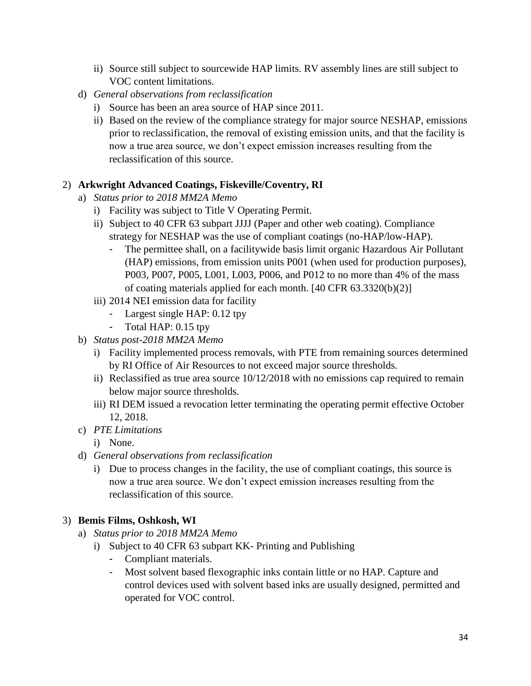- ii) Source still subject to sourcewide HAP limits. RV assembly lines are still subject to VOC content limitations.
- d) *General observations from reclassification*
	- i) Source has been an area source of HAP since 2011.
	- ii) Based on the review of the compliance strategy for major source NESHAP, emissions prior to reclassification, the removal of existing emission units, and that the facility is now a true area source, we don't expect emission increases resulting from the reclassification of this source.

#### 2) **Arkwright Advanced Coatings, Fiskeville/Coventry, RI**

- a) *Status prior to 2018 MM2A Memo*
	- i) Facility was subject to Title V Operating Permit.
	- ii) Subject to 40 CFR 63 subpart JJJJ (Paper and other web coating). Compliance strategy for NESHAP was the use of compliant coatings (no-HAP/low-HAP).
		- The permittee shall, on a facilitywide basis limit organic Hazardous Air Pollutant (HAP) emissions, from emission units P001 (when used for production purposes), P003, P007, P005, L001, L003, P006, and P012 to no more than 4% of the mass of coating materials applied for each month. [40 CFR 63.3320(b)(2)]
	- iii) 2014 NEI emission data for facility
		- Largest single HAP: 0.12 tpy
		- Total HAP: 0.15 tpy
- b) *Status post-2018 MM2A Memo*
	- i) Facility implemented process removals, with PTE from remaining sources determined by RI Office of Air Resources to not exceed major source thresholds.
	- ii) Reclassified as true area source 10/12/2018 with no emissions cap required to remain below major source thresholds.
	- iii) RI DEM issued a revocation letter terminating the operating permit effective October 12, 2018.
- c) *PTE Limitations*
	- i) None.
- d) *General observations from reclassification*
	- i) Due to process changes in the facility, the use of compliant coatings, this source is now a true area source. We don't expect emission increases resulting from the reclassification of this source.

## 3) **Bemis Films, Oshkosh, WI**

- a) *Status prior to 2018 MM2A Memo*
	- i) Subject to 40 CFR 63 subpart KK- Printing and Publishing
		- Compliant materials.
		- Most solvent based flexographic inks contain little or no HAP. Capture and control devices used with solvent based inks are usually designed, permitted and operated for VOC control.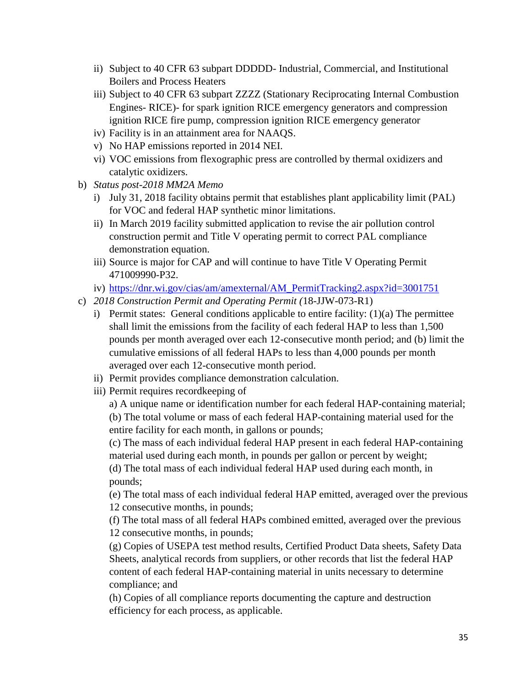- ii) Subject to 40 CFR 63 subpart DDDDD- Industrial, Commercial, and Institutional Boilers and Process Heaters
- iii) Subject to 40 CFR 63 subpart ZZZZ (Stationary Reciprocating Internal Combustion Engines- RICE)- for spark ignition RICE emergency generators and compression ignition RICE fire pump, compression ignition RICE emergency generator
- iv) Facility is in an attainment area for NAAQS.
- v) No HAP emissions reported in 2014 NEI.
- vi) VOC emissions from flexographic press are controlled by thermal oxidizers and catalytic oxidizers.
- b) *Status post-2018 MM2A Memo* 
	- i) July 31, 2018 facility obtains permit that establishes plant applicability limit (PAL) for VOC and federal HAP synthetic minor limitations.
	- ii) In March 2019 facility submitted application to revise the air pollution control construction permit and Title V operating permit to correct PAL compliance demonstration equation.
	- iii) Source is major for CAP and will continue to have Title V Operating Permit 471009990-P32.
	- iv) [https://dnr.wi.gov/cias/am/amexternal/AM\\_PermitTracking2.aspx?id=3001751](https://dnr.wi.gov/cias/am/amexternal/AM_PermitTracking2.aspx?id=3001751)
- c) *2018 Construction Permit and Operating Permit (*18-JJW-073-R1)
	- i) Permit states: General conditions applicable to entire facility: (1)(a) The permittee shall limit the emissions from the facility of each federal HAP to less than 1,500 pounds per month averaged over each 12-consecutive month period; and (b) limit the cumulative emissions of all federal HAPs to less than 4,000 pounds per month averaged over each 12-consecutive month period.
	- ii) Permit provides compliance demonstration calculation.
	- iii) Permit requires recordkeeping of

a) A unique name or identification number for each federal HAP-containing material; (b) The total volume or mass of each federal HAP-containing material used for the entire facility for each month, in gallons or pounds;

(c) The mass of each individual federal HAP present in each federal HAP-containing material used during each month, in pounds per gallon or percent by weight; (d) The total mass of each individual federal HAP used during each month, in pounds;

(e) The total mass of each individual federal HAP emitted, averaged over the previous 12 consecutive months, in pounds;

(f) The total mass of all federal HAPs combined emitted, averaged over the previous 12 consecutive months, in pounds;

(g) Copies of USEPA test method results, Certified Product Data sheets, Safety Data Sheets, analytical records from suppliers, or other records that list the federal HAP content of each federal HAP-containing material in units necessary to determine compliance; and

(h) Copies of all compliance reports documenting the capture and destruction efficiency for each process, as applicable.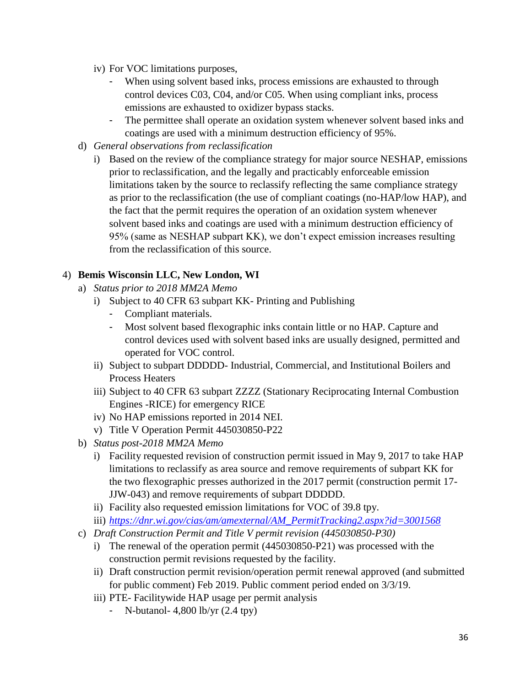- iv) For VOC limitations purposes,
	- When using solvent based inks, process emissions are exhausted to through control devices C03, C04, and/or C05. When using compliant inks, process emissions are exhausted to oxidizer bypass stacks.
	- The permittee shall operate an oxidation system whenever solvent based inks and coatings are used with a minimum destruction efficiency of 95%.
- d) *General observations from reclassification*
	- i) Based on the review of the compliance strategy for major source NESHAP, emissions prior to reclassification, and the legally and practicably enforceable emission limitations taken by the source to reclassify reflecting the same compliance strategy as prior to the reclassification (the use of compliant coatings (no-HAP/low HAP), and the fact that the permit requires the operation of an oxidation system whenever solvent based inks and coatings are used with a minimum destruction efficiency of 95% (same as NESHAP subpart KK), we don't expect emission increases resulting from the reclassification of this source.

#### 4) **Bemis Wisconsin LLC, New London, WI**

- a) *Status prior to 2018 MM2A Memo*
	- i) Subject to 40 CFR 63 subpart KK- Printing and Publishing
		- Compliant materials.
		- Most solvent based flexographic inks contain little or no HAP. Capture and control devices used with solvent based inks are usually designed, permitted and operated for VOC control.
	- ii) Subject to subpart DDDDD- Industrial, Commercial, and Institutional Boilers and Process Heaters
	- iii) Subject to 40 CFR 63 subpart ZZZZ (Stationary Reciprocating Internal Combustion Engines -RICE) for emergency RICE
	- iv) No HAP emissions reported in 2014 NEI.
	- v) Title V Operation Permit 445030850-P22
- b) *Status post-2018 MM2A Memo*
	- i) Facility requested revision of construction permit issued in May 9, 2017 to take HAP limitations to reclassify as area source and remove requirements of subpart KK for the two flexographic presses authorized in the 2017 permit (construction permit 17- JJW-043) and remove requirements of subpart DDDDD.
	- ii) Facility also requested emission limitations for VOC of 39.8 tpy.
	- iii) *[https://dnr.wi.gov/cias/am/amexternal/AM\\_PermitTracking2.aspx?id=3001568](https://dnr.wi.gov/cias/am/amexternal/AM_PermitTracking2.aspx?id=3001568)*
- c) *Draft Construction Permit and Title V permit revision (445030850-P30)*
	- i) The renewal of the operation permit (445030850-P21) was processed with the construction permit revisions requested by the facility.
	- ii) Draft construction permit revision/operation permit renewal approved (and submitted for public comment) Feb 2019. Public comment period ended on 3/3/19.
	- iii) PTE- Facilitywide HAP usage per permit analysis
		- N-butanol-  $4,800$  lb/yr  $(2.4$  tpy)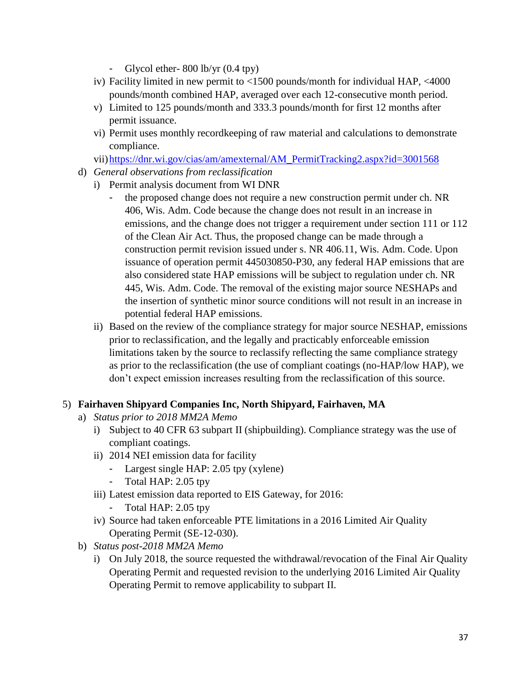- Glycol ether-  $800$  lb/yr  $(0.4$  tpy)
- iv) Facility limited in new permit to <1500 pounds/month for individual HAP, <4000 pounds/month combined HAP, averaged over each 12-consecutive month period.
- v) Limited to 125 pounds/month and 333.3 pounds/month for first 12 months after permit issuance.
- vi) Permit uses monthly recordkeeping of raw material and calculations to demonstrate compliance.

vii[\)https://dnr.wi.gov/cias/am/amexternal/AM\\_PermitTracking2.aspx?id=3001568](https://dnr.wi.gov/cias/am/amexternal/AM_PermitTracking2.aspx?id=3001568)

- d) *General observations from reclassification*
	- i) Permit analysis document from WI DNR
		- the proposed change does not require a new construction permit under ch. NR 406, Wis. Adm. Code because the change does not result in an increase in emissions, and the change does not trigger a requirement under section 111 or 112 of the Clean Air Act. Thus, the proposed change can be made through a construction permit revision issued under s. NR 406.11, Wis. Adm. Code. Upon issuance of operation permit 445030850-P30, any federal HAP emissions that are also considered state HAP emissions will be subject to regulation under ch. NR 445, Wis. Adm. Code. The removal of the existing major source NESHAPs and the insertion of synthetic minor source conditions will not result in an increase in potential federal HAP emissions.
	- ii) Based on the review of the compliance strategy for major source NESHAP, emissions prior to reclassification, and the legally and practicably enforceable emission limitations taken by the source to reclassify reflecting the same compliance strategy as prior to the reclassification (the use of compliant coatings (no-HAP/low HAP), we don't expect emission increases resulting from the reclassification of this source.

#### 5) **Fairhaven Shipyard Companies Inc, North Shipyard, Fairhaven, MA**

- a) *Status prior to 2018 MM2A Memo*
	- i) Subject to 40 CFR 63 subpart II (shipbuilding). Compliance strategy was the use of compliant coatings.
	- ii) 2014 NEI emission data for facility
		- Largest single HAP: 2.05 tpy (xylene)
		- Total HAP: 2.05 tpy
	- iii) Latest emission data reported to EIS Gateway, for 2016:
		- Total HAP: 2.05 tpy
	- iv) Source had taken enforceable PTE limitations in a 2016 Limited Air Quality Operating Permit (SE-12-030).
- b) *Status post-2018 MM2A Memo*
	- i) On July 2018, the source requested the withdrawal/revocation of the Final Air Quality Operating Permit and requested revision to the underlying 2016 Limited Air Quality Operating Permit to remove applicability to subpart II.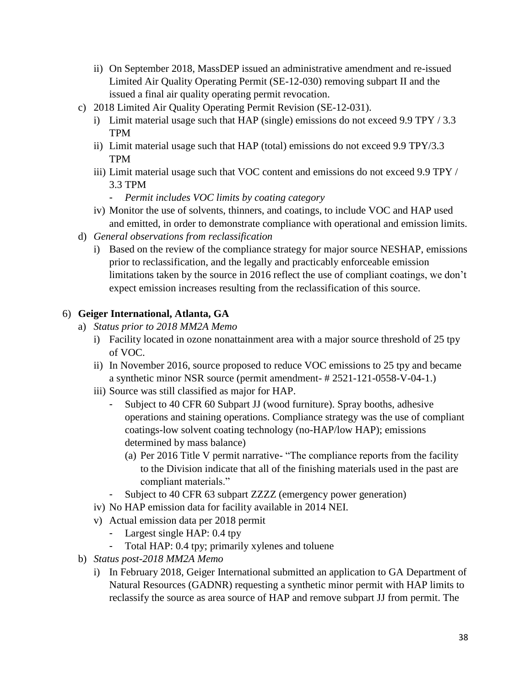- ii) On September 2018, MassDEP issued an administrative amendment and re-issued Limited Air Quality Operating Permit (SE-12-030) removing subpart II and the issued a final air quality operating permit revocation.
- c) 2018 Limited Air Quality Operating Permit Revision (SE-12-031).
	- i) Limit material usage such that HAP (single) emissions do not exceed 9.9 TPY / 3.3 TPM
	- ii) Limit material usage such that HAP (total) emissions do not exceed 9.9 TPY/3.3 TPM
	- iii) Limit material usage such that VOC content and emissions do not exceed 9.9 TPY / 3.3 TPM
		- *Permit includes VOC limits by coating category*
	- iv) Monitor the use of solvents, thinners, and coatings, to include VOC and HAP used and emitted, in order to demonstrate compliance with operational and emission limits.
- d) *General observations from reclassification*
	- i) Based on the review of the compliance strategy for major source NESHAP, emissions prior to reclassification, and the legally and practicably enforceable emission limitations taken by the source in 2016 reflect the use of compliant coatings, we don't expect emission increases resulting from the reclassification of this source.

# 6) **Geiger International, Atlanta, GA**

- a) *Status prior to 2018 MM2A Memo*
	- i) Facility located in ozone nonattainment area with a major source threshold of 25 tpy of VOC.
	- ii) In November 2016, source proposed to reduce VOC emissions to 25 tpy and became a synthetic minor NSR source (permit amendment- # 2521-121-0558-V-04-1.)
	- iii) Source was still classified as major for HAP.
		- Subject to 40 CFR 60 Subpart JJ (wood furniture). Spray booths, adhesive operations and staining operations. Compliance strategy was the use of compliant coatings-low solvent coating technology (no-HAP/low HAP); emissions determined by mass balance)
			- (a) Per 2016 Title V permit narrative- "The compliance reports from the facility to the Division indicate that all of the finishing materials used in the past are compliant materials."
		- Subject to 40 CFR 63 subpart ZZZZ (emergency power generation)
	- iv) No HAP emission data for facility available in 2014 NEI.
	- v) Actual emission data per 2018 permit
		- Largest single HAP: 0.4 tpy
		- Total HAP: 0.4 tpy; primarily xylenes and toluene
- b) *Status post-2018 MM2A Memo*
	- i) In February 2018, Geiger International submitted an application to GA Department of Natural Resources (GADNR) requesting a synthetic minor permit with HAP limits to reclassify the source as area source of HAP and remove subpart JJ from permit. The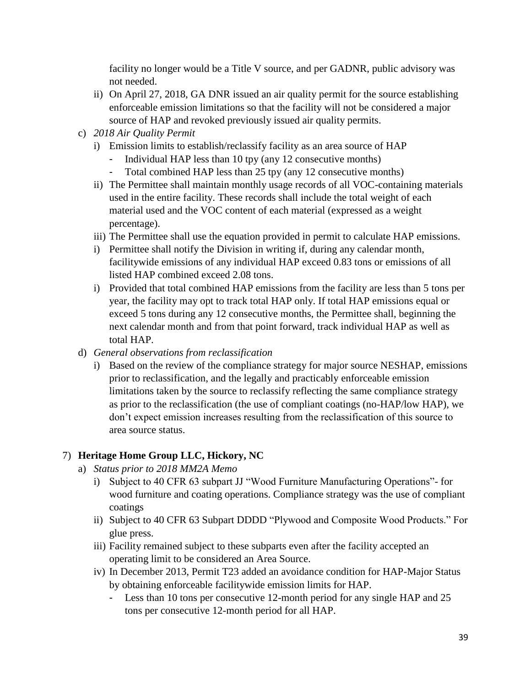facility no longer would be a Title V source, and per GADNR, public advisory was not needed.

- ii) On April 27, 2018, GA DNR issued an air quality permit for the source establishing enforceable emission limitations so that the facility will not be considered a major source of HAP and revoked previously issued air quality permits.
- c) *2018 Air Quality Permit* 
	- i) Emission limits to establish/reclassify facility as an area source of HAP
		- Individual HAP less than 10 tpy (any 12 consecutive months)
		- Total combined HAP less than 25 tpy (any 12 consecutive months)
	- ii) The Permittee shall maintain monthly usage records of all VOC-containing materials used in the entire facility. These records shall include the total weight of each material used and the VOC content of each material (expressed as a weight percentage).
	- iii) The Permittee shall use the equation provided in permit to calculate HAP emissions.
	- i) Permittee shall notify the Division in writing if, during any calendar month, facilitywide emissions of any individual HAP exceed 0.83 tons or emissions of all listed HAP combined exceed 2.08 tons.
	- i) Provided that total combined HAP emissions from the facility are less than 5 tons per year, the facility may opt to track total HAP only. If total HAP emissions equal or exceed 5 tons during any 12 consecutive months, the Permittee shall, beginning the next calendar month and from that point forward, track individual HAP as well as total HAP.
- d) *General observations from reclassification*
	- i) Based on the review of the compliance strategy for major source NESHAP, emissions prior to reclassification, and the legally and practicably enforceable emission limitations taken by the source to reclassify reflecting the same compliance strategy as prior to the reclassification (the use of compliant coatings (no-HAP/low HAP), we don't expect emission increases resulting from the reclassification of this source to area source status.

# 7) **Heritage Home Group LLC, Hickory, NC**

- a) *Status prior to 2018 MM2A Memo*
	- i) Subject to 40 CFR 63 subpart JJ "Wood Furniture Manufacturing Operations"- for wood furniture and coating operations. Compliance strategy was the use of compliant coatings
	- ii) Subject to 40 CFR 63 Subpart DDDD "Plywood and Composite Wood Products." For glue press.
	- iii) Facility remained subject to these subparts even after the facility accepted an operating limit to be considered an Area Source.
	- iv) In December 2013, Permit T23 added an avoidance condition for HAP-Major Status by obtaining enforceable facilitywide emission limits for HAP.
		- Less than 10 tons per consecutive 12-month period for any single HAP and 25 tons per consecutive 12-month period for all HAP.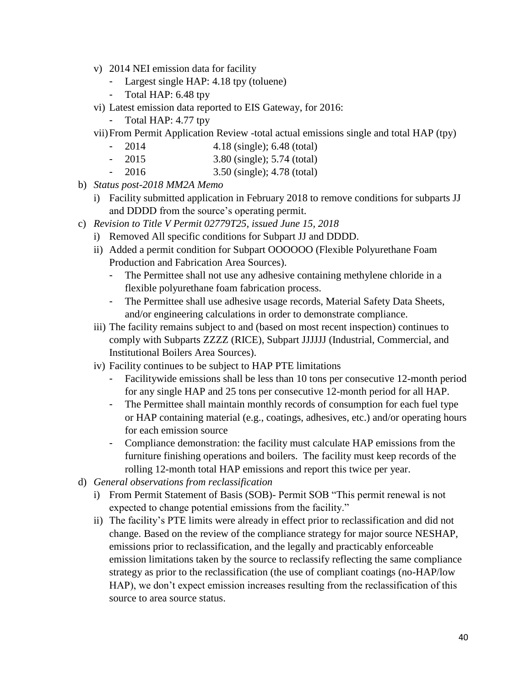- v) 2014 NEI emission data for facility
	- Largest single HAP: 4.18 tpy (toluene)
	- Total HAP: 6.48 tpy
- vi) Latest emission data reported to EIS Gateway, for 2016:
	- Total HAP: 4.77 tpy
- vii)From Permit Application Review -total actual emissions single and total HAP (tpy)
	- 2014 4.18 (single); 6.48 (total)
	- 2015 3.80 (single); 5.74 (total)
	- 2016 3.50 (single); 4.78 (total)
- b) *Status post-2018 MM2A Memo*
	- i) Facility submitted application in February 2018 to remove conditions for subparts JJ and DDDD from the source's operating permit.
- c) *Revision to Title V Permit 02779T25, issued June 15, 2018*
	- i) Removed All specific conditions for Subpart JJ and DDDD.
	- ii) Added a permit condition for Subpart OOOOOO (Flexible Polyurethane Foam Production and Fabrication Area Sources).
		- The Permittee shall not use any adhesive containing methylene chloride in a flexible polyurethane foam fabrication process.
		- The Permittee shall use adhesive usage records, Material Safety Data Sheets, and/or engineering calculations in order to demonstrate compliance.
	- iii) The facility remains subject to and (based on most recent inspection) continues to comply with Subparts ZZZZ (RICE), Subpart JJJJJJ (Industrial, Commercial, and Institutional Boilers Area Sources).
	- iv) Facility continues to be subject to HAP PTE limitations
		- Facilitywide emissions shall be less than 10 tons per consecutive 12-month period for any single HAP and 25 tons per consecutive 12-month period for all HAP.
		- The Permittee shall maintain monthly records of consumption for each fuel type or HAP containing material (e.g., coatings, adhesives, etc.) and/or operating hours for each emission source
		- Compliance demonstration: the facility must calculate HAP emissions from the furniture finishing operations and boilers. The facility must keep records of the rolling 12-month total HAP emissions and report this twice per year.
- d) *General observations from reclassification*
	- i) From Permit Statement of Basis (SOB)- Permit SOB "This permit renewal is not expected to change potential emissions from the facility."
	- ii) The facility's PTE limits were already in effect prior to reclassification and did not change. Based on the review of the compliance strategy for major source NESHAP, emissions prior to reclassification, and the legally and practicably enforceable emission limitations taken by the source to reclassify reflecting the same compliance strategy as prior to the reclassification (the use of compliant coatings (no-HAP/low HAP), we don't expect emission increases resulting from the reclassification of this source to area source status.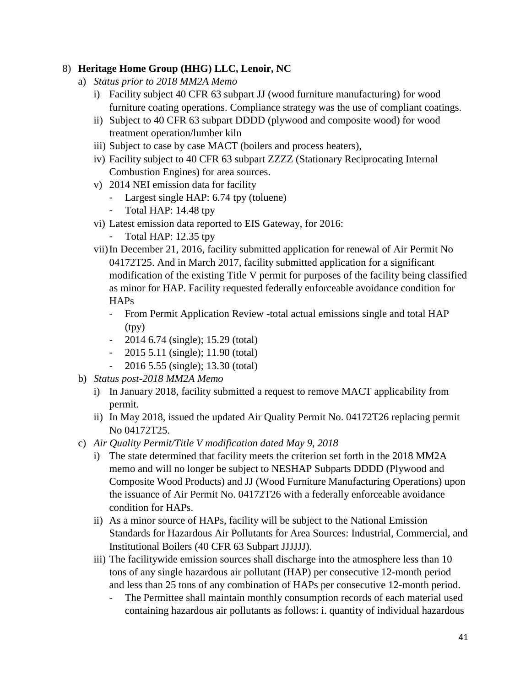### 8) **Heritage Home Group (HHG) LLC, Lenoir, NC**

- a) *Status prior to 2018 MM2A Memo*
	- i) Facility subject 40 CFR 63 subpart JJ (wood furniture manufacturing) for wood furniture coating operations. Compliance strategy was the use of compliant coatings.
	- ii) Subject to 40 CFR 63 subpart DDDD (plywood and composite wood) for wood treatment operation/lumber kiln
	- iii) Subject to case by case MACT (boilers and process heaters),
	- iv) Facility subject to 40 CFR 63 subpart ZZZZ (Stationary Reciprocating Internal Combustion Engines) for area sources.
	- v) 2014 NEI emission data for facility
		- Largest single HAP: 6.74 tpy (toluene)
		- Total HAP: 14.48 tpy
	- vi) Latest emission data reported to EIS Gateway, for 2016:
		- Total HAP: 12.35 tpy
	- vii)In December 21, 2016, facility submitted application for renewal of Air Permit No 04172T25. And in March 2017, facility submitted application for a significant modification of the existing Title V permit for purposes of the facility being classified as minor for HAP. Facility requested federally enforceable avoidance condition for HAPs
		- From Permit Application Review -total actual emissions single and total HAP (tpy)
		- 2014 6.74 (single); 15.29 (total)
		- 2015 5.11 (single); 11.90 (total)
		- 2016 5.55 (single); 13.30 (total)
- b) *Status post-2018 MM2A Memo*
	- i) In January 2018, facility submitted a request to remove MACT applicability from permit.
	- ii) In May 2018, issued the updated Air Quality Permit No. 04172T26 replacing permit No 04172T25.
- c) *Air Quality Permit/Title V modification dated May 9, 2018*
	- i) The state determined that facility meets the criterion set forth in the 2018 MM2A memo and will no longer be subject to NESHAP Subparts DDDD (Plywood and Composite Wood Products) and JJ (Wood Furniture Manufacturing Operations) upon the issuance of Air Permit No. 04172T26 with a federally enforceable avoidance condition for HAPs.
	- ii) As a minor source of HAPs, facility will be subject to the National Emission Standards for Hazardous Air Pollutants for Area Sources: Industrial, Commercial, and Institutional Boilers (40 CFR 63 Subpart JJJJJJ).
	- iii) The facilitywide emission sources shall discharge into the atmosphere less than 10 tons of any single hazardous air pollutant (HAP) per consecutive 12-month period and less than 25 tons of any combination of HAPs per consecutive 12-month period.
		- The Permittee shall maintain monthly consumption records of each material used containing hazardous air pollutants as follows: i. quantity of individual hazardous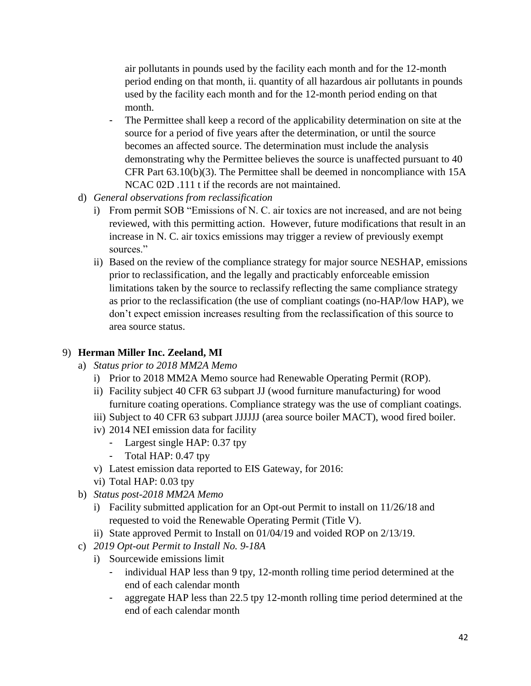air pollutants in pounds used by the facility each month and for the 12-month period ending on that month, ii. quantity of all hazardous air pollutants in pounds used by the facility each month and for the 12-month period ending on that month.

- The Permittee shall keep a record of the applicability determination on site at the source for a period of five years after the determination, or until the source becomes an affected source. The determination must include the analysis demonstrating why the Permittee believes the source is unaffected pursuant to 40 CFR Part 63.10(b)(3). The Permittee shall be deemed in noncompliance with 15A NCAC 02D .111 t if the records are not maintained.
- d) *General observations from reclassification*
	- i) From permit SOB "Emissions of N. C. air toxics are not increased, and are not being reviewed, with this permitting action. However, future modifications that result in an increase in N. C. air toxics emissions may trigger a review of previously exempt sources."
	- ii) Based on the review of the compliance strategy for major source NESHAP, emissions prior to reclassification, and the legally and practicably enforceable emission limitations taken by the source to reclassify reflecting the same compliance strategy as prior to the reclassification (the use of compliant coatings (no-HAP/low HAP), we don't expect emission increases resulting from the reclassification of this source to area source status.

# 9) **Herman Miller Inc. Zeeland, MI**

- a) *Status prior to 2018 MM2A Memo*
	- i) Prior to 2018 MM2A Memo source had Renewable Operating Permit (ROP).
	- ii) Facility subject 40 CFR 63 subpart JJ (wood furniture manufacturing) for wood furniture coating operations. Compliance strategy was the use of compliant coatings.
	- iii) Subject to 40 CFR 63 subpart JJJJJJ (area source boiler MACT), wood fired boiler.
	- iv) 2014 NEI emission data for facility
		- Largest single HAP: 0.37 tpy
		- Total HAP: 0.47 tpy
	- v) Latest emission data reported to EIS Gateway, for 2016:
	- vi) Total HAP: 0.03 tpy
- b) *Status post-2018 MM2A Memo*
	- i) Facility submitted application for an Opt-out Permit to install on 11/26/18 and requested to void the Renewable Operating Permit (Title V).
	- ii) State approved Permit to Install on 01/04/19 and voided ROP on 2/13/19.
- c) *2019 Opt-out Permit to Install No. 9-18A*
	- i) Sourcewide emissions limit
		- individual HAP less than 9 tpy, 12-month rolling time period determined at the end of each calendar month
		- aggregate HAP less than 22.5 tpy 12-month rolling time period determined at the end of each calendar month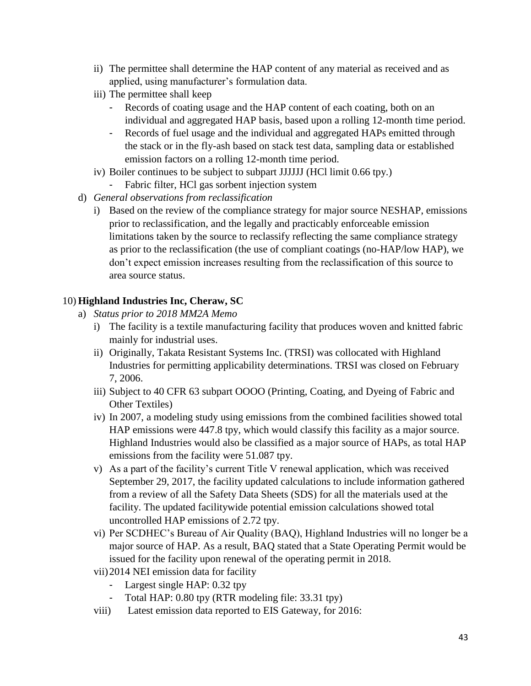- ii) The permittee shall determine the HAP content of any material as received and as applied, using manufacturer's formulation data.
- iii) The permittee shall keep
	- Records of coating usage and the HAP content of each coating, both on an individual and aggregated HAP basis, based upon a rolling 12-month time period.
	- Records of fuel usage and the individual and aggregated HAPs emitted through the stack or in the fly-ash based on stack test data, sampling data or established emission factors on a rolling 12-month time period.
- iv) Boiler continues to be subject to subpart JJJJJJ (HCl limit 0.66 tpy.)
	- Fabric filter, HCl gas sorbent injection system
- d) *General observations from reclassification*
	- i) Based on the review of the compliance strategy for major source NESHAP, emissions prior to reclassification, and the legally and practicably enforceable emission limitations taken by the source to reclassify reflecting the same compliance strategy as prior to the reclassification (the use of compliant coatings (no-HAP/low HAP), we don't expect emission increases resulting from the reclassification of this source to area source status.

### 10) **Highland Industries Inc, Cheraw, SC**

- a) *Status prior to 2018 MM2A Memo*
	- i) The facility is a textile manufacturing facility that produces woven and knitted fabric mainly for industrial uses.
	- ii) Originally, Takata Resistant Systems Inc. (TRSI) was collocated with Highland Industries for permitting applicability determinations. TRSI was closed on February 7, 2006.
	- iii) Subject to 40 CFR 63 subpart OOOO (Printing, Coating, and Dyeing of Fabric and Other Textiles)
	- iv) In 2007, a modeling study using emissions from the combined facilities showed total HAP emissions were 447.8 tpy, which would classify this facility as a major source. Highland Industries would also be classified as a major source of HAPs, as total HAP emissions from the facility were 51.087 tpy.
	- v) As a part of the facility's current Title V renewal application, which was received September 29, 2017, the facility updated calculations to include information gathered from a review of all the Safety Data Sheets (SDS) for all the materials used at the facility. The updated facilitywide potential emission calculations showed total uncontrolled HAP emissions of 2.72 tpy.
	- vi) Per SCDHEC's Bureau of Air Quality (BAQ), Highland Industries will no longer be a major source of HAP. As a result, BAQ stated that a State Operating Permit would be issued for the facility upon renewal of the operating permit in 2018.
	- vii)2014 NEI emission data for facility
		- Largest single HAP: 0.32 tpy
		- Total HAP: 0.80 tpy (RTR modeling file: 33.31 tpy)
	- viii) Latest emission data reported to EIS Gateway, for 2016: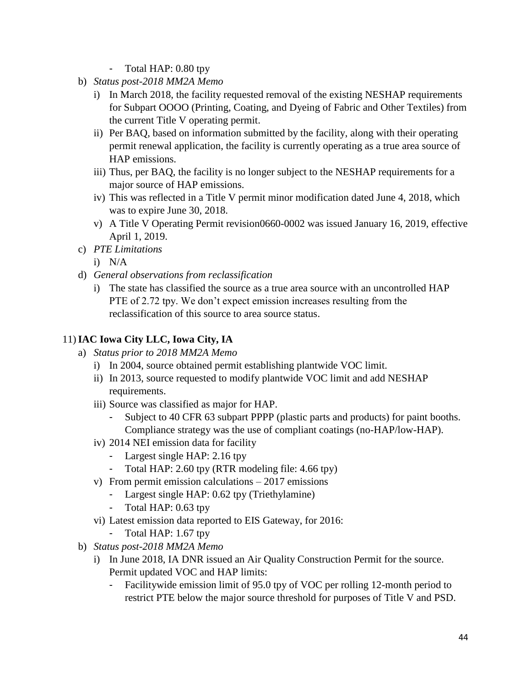- Total HAP: 0.80 tpy
- b) *Status post-2018 MM2A Memo*
	- i) In March 2018, the facility requested removal of the existing NESHAP requirements for Subpart OOOO (Printing, Coating, and Dyeing of Fabric and Other Textiles) from the current Title V operating permit.
	- ii) Per BAQ, based on information submitted by the facility, along with their operating permit renewal application, the facility is currently operating as a true area source of HAP emissions.
	- iii) Thus, per BAQ, the facility is no longer subject to the NESHAP requirements for a major source of HAP emissions.
	- iv) This was reflected in a Title V permit minor modification dated June 4, 2018, which was to expire June 30, 2018.
	- v) A Title V Operating Permit revision0660-0002 was issued January 16, 2019, effective April 1, 2019.
- c) *PTE Limitations*
	- i) N/A
- d) *General observations from reclassification*
	- i) The state has classified the source as a true area source with an uncontrolled HAP PTE of 2.72 tpy. We don't expect emission increases resulting from the reclassification of this source to area source status.

### 11)**IAC Iowa City LLC, Iowa City, IA**

- a) *Status prior to 2018 MM2A Memo*
	- i) In 2004, source obtained permit establishing plantwide VOC limit.
	- ii) In 2013, source requested to modify plantwide VOC limit and add NESHAP requirements.
	- iii) Source was classified as major for HAP.
		- Subject to 40 CFR 63 subpart PPPP (plastic parts and products) for paint booths. Compliance strategy was the use of compliant coatings (no-HAP/low-HAP).
	- iv) 2014 NEI emission data for facility
		- Largest single HAP: 2.16 tpy
		- Total HAP: 2.60 tpy (RTR modeling file: 4.66 tpy)
	- v) From permit emission calculations 2017 emissions
		- Largest single HAP: 0.62 tpy (Triethylamine)
		- Total HAP: 0.63 tpy
	- vi) Latest emission data reported to EIS Gateway, for 2016:
		- Total HAP: 1.67 tpy
- b) *Status post-2018 MM2A Memo*
	- i) In June 2018, IA DNR issued an Air Quality Construction Permit for the source. Permit updated VOC and HAP limits:
		- Facilitywide emission limit of 95.0 tpy of VOC per rolling 12-month period to restrict PTE below the major source threshold for purposes of Title V and PSD.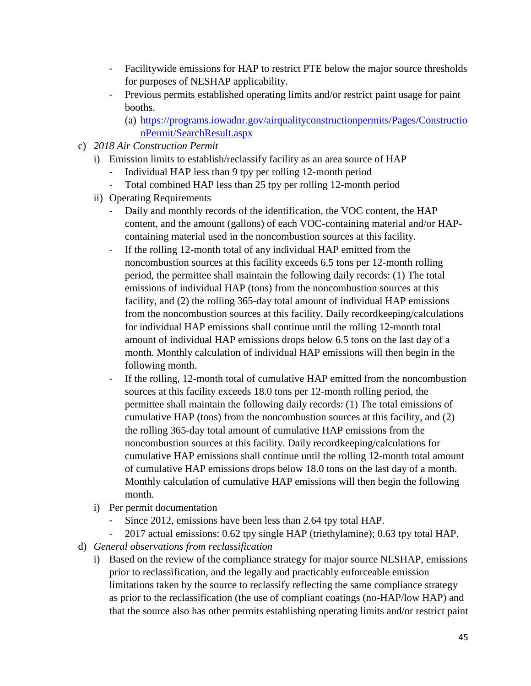- Facilitywide emissions for HAP to restrict PTE below the major source thresholds for purposes of NESHAP applicability.
- Previous permits established operating limits and/or restrict paint usage for paint booths.
	- (a) [https://programs.iowadnr.gov/airqualityconstructionpermits/Pages/Constructio](https://programs.iowadnr.gov/airqualityconstructionpermits/Pages/ConstructionPermit/SearchResult.aspx) [nPermit/SearchResult.aspx](https://programs.iowadnr.gov/airqualityconstructionpermits/Pages/ConstructionPermit/SearchResult.aspx)
- c) *2018 Air Construction Permit* 
	- i) Emission limits to establish/reclassify facility as an area source of HAP
		- Individual HAP less than 9 tpy per rolling 12-month period
		- Total combined HAP less than 25 tpy per rolling 12-month period
	- ii) Operating Requirements
		- Daily and monthly records of the identification, the VOC content, the HAP content, and the amount (gallons) of each VOC-containing material and/or HAPcontaining material used in the noncombustion sources at this facility.
		- If the rolling 12-month total of any individual HAP emitted from the noncombustion sources at this facility exceeds 6.5 tons per 12-month rolling period, the permittee shall maintain the following daily records: (1) The total emissions of individual HAP (tons) from the noncombustion sources at this facility, and (2) the rolling 365-day total amount of individual HAP emissions from the noncombustion sources at this facility. Daily recordkeeping/calculations for individual HAP emissions shall continue until the rolling 12-month total amount of individual HAP emissions drops below 6.5 tons on the last day of a month. Monthly calculation of individual HAP emissions will then begin in the following month.
		- If the rolling, 12-month total of cumulative HAP emitted from the noncombustion sources at this facility exceeds 18.0 tons per 12-month rolling period, the permittee shall maintain the following daily records: (1) The total emissions of cumulative HAP (tons) from the noncombustion sources at this facility, and (2) the rolling 365-day total amount of cumulative HAP emissions from the noncombustion sources at this facility. Daily recordkeeping/calculations for cumulative HAP emissions shall continue until the rolling 12-month total amount of cumulative HAP emissions drops below 18.0 tons on the last day of a month. Monthly calculation of cumulative HAP emissions will then begin the following month.
	- i) Per permit documentation
		- Since 2012, emissions have been less than 2.64 tpy total HAP.
		- 2017 actual emissions: 0.62 tpy single HAP (triethylamine); 0.63 tpy total HAP.
- d) *General observations from reclassification*
	- i) Based on the review of the compliance strategy for major source NESHAP, emissions prior to reclassification, and the legally and practicably enforceable emission limitations taken by the source to reclassify reflecting the same compliance strategy as prior to the reclassification (the use of compliant coatings (no-HAP/low HAP) and that the source also has other permits establishing operating limits and/or restrict paint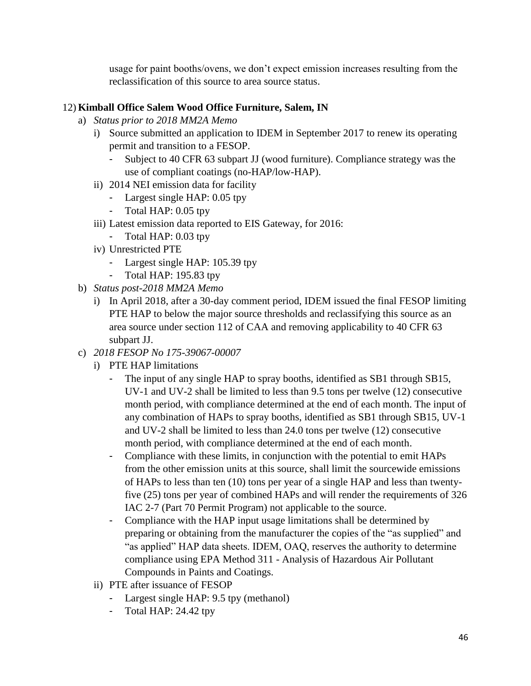usage for paint booths/ovens, we don't expect emission increases resulting from the reclassification of this source to area source status.

# 12) **Kimball Office Salem Wood Office Furniture, Salem, IN**

- a) *Status prior to 2018 MM2A Memo*
	- i) Source submitted an application to IDEM in September 2017 to renew its operating permit and transition to a FESOP.
		- Subject to 40 CFR 63 subpart JJ (wood furniture). Compliance strategy was the use of compliant coatings (no-HAP/low-HAP).
	- ii) 2014 NEI emission data for facility
		- Largest single HAP: 0.05 tpy
		- Total HAP: 0.05 tpy
	- iii) Latest emission data reported to EIS Gateway, for 2016:
		- Total HAP: 0.03 tpy
	- iv) Unrestricted PTE
		- Largest single HAP: 105.39 tpy
		- Total HAP: 195.83 tpy
- b) *Status post-2018 MM2A Memo*
	- i) In April 2018, after a 30-day comment period, IDEM issued the final FESOP limiting PTE HAP to below the major source thresholds and reclassifying this source as an area source under section 112 of CAA and removing applicability to 40 CFR 63 subpart JJ.
- c) *2018 FESOP No 175-39067-00007*
	- i) PTE HAP limitations
		- The input of any single HAP to spray booths, identified as SB1 through SB15, UV-1 and UV-2 shall be limited to less than 9.5 tons per twelve (12) consecutive month period, with compliance determined at the end of each month. The input of any combination of HAPs to spray booths, identified as SB1 through SB15, UV-1 and UV-2 shall be limited to less than 24.0 tons per twelve (12) consecutive month period, with compliance determined at the end of each month.
		- Compliance with these limits, in conjunction with the potential to emit HAPs from the other emission units at this source, shall limit the sourcewide emissions of HAPs to less than ten (10) tons per year of a single HAP and less than twentyfive (25) tons per year of combined HAPs and will render the requirements of 326 IAC 2-7 (Part 70 Permit Program) not applicable to the source.
		- Compliance with the HAP input usage limitations shall be determined by preparing or obtaining from the manufacturer the copies of the "as supplied" and "as applied" HAP data sheets. IDEM, OAQ, reserves the authority to determine compliance using EPA Method 311 - Analysis of Hazardous Air Pollutant Compounds in Paints and Coatings.
	- ii) PTE after issuance of FESOP
		- Largest single HAP: 9.5 tpy (methanol)
		- Total HAP: 24.42 tpy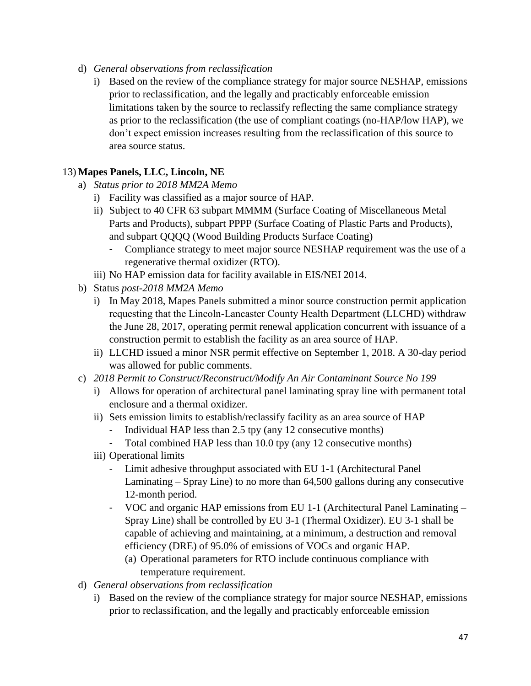- d) *General observations from reclassification*
	- i) Based on the review of the compliance strategy for major source NESHAP, emissions prior to reclassification, and the legally and practicably enforceable emission limitations taken by the source to reclassify reflecting the same compliance strategy as prior to the reclassification (the use of compliant coatings (no-HAP/low HAP), we don't expect emission increases resulting from the reclassification of this source to area source status.

# 13) **Mapes Panels, LLC, Lincoln, NE**

- a) *Status prior to 2018 MM2A Memo*
	- i) Facility was classified as a major source of HAP.
	- ii) Subject to 40 CFR 63 subpart MMMM (Surface Coating of Miscellaneous Metal Parts and Products), subpart PPPP (Surface Coating of Plastic Parts and Products), and subpart QQQQ (Wood Building Products Surface Coating)
		- Compliance strategy to meet major source NESHAP requirement was the use of a regenerative thermal oxidizer (RTO).
	- iii) No HAP emission data for facility available in EIS/NEI 2014.
- b) Status *post-2018 MM2A Memo*
	- i) In May 2018, Mapes Panels submitted a minor source construction permit application requesting that the Lincoln‐Lancaster County Health Department (LLCHD) withdraw the June 28, 2017, operating permit renewal application concurrent with issuance of a construction permit to establish the facility as an area source of HAP.
	- ii) LLCHD issued a minor NSR permit effective on September 1, 2018. A 30-day period was allowed for public comments.
- c) *2018 Permit to Construct/Reconstruct/Modify An Air Contaminant Source No 199*
	- i) Allows for operation of architectural panel laminating spray line with permanent total enclosure and a thermal oxidizer.
	- ii) Sets emission limits to establish/reclassify facility as an area source of HAP
		- Individual HAP less than 2.5 tpy (any 12 consecutive months)
		- Total combined HAP less than 10.0 tpy (any 12 consecutive months)
	- iii) Operational limits
		- Limit adhesive throughput associated with EU 1-1 (Architectural Panel Laminating – Spray Line) to no more than 64,500 gallons during any consecutive 12-month period.
		- VOC and organic HAP emissions from EU 1-1 (Architectural Panel Laminating Spray Line) shall be controlled by EU 3-1 (Thermal Oxidizer). EU 3-1 shall be capable of achieving and maintaining, at a minimum, a destruction and removal efficiency (DRE) of 95.0% of emissions of VOCs and organic HAP.
			- (a) Operational parameters for RTO include continuous compliance with temperature requirement.
- d) *General observations from reclassification*
	- i) Based on the review of the compliance strategy for major source NESHAP, emissions prior to reclassification, and the legally and practicably enforceable emission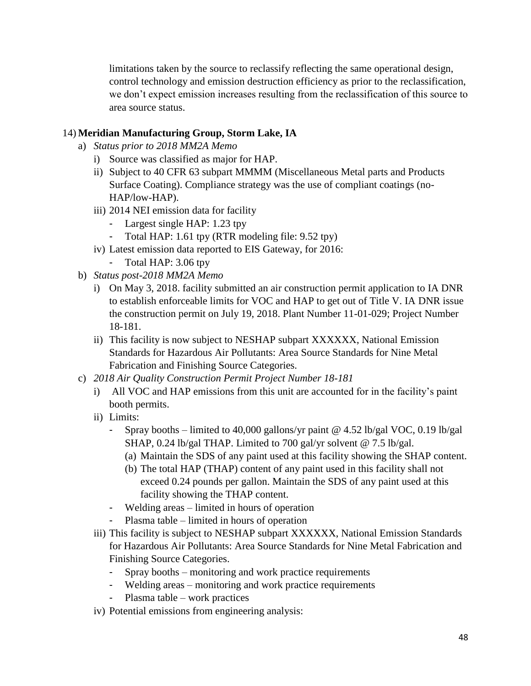limitations taken by the source to reclassify reflecting the same operational design, control technology and emission destruction efficiency as prior to the reclassification, we don't expect emission increases resulting from the reclassification of this source to area source status.

### 14) **Meridian Manufacturing Group, Storm Lake, IA**

- a) *Status prior to 2018 MM2A Memo*
	- i) Source was classified as major for HAP.
	- ii) Subject to 40 CFR 63 subpart MMMM (Miscellaneous Metal parts and Products Surface Coating). Compliance strategy was the use of compliant coatings (no-HAP/low-HAP).
	- iii) 2014 NEI emission data for facility
		- Largest single HAP: 1.23 tpy
		- Total HAP: 1.61 tpy (RTR modeling file: 9.52 tpy)
	- iv) Latest emission data reported to EIS Gateway, for 2016:
		- Total HAP: 3.06 tpy
- b) *Status post-2018 MM2A Memo*
	- i) On May 3, 2018. facility submitted an air construction permit application to IA DNR to establish enforceable limits for VOC and HAP to get out of Title V. IA DNR issue the construction permit on July 19, 2018. Plant Number 11-01-029; Project Number 18-181.
	- ii) This facility is now subject to NESHAP subpart XXXXXX, National Emission Standards for Hazardous Air Pollutants: Area Source Standards for Nine Metal Fabrication and Finishing Source Categories.
- c) *2018 Air Quality Construction Permit Project Number 18-181*
	- i) All VOC and HAP emissions from this unit are accounted for in the facility's paint booth permits.
	- ii) Limits:
		- Spray booths limited to 40,000 gallons/yr paint @ 4.52 lb/gal VOC, 0.19 lb/gal SHAP, 0.24 lb/gal THAP. Limited to 700 gal/yr solvent @ 7.5 lb/gal.
			- (a) Maintain the SDS of any paint used at this facility showing the SHAP content.
			- (b) The total HAP (THAP) content of any paint used in this facility shall not exceed 0.24 pounds per gallon. Maintain the SDS of any paint used at this facility showing the THAP content.
		- Welding areas limited in hours of operation
		- Plasma table limited in hours of operation
	- iii) This facility is subject to NESHAP subpart XXXXXX, National Emission Standards for Hazardous Air Pollutants: Area Source Standards for Nine Metal Fabrication and Finishing Source Categories.
		- Spray booths monitoring and work practice requirements
		- Welding areas monitoring and work practice requirements
		- Plasma table work practices
	- iv) Potential emissions from engineering analysis: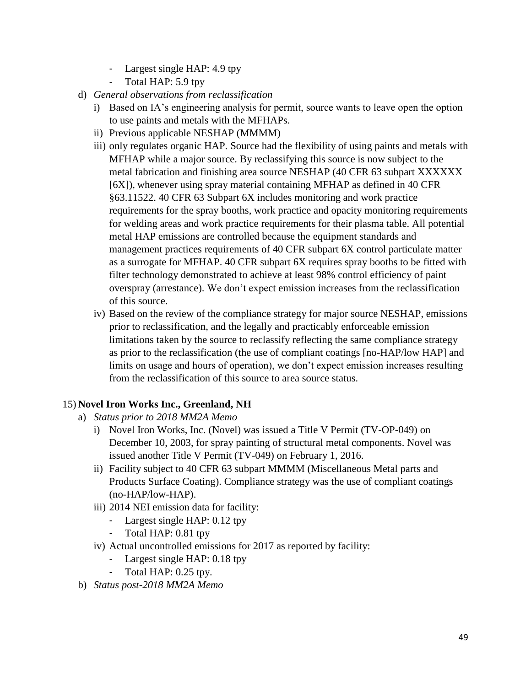- Largest single HAP: 4.9 tpy
- Total HAP: 5.9 tpy
- d) *General observations from reclassification*
	- i) Based on IA's engineering analysis for permit, source wants to leave open the option to use paints and metals with the MFHAPs.
	- ii) Previous applicable NESHAP (MMMM)
	- iii) only regulates organic HAP. Source had the flexibility of using paints and metals with MFHAP while a major source. By reclassifying this source is now subject to the metal fabrication and finishing area source NESHAP (40 CFR 63 subpart XXXXXX [6X]), whenever using spray material containing MFHAP as defined in 40 CFR §63.11522. 40 CFR 63 Subpart 6X includes monitoring and work practice requirements for the spray booths, work practice and opacity monitoring requirements for welding areas and work practice requirements for their plasma table. All potential metal HAP emissions are controlled because the equipment standards and management practices requirements of 40 CFR subpart 6X control particulate matter as a surrogate for MFHAP. 40 CFR subpart 6X requires spray booths to be fitted with filter technology demonstrated to achieve at least 98% control efficiency of paint overspray (arrestance). We don't expect emission increases from the reclassification of this source.
	- iv) Based on the review of the compliance strategy for major source NESHAP, emissions prior to reclassification, and the legally and practicably enforceable emission limitations taken by the source to reclassify reflecting the same compliance strategy as prior to the reclassification (the use of compliant coatings [no-HAP/low HAP] and limits on usage and hours of operation), we don't expect emission increases resulting from the reclassification of this source to area source status.

#### 15) **Novel Iron Works Inc., Greenland, NH**

- a) *Status prior to 2018 MM2A Memo*
	- i) Novel Iron Works, Inc. (Novel) was issued a Title V Permit (TV-OP-049) on December 10, 2003, for spray painting of structural metal components. Novel was issued another Title V Permit (TV-049) on February 1, 2016.
	- ii) Facility subject to 40 CFR 63 subpart MMMM (Miscellaneous Metal parts and Products Surface Coating). Compliance strategy was the use of compliant coatings (no-HAP/low-HAP).
	- iii) 2014 NEI emission data for facility:
		- Largest single HAP: 0.12 tpy
		- Total HAP: 0.81 tpy
	- iv) Actual uncontrolled emissions for 2017 as reported by facility:
		- Largest single HAP: 0.18 tpy
		- Total HAP: 0.25 tpy.
- b) *Status post-2018 MM2A Memo*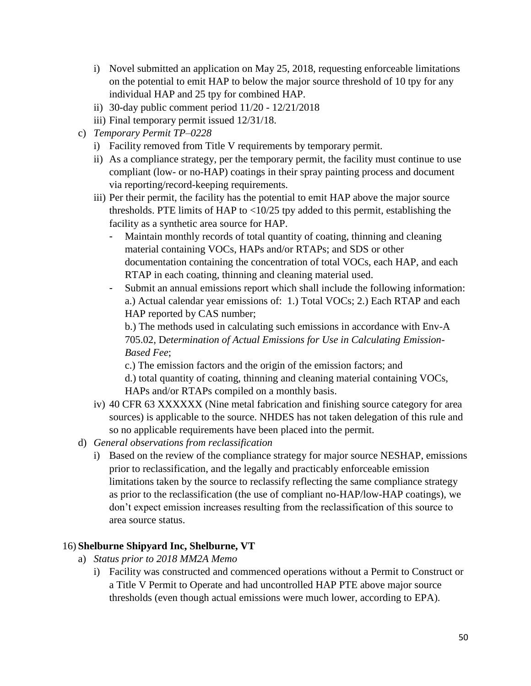- i) Novel submitted an application on May 25, 2018, requesting enforceable limitations on the potential to emit HAP to below the major source threshold of 10 tpy for any individual HAP and 25 tpy for combined HAP.
- ii) 30-day public comment period 11/20 12/21/2018
- iii) Final temporary permit issued 12/31/18.
- c) *Temporary Permit TP–0228*
	- i) Facility removed from Title V requirements by temporary permit.
	- ii) As a compliance strategy, per the temporary permit, the facility must continue to use compliant (low- or no-HAP) coatings in their spray painting process and document via reporting/record-keeping requirements.
	- iii) Per their permit, the facility has the potential to emit HAP above the major source thresholds. PTE limits of HAP to  $\langle 10/25 \rangle$  tpy added to this permit, establishing the facility as a synthetic area source for HAP.
		- Maintain monthly records of total quantity of coating, thinning and cleaning material containing VOCs, HAPs and/or RTAPs; and SDS or other documentation containing the concentration of total VOCs, each HAP, and each RTAP in each coating, thinning and cleaning material used.
		- Submit an annual emissions report which shall include the following information: a.) Actual calendar year emissions of: 1.) Total VOCs; 2.) Each RTAP and each HAP reported by CAS number;

b.) The methods used in calculating such emissions in accordance with Env-A 705.02, D*etermination of Actual Emissions for Use in Calculating Emission-Based Fee*;

c.) The emission factors and the origin of the emission factors; and

d.) total quantity of coating, thinning and cleaning material containing VOCs, HAPs and/or RTAPs compiled on a monthly basis.

- iv) 40 CFR 63 XXXXXX (Nine metal fabrication and finishing source category for area sources) is applicable to the source. NHDES has not taken delegation of this rule and so no applicable requirements have been placed into the permit.
- d) *General observations from reclassification*
	- i) Based on the review of the compliance strategy for major source NESHAP, emissions prior to reclassification, and the legally and practicably enforceable emission limitations taken by the source to reclassify reflecting the same compliance strategy as prior to the reclassification (the use of compliant no-HAP/low-HAP coatings), we don't expect emission increases resulting from the reclassification of this source to area source status.

# 16) **Shelburne Shipyard Inc, Shelburne, VT**

- a) *Status prior to 2018 MM2A Memo*
	- i) Facility was constructed and commenced operations without a Permit to Construct or a Title V Permit to Operate and had uncontrolled HAP PTE above major source thresholds (even though actual emissions were much lower, according to EPA).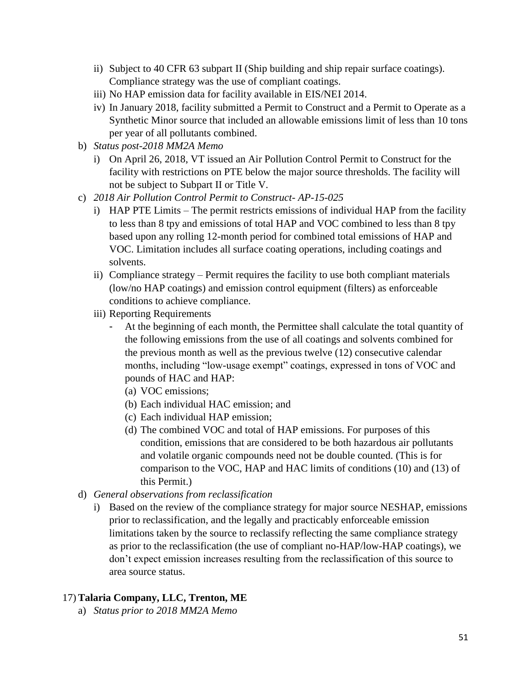- ii) Subject to 40 CFR 63 subpart II (Ship building and ship repair surface coatings). Compliance strategy was the use of compliant coatings.
- iii) No HAP emission data for facility available in EIS/NEI 2014.
- iv) In January 2018, facility submitted a Permit to Construct and a Permit to Operate as a Synthetic Minor source that included an allowable emissions limit of less than 10 tons per year of all pollutants combined.
- b) *Status post-2018 MM2A Memo*
	- i) On April 26, 2018, VT issued an Air Pollution Control Permit to Construct for the facility with restrictions on PTE below the major source thresholds. The facility will not be subject to Subpart II or Title V.
- c) *2018 Air Pollution Control Permit to Construct- AP-15-025*
	- i) HAP PTE Limits The permit restricts emissions of individual HAP from the facility to less than 8 tpy and emissions of total HAP and VOC combined to less than 8 tpy based upon any rolling 12-month period for combined total emissions of HAP and VOC. Limitation includes all surface coating operations, including coatings and solvents.
	- ii) Compliance strategy Permit requires the facility to use both compliant materials (low/no HAP coatings) and emission control equipment (filters) as enforceable conditions to achieve compliance.
	- iii) Reporting Requirements
		- At the beginning of each month, the Permittee shall calculate the total quantity of the following emissions from the use of all coatings and solvents combined for the previous month as well as the previous twelve (12) consecutive calendar months, including "low-usage exempt" coatings, expressed in tons of VOC and pounds of HAC and HAP:
			- (a) VOC emissions;
			- (b) Each individual HAC emission; and
			- (c) Each individual HAP emission;
			- (d) The combined VOC and total of HAP emissions. For purposes of this condition, emissions that are considered to be both hazardous air pollutants and volatile organic compounds need not be double counted. (This is for comparison to the VOC, HAP and HAC limits of conditions (10) and (13) of this Permit.)
- d) *General observations from reclassification*
	- i) Based on the review of the compliance strategy for major source NESHAP, emissions prior to reclassification, and the legally and practicably enforceable emission limitations taken by the source to reclassify reflecting the same compliance strategy as prior to the reclassification (the use of compliant no-HAP/low-HAP coatings), we don't expect emission increases resulting from the reclassification of this source to area source status.

### 17) **Talaria Company, LLC, Trenton, ME**

a) *Status prior to 2018 MM2A Memo*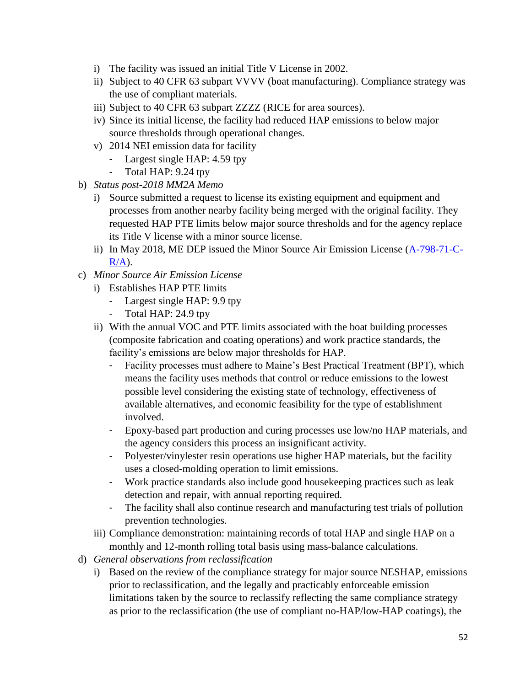- i) The facility was issued an initial Title V License in 2002.
- ii) Subject to 40 CFR 63 subpart VVVV (boat manufacturing). Compliance strategy was the use of compliant materials.
- iii) Subject to 40 CFR 63 subpart ZZZZ (RICE for area sources).
- iv) Since its initial license, the facility had reduced HAP emissions to below major source thresholds through operational changes.
- v) 2014 NEI emission data for facility
	- Largest single HAP: 4.59 tpy
	- Total HAP: 9.24 tpy
- b) *Status post-2018 MM2A Memo*
	- i) Source submitted a request to license its existing equipment and equipment and processes from another nearby facility being merged with the original facility. They requested HAP PTE limits below major source thresholds and for the agency replace its Title V license with a minor source license.
	- ii) In May 2018, ME DEP issued the Minor Source Air Emission License [\(A-798-71-C-](http://www.maine.gov/dep/ftp/AIR/licenses/ch115/A0798CRA.pdf) $R/A$ ).
- c) *Minor Source Air Emission License*
	- i) Establishes HAP PTE limits
		- Largest single HAP: 9.9 tpy
		- Total HAP: 24.9 tpy
	- ii) With the annual VOC and PTE limits associated with the boat building processes (composite fabrication and coating operations) and work practice standards, the facility's emissions are below major thresholds for HAP.
		- Facility processes must adhere to Maine's Best Practical Treatment (BPT), which means the facility uses methods that control or reduce emissions to the lowest possible level considering the existing state of technology, effectiveness of available alternatives, and economic feasibility for the type of establishment involved.
		- Epoxy-based part production and curing processes use low/no HAP materials, and the agency considers this process an insignificant activity.
		- Polyester/vinylester resin operations use higher HAP materials, but the facility uses a closed-molding operation to limit emissions.
		- Work practice standards also include good housekeeping practices such as leak detection and repair, with annual reporting required.
		- The facility shall also continue research and manufacturing test trials of pollution prevention technologies.
	- iii) Compliance demonstration: maintaining records of total HAP and single HAP on a monthly and 12-month rolling total basis using mass-balance calculations.
- d) *General observations from reclassification*
	- i) Based on the review of the compliance strategy for major source NESHAP, emissions prior to reclassification, and the legally and practicably enforceable emission limitations taken by the source to reclassify reflecting the same compliance strategy as prior to the reclassification (the use of compliant no-HAP/low-HAP coatings), the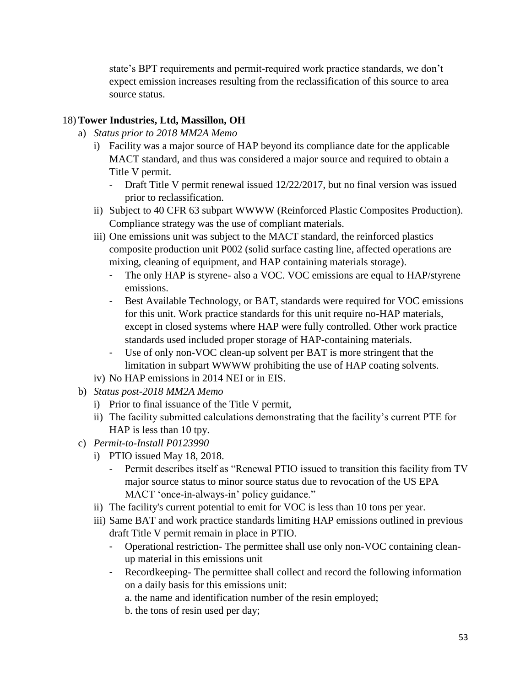state's BPT requirements and permit-required work practice standards, we don't expect emission increases resulting from the reclassification of this source to area source status.

## 18) **Tower Industries, Ltd, Massillon, OH**

- a) *Status prior to 2018 MM2A Memo*
	- i) Facility was a major source of HAP beyond its compliance date for the applicable MACT standard, and thus was considered a major source and required to obtain a Title V permit.
		- Draft Title V permit renewal issued 12/22/2017, but no final version was issued prior to reclassification.
	- ii) Subject to 40 CFR 63 subpart WWWW (Reinforced Plastic Composites Production). Compliance strategy was the use of compliant materials.
	- iii) One emissions unit was subject to the MACT standard, the reinforced plastics composite production unit P002 (solid surface casting line, affected operations are mixing, cleaning of equipment, and HAP containing materials storage).
		- The only HAP is styrene- also a VOC. VOC emissions are equal to HAP/styrene emissions.
		- Best Available Technology, or BAT, standards were required for VOC emissions for this unit. Work practice standards for this unit require no-HAP materials, except in closed systems where HAP were fully controlled. Other work practice standards used included proper storage of HAP-containing materials.
		- Use of only non-VOC clean-up solvent per BAT is more stringent that the limitation in subpart WWWW prohibiting the use of HAP coating solvents.
	- iv) No HAP emissions in 2014 NEI or in EIS.
- b) *Status post-2018 MM2A Memo*
	- i) Prior to final issuance of the Title V permit,
	- ii) The facility submitted calculations demonstrating that the facility's current PTE for HAP is less than 10 tpy.
- c) *Permit-to-Install P0123990*
	- i) PTIO issued May 18, 2018.
		- Permit describes itself as "Renewal PTIO issued to transition this facility from TV major source status to minor source status due to revocation of the US EPA MACT 'once-in-always-in' policy guidance."
	- ii) The facility's current potential to emit for VOC is less than 10 tons per year.
	- iii) Same BAT and work practice standards limiting HAP emissions outlined in previous draft Title V permit remain in place in PTIO.
		- Operational restriction- The permittee shall use only non-VOC containing cleanup material in this emissions unit
		- Recordkeeping- The permittee shall collect and record the following information on a daily basis for this emissions unit:
			- a. the name and identification number of the resin employed;
			- b. the tons of resin used per day;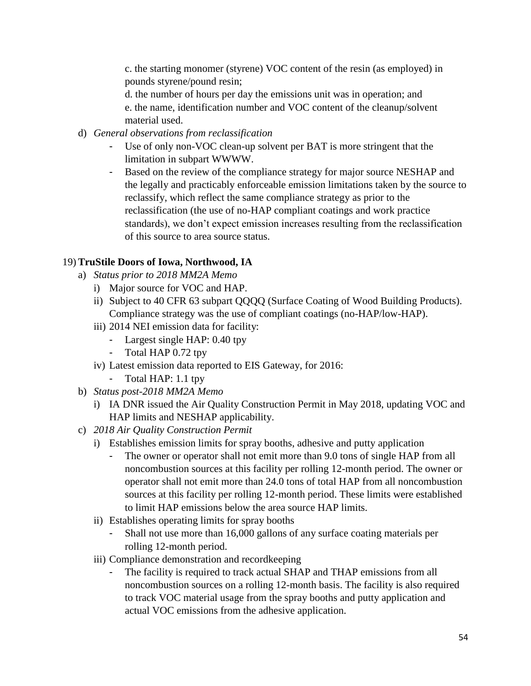c. the starting monomer (styrene) VOC content of the resin (as employed) in pounds styrene/pound resin;

d. the number of hours per day the emissions unit was in operation; and e. the name, identification number and VOC content of the cleanup/solvent material used.

- d) *General observations from reclassification*
	- Use of only non-VOC clean-up solvent per BAT is more stringent that the limitation in subpart WWWW.
	- Based on the review of the compliance strategy for major source NESHAP and the legally and practicably enforceable emission limitations taken by the source to reclassify, which reflect the same compliance strategy as prior to the reclassification (the use of no-HAP compliant coatings and work practice standards), we don't expect emission increases resulting from the reclassification of this source to area source status.

# 19) **TruStile Doors of Iowa, Northwood, IA**

- a) *Status prior to 2018 MM2A Memo*
	- i) Major source for VOC and HAP.
	- ii) Subject to 40 CFR 63 subpart QQQQ (Surface Coating of Wood Building Products). Compliance strategy was the use of compliant coatings (no-HAP/low-HAP).
	- iii) 2014 NEI emission data for facility:
		- Largest single HAP: 0.40 tpy
		- Total HAP 0.72 tpy
	- iv) Latest emission data reported to EIS Gateway, for 2016:
		- Total HAP: 1.1 tpy
- b) *Status post-2018 MM2A Memo*
	- i) IA DNR issued the Air Quality Construction Permit in May 2018, updating VOC and HAP limits and NESHAP applicability.
- c) *2018 Air Quality Construction Permit*
	- i) Establishes emission limits for spray booths, adhesive and putty application
		- The owner or operator shall not emit more than 9.0 tons of single HAP from all noncombustion sources at this facility per rolling 12-month period. The owner or operator shall not emit more than 24.0 tons of total HAP from all noncombustion sources at this facility per rolling 12-month period. These limits were established to limit HAP emissions below the area source HAP limits.
	- ii) Establishes operating limits for spray booths
		- Shall not use more than 16,000 gallons of any surface coating materials per rolling 12-month period.
	- iii) Compliance demonstration and recordkeeping
		- The facility is required to track actual SHAP and THAP emissions from all noncombustion sources on a rolling 12-month basis. The facility is also required to track VOC material usage from the spray booths and putty application and actual VOC emissions from the adhesive application.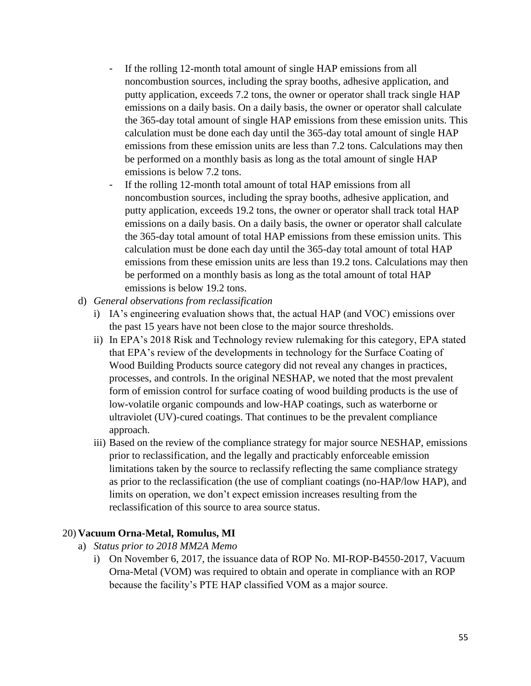- If the rolling 12-month total amount of single HAP emissions from all noncombustion sources, including the spray booths, adhesive application, and putty application, exceeds 7.2 tons, the owner or operator shall track single HAP emissions on a daily basis. On a daily basis, the owner or operator shall calculate the 365-day total amount of single HAP emissions from these emission units. This calculation must be done each day until the 365-day total amount of single HAP emissions from these emission units are less than 7.2 tons. Calculations may then be performed on a monthly basis as long as the total amount of single HAP emissions is below 7.2 tons.
- If the rolling 12-month total amount of total HAP emissions from all noncombustion sources, including the spray booths, adhesive application, and putty application, exceeds 19.2 tons, the owner or operator shall track total HAP emissions on a daily basis. On a daily basis, the owner or operator shall calculate the 365-day total amount of total HAP emissions from these emission units. This calculation must be done each day until the 365-day total amount of total HAP emissions from these emission units are less than 19.2 tons. Calculations may then be performed on a monthly basis as long as the total amount of total HAP emissions is below 19.2 tons.
- d) *General observations from reclassification*
	- i) IA's engineering evaluation shows that, the actual HAP (and VOC) emissions over the past 15 years have not been close to the major source thresholds.
	- ii) In EPA's 2018 Risk and Technology review rulemaking for this category, EPA stated that EPA's review of the developments in technology for the Surface Coating of Wood Building Products source category did not reveal any changes in practices, processes, and controls. In the original NESHAP, we noted that the most prevalent form of emission control for surface coating of wood building products is the use of low-volatile organic compounds and low-HAP coatings, such as waterborne or ultraviolet (UV)-cured coatings. That continues to be the prevalent compliance approach.
	- iii) Based on the review of the compliance strategy for major source NESHAP, emissions prior to reclassification, and the legally and practicably enforceable emission limitations taken by the source to reclassify reflecting the same compliance strategy as prior to the reclassification (the use of compliant coatings (no-HAP/low HAP), and limits on operation, we don't expect emission increases resulting from the reclassification of this source to area source status.

### 20) **Vacuum Orna-Metal, Romulus, MI**

- a) *Status prior to 2018 MM2A Memo*
	- i) On November 6, 2017, the issuance data of ROP No. MI-ROP-B4550-2017, Vacuum Orna-Metal (VOM) was required to obtain and operate in compliance with an ROP because the facility's PTE HAP classified VOM as a major source.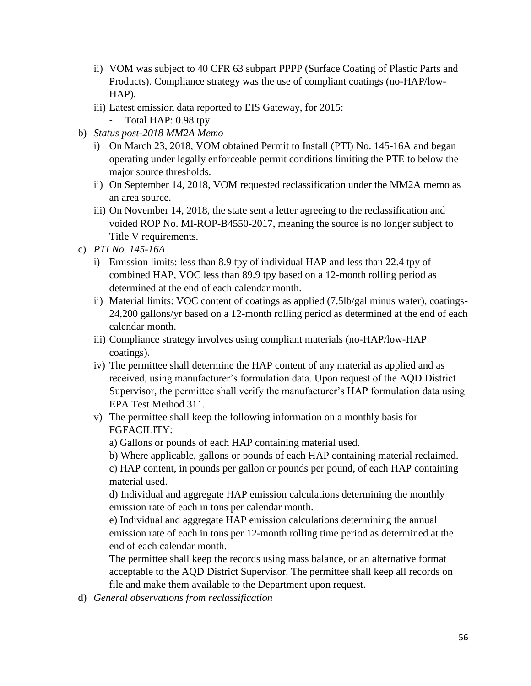- ii) VOM was subject to 40 CFR 63 subpart PPPP (Surface Coating of Plastic Parts and Products). Compliance strategy was the use of compliant coatings (no-HAP/low-HAP).
- iii) Latest emission data reported to EIS Gateway, for 2015:
	- Total HAP: 0.98 tpy
- b) *Status post-2018 MM2A Memo*
	- i) On March 23, 2018, VOM obtained Permit to Install (PTI) No. 145-16A and began operating under legally enforceable permit conditions limiting the PTE to below the major source thresholds.
	- ii) On September 14, 2018, VOM requested reclassification under the MM2A memo as an area source.
	- iii) On November 14, 2018, the state sent a letter agreeing to the reclassification and voided ROP No. MI-ROP-B4550-2017, meaning the source is no longer subject to Title V requirements.
- c) *PTI No. 145-16A*
	- i) Emission limits: less than 8.9 tpy of individual HAP and less than 22.4 tpy of combined HAP, VOC less than 89.9 tpy based on a 12-month rolling period as determined at the end of each calendar month.
	- ii) Material limits: VOC content of coatings as applied (7.5lb/gal minus water), coatings-24,200 gallons/yr based on a 12-month rolling period as determined at the end of each calendar month.
	- iii) Compliance strategy involves using compliant materials (no-HAP/low-HAP coatings).
	- iv) The permittee shall determine the HAP content of any material as applied and as received, using manufacturer's formulation data. Upon request of the AQD District Supervisor, the permittee shall verify the manufacturer's HAP formulation data using EPA Test Method 311.
	- v) The permittee shall keep the following information on a monthly basis for FGFACILITY:
		- a) Gallons or pounds of each HAP containing material used.
		- b) Where applicable, gallons or pounds of each HAP containing material reclaimed.

c) HAP content, in pounds per gallon or pounds per pound, of each HAP containing material used.

d) Individual and aggregate HAP emission calculations determining the monthly emission rate of each in tons per calendar month.

e) Individual and aggregate HAP emission calculations determining the annual emission rate of each in tons per 12-month rolling time period as determined at the end of each calendar month.

The permittee shall keep the records using mass balance, or an alternative format acceptable to the AQD District Supervisor. The permittee shall keep all records on file and make them available to the Department upon request.

d) *General observations from reclassification*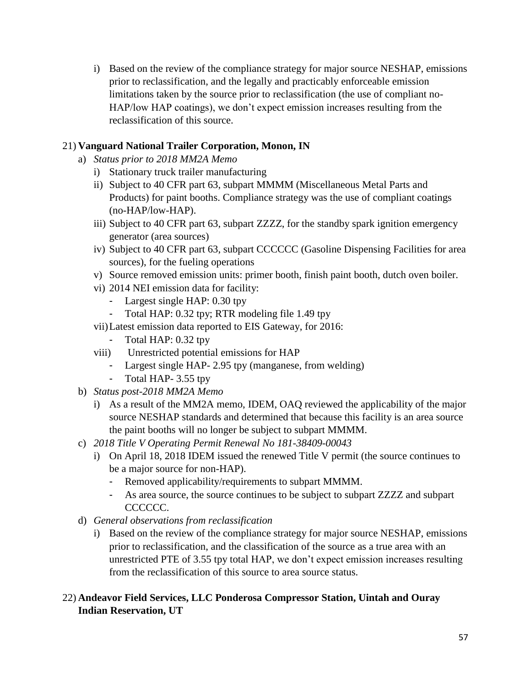i) Based on the review of the compliance strategy for major source NESHAP, emissions prior to reclassification, and the legally and practicably enforceable emission limitations taken by the source prior to reclassification (the use of compliant no-HAP/low HAP coatings), we don't expect emission increases resulting from the reclassification of this source.

## 21) **Vanguard National Trailer Corporation, Monon, IN**

- a) *Status prior to 2018 MM2A Memo*
	- i) Stationary truck trailer manufacturing
	- ii) Subject to 40 CFR part 63, subpart MMMM (Miscellaneous Metal Parts and Products) for paint booths. Compliance strategy was the use of compliant coatings (no-HAP/low-HAP).
	- iii) Subject to 40 CFR part 63, subpart ZZZZ, for the standby spark ignition emergency generator (area sources)
	- iv) Subject to 40 CFR part 63, subpart CCCCCC (Gasoline Dispensing Facilities for area sources), for the fueling operations
	- v) Source removed emission units: primer booth, finish paint booth, dutch oven boiler.
	- vi) 2014 NEI emission data for facility:
		- Largest single HAP: 0.30 tpy
		- Total HAP: 0.32 tpy; RTR modeling file 1.49 tpy
	- vii)Latest emission data reported to EIS Gateway, for 2016:
		- Total HAP: 0.32 tpy
	- viii) Unrestricted potential emissions for HAP
		- Largest single HAP- 2.95 tpy (manganese, from welding)
		- Total HAP- 3.55 tpy
- b) *Status post-2018 MM2A Memo*
	- i) As a result of the MM2A memo, IDEM, OAQ reviewed the applicability of the major source NESHAP standards and determined that because this facility is an area source the paint booths will no longer be subject to subpart MMMM.
- c) *2018 Title V Operating Permit Renewal No 181-38409-00043*
	- i) On April 18, 2018 IDEM issued the renewed Title V permit (the source continues to be a major source for non-HAP).
		- Removed applicability/requirements to subpart MMMM.
		- As area source, the source continues to be subject to subpart ZZZZ and subpart CCCCCC.
- d) *General observations from reclassification*
	- i) Based on the review of the compliance strategy for major source NESHAP, emissions prior to reclassification, and the classification of the source as a true area with an unrestricted PTE of 3.55 tpy total HAP, we don't expect emission increases resulting from the reclassification of this source to area source status.

### 22) **Andeavor Field Services, LLC Ponderosa Compressor Station, Uintah and Ouray Indian Reservation, UT**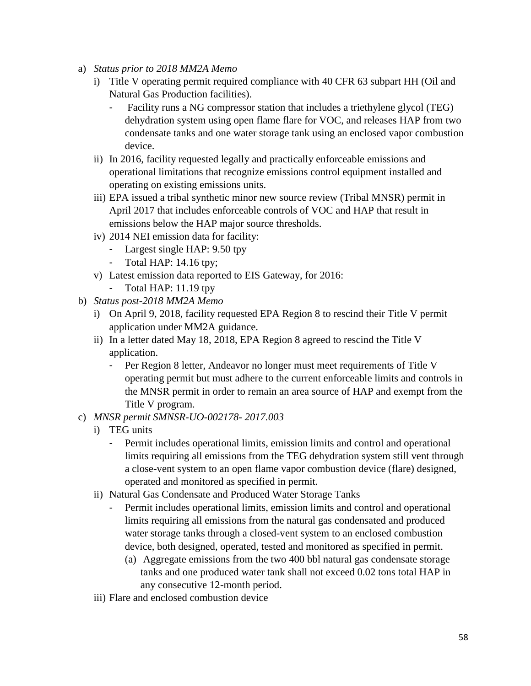- a) *Status prior to 2018 MM2A Memo*
	- i) Title V operating permit required compliance with 40 CFR 63 subpart HH (Oil and Natural Gas Production facilities).
		- Facility runs a NG compressor station that includes a triethylene glycol (TEG) dehydration system using open flame flare for VOC, and releases HAP from two condensate tanks and one water storage tank using an enclosed vapor combustion device.
	- ii) In 2016, facility requested legally and practically enforceable emissions and operational limitations that recognize emissions control equipment installed and operating on existing emissions units.
	- iii) EPA issued a tribal synthetic minor new source review (Tribal MNSR) permit in April 2017 that includes enforceable controls of VOC and HAP that result in emissions below the HAP major source thresholds.
	- iv) 2014 NEI emission data for facility:
		- Largest single HAP: 9.50 tpy
		- Total HAP: 14.16 tpy;
	- v) Latest emission data reported to EIS Gateway, for 2016:
		- Total HAP: 11.19 tpy
- b) *Status post-2018 MM2A Memo*
	- i) On April 9, 2018, facility requested EPA Region 8 to rescind their Title V permit application under MM2A guidance.
	- ii) In a letter dated May 18, 2018, EPA Region 8 agreed to rescind the Title V application.
		- Per Region 8 letter, Andeavor no longer must meet requirements of Title V operating permit but must adhere to the current enforceable limits and controls in the MNSR permit in order to remain an area source of HAP and exempt from the Title V program.
- c) *MNSR permit SMNSR-UO-002178- 2017.003*
	- i) TEG units
		- Permit includes operational limits, emission limits and control and operational limits requiring all emissions from the TEG dehydration system still vent through a close-vent system to an open flame vapor combustion device (flare) designed, operated and monitored as specified in permit.
	- ii) Natural Gas Condensate and Produced Water Storage Tanks
		- Permit includes operational limits, emission limits and control and operational limits requiring all emissions from the natural gas condensated and produced water storage tanks through a closed-vent system to an enclosed combustion device, both designed, operated, tested and monitored as specified in permit.
			- (a) Aggregate emissions from the two 400 bbl natural gas condensate storage tanks and one produced water tank shall not exceed 0.02 tons total HAP in any consecutive 12-month period.
	- iii) Flare and enclosed combustion device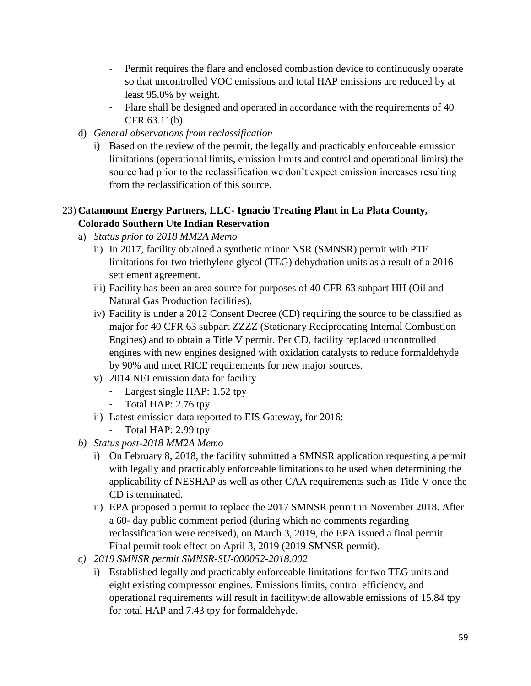- Permit requires the flare and enclosed combustion device to continuously operate so that uncontrolled VOC emissions and total HAP emissions are reduced by at least 95.0% by weight.
- Flare shall be designed and operated in accordance with the requirements of 40 CFR 63.11(b).
- d) *General observations from reclassification*
	- i) Based on the review of the permit, the legally and practicably enforceable emission limitations (operational limits, emission limits and control and operational limits) the source had prior to the reclassification we don't expect emission increases resulting from the reclassification of this source.

## 23) **Catamount Energy Partners, LLC- Ignacio Treating Plant in La Plata County, Colorado Southern Ute Indian Reservation**

- a) *Status prior to 2018 MM2A Memo*
	- ii) In 2017, facility obtained a synthetic minor NSR (SMNSR) permit with PTE limitations for two triethylene glycol (TEG) dehydration units as a result of a 2016 settlement agreement.
	- iii) Facility has been an area source for purposes of 40 CFR 63 subpart HH (Oil and Natural Gas Production facilities).
	- iv) Facility is under a 2012 Consent Decree (CD) requiring the source to be classified as major for 40 CFR 63 subpart ZZZZ (Stationary Reciprocating Internal Combustion Engines) and to obtain a Title V permit. Per CD, facility replaced uncontrolled engines with new engines designed with oxidation catalysts to reduce formaldehyde by 90% and meet RICE requirements for new major sources.
	- v) 2014 NEI emission data for facility
		- Largest single HAP: 1.52 tpy
		- Total HAP: 2.76 tpy
	- ii) Latest emission data reported to EIS Gateway, for 2016:
		- Total HAP: 2.99 tpy
- *b) Status post-2018 MM2A Memo*
	- i) On February 8, 2018, the facility submitted a SMNSR application requesting a permit with legally and practicably enforceable limitations to be used when determining the applicability of NESHAP as well as other CAA requirements such as Title V once the CD is terminated.
	- ii) EPA proposed a permit to replace the 2017 SMNSR permit in November 2018. After a 60- day public comment period (during which no comments regarding reclassification were received), on March 3, 2019, the EPA issued a final permit. Final permit took effect on April 3, 2019 (2019 SMNSR permit).
- *c) 2019 SMNSR permit SMNSR-SU-000052-2018.002*
	- i) Established legally and practicably enforceable limitations for two TEG units and eight existing compressor engines. Emissions limits, control efficiency, and operational requirements will result in facilitywide allowable emissions of 15.84 tpy for total HAP and 7.43 tpy for formaldehyde.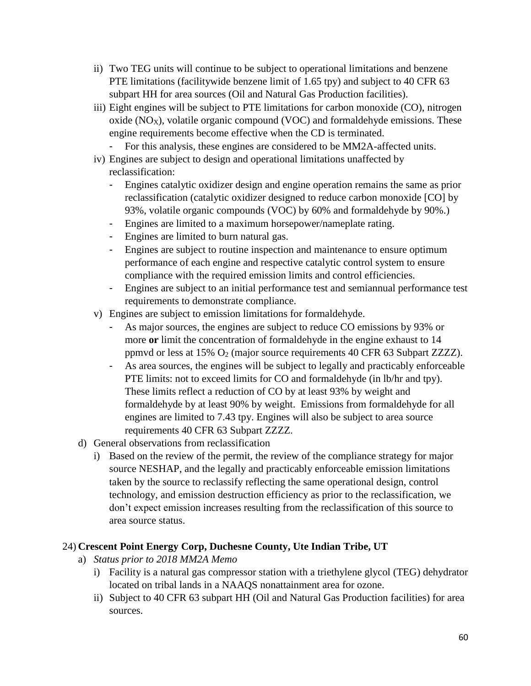- ii) Two TEG units will continue to be subject to operational limitations and benzene PTE limitations (facilitywide benzene limit of 1.65 tpy) and subject to 40 CFR 63 subpart HH for area sources (Oil and Natural Gas Production facilities).
- iii) Eight engines will be subject to PTE limitations for carbon monoxide (CO), nitrogen oxide  $(NO_X)$ , volatile organic compound  $(VOC)$  and formaldehyde emissions. These engine requirements become effective when the CD is terminated.
	- For this analysis, these engines are considered to be MM2A-affected units.
- iv) Engines are subject to design and operational limitations unaffected by reclassification:
	- Engines catalytic oxidizer design and engine operation remains the same as prior reclassification (catalytic oxidizer designed to reduce carbon monoxide [CO] by 93%, volatile organic compounds (VOC) by 60% and formaldehyde by 90%.)
	- Engines are limited to a maximum horsepower/nameplate rating.
	- Engines are limited to burn natural gas.
	- Engines are subject to routine inspection and maintenance to ensure optimum performance of each engine and respective catalytic control system to ensure compliance with the required emission limits and control efficiencies.
	- Engines are subject to an initial performance test and semiannual performance test requirements to demonstrate compliance.
- v) Engines are subject to emission limitations for formaldehyde.
	- As major sources, the engines are subject to reduce CO emissions by 93% or more **or** limit the concentration of formaldehyde in the engine exhaust to 14 ppmvd or less at 15% O<sup>2</sup> (major source requirements 40 CFR 63 Subpart ZZZZ).
	- As area sources, the engines will be subject to legally and practicably enforceable PTE limits: not to exceed limits for CO and formaldehyde (in lb/hr and tpy). These limits reflect a reduction of CO by at least 93% by weight and formaldehyde by at least 90% by weight. Emissions from formaldehyde for all engines are limited to 7.43 tpy. Engines will also be subject to area source requirements 40 CFR 63 Subpart ZZZZ.
- d) General observations from reclassification
	- i) Based on the review of the permit, the review of the compliance strategy for major source NESHAP, and the legally and practicably enforceable emission limitations taken by the source to reclassify reflecting the same operational design, control technology, and emission destruction efficiency as prior to the reclassification, we don't expect emission increases resulting from the reclassification of this source to area source status.

### 24) **Crescent Point Energy Corp, Duchesne County, Ute Indian Tribe, UT**

- a) *Status prior to 2018 MM2A Memo*
	- i) Facility is a natural gas compressor station with a triethylene glycol (TEG) dehydrator located on tribal lands in a NAAQS nonattainment area for ozone.
	- ii) Subject to 40 CFR 63 subpart HH (Oil and Natural Gas Production facilities) for area sources.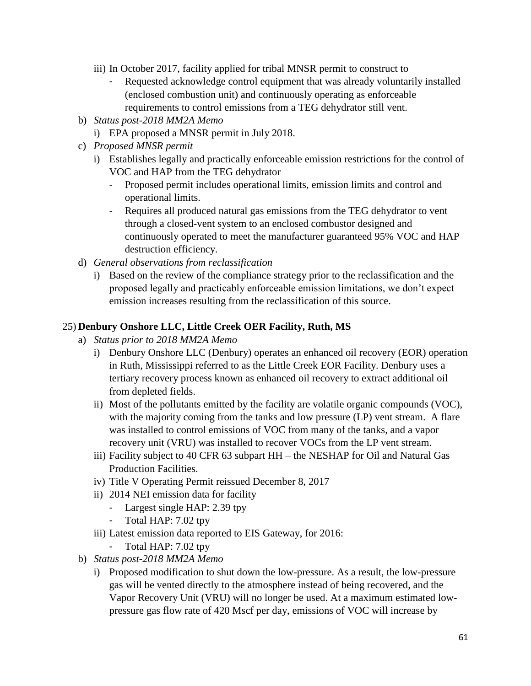- iii) In October 2017, facility applied for tribal MNSR permit to construct to
	- Requested acknowledge control equipment that was already voluntarily installed (enclosed combustion unit) and continuously operating as enforceable requirements to control emissions from a TEG dehydrator still vent.
- b) *Status post-2018 MM2A Memo*
	- i) EPA proposed a MNSR permit in July 2018.
- c) *Proposed MNSR permit*
	- i) Establishes legally and practically enforceable emission restrictions for the control of VOC and HAP from the TEG dehydrator
		- Proposed permit includes operational limits, emission limits and control and operational limits.
		- Requires all produced natural gas emissions from the TEG dehydrator to vent through a closed-vent system to an enclosed combustor designed and continuously operated to meet the manufacturer guaranteed 95% VOC and HAP destruction efficiency.
- d) *General observations from reclassification*
	- i) Based on the review of the compliance strategy prior to the reclassification and the proposed legally and practicably enforceable emission limitations, we don't expect emission increases resulting from the reclassification of this source.

#### 25) **Denbury Onshore LLC, Little Creek OER Facility, Ruth, MS**

- a) *Status prior to 2018 MM2A Memo*
	- i) Denbury Onshore LLC (Denbury) operates an enhanced oil recovery (EOR) operation in Ruth, Mississippi referred to as the Little Creek EOR Facility. Denbury uses a tertiary recovery process known as enhanced oil recovery to extract additional oil from depleted fields.
	- ii) Most of the pollutants emitted by the facility are volatile organic compounds (VOC), with the majority coming from the tanks and low pressure (LP) vent stream. A flare was installed to control emissions of VOC from many of the tanks, and a vapor recovery unit (VRU) was installed to recover VOCs from the LP vent stream.
	- iii) Facility subject to 40 CFR 63 subpart HH the NESHAP for Oil and Natural Gas Production Facilities.
	- iv) Title V Operating Permit reissued December 8, 2017
	- ii) 2014 NEI emission data for facility
		- Largest single HAP: 2.39 tpy
		- Total HAP: 7.02 tpy
	- iii) Latest emission data reported to EIS Gateway, for 2016:
		- Total HAP: 7.02 tpy
- b) *Status post-2018 MM2A Memo*
	- i) Proposed modification to shut down the low-pressure. As a result, the low-pressure gas will be vented directly to the atmosphere instead of being recovered, and the Vapor Recovery Unit (VRU) will no longer be used. At a maximum estimated lowpressure gas flow rate of 420 Mscf per day, emissions of VOC will increase by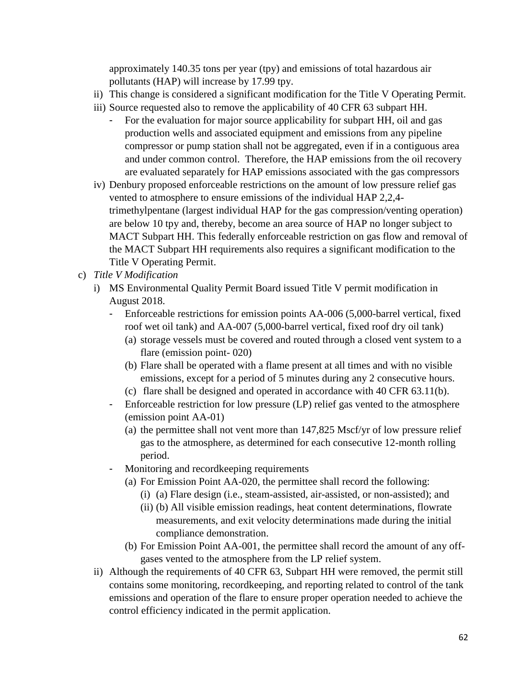approximately 140.35 tons per year (tpy) and emissions of total hazardous air pollutants (HAP) will increase by 17.99 tpy.

- ii) This change is considered a significant modification for the Title V Operating Permit.
- iii) Source requested also to remove the applicability of 40 CFR 63 subpart HH.
	- For the evaluation for major source applicability for subpart HH, oil and gas production wells and associated equipment and emissions from any pipeline compressor or pump station shall not be aggregated, even if in a contiguous area and under common control. Therefore, the HAP emissions from the oil recovery are evaluated separately for HAP emissions associated with the gas compressors
- iv) Denbury proposed enforceable restrictions on the amount of low pressure relief gas vented to atmosphere to ensure emissions of the individual HAP 2,2,4 trimethylpentane (largest individual HAP for the gas compression/venting operation) are below 10 tpy and, thereby, become an area source of HAP no longer subject to MACT Subpart HH. This federally enforceable restriction on gas flow and removal of the MACT Subpart HH requirements also requires a significant modification to the Title V Operating Permit.
- c) *Title V Modification*
	- i) MS Environmental Quality Permit Board issued Title V permit modification in August 2018.
		- Enforceable restrictions for emission points AA-006 (5,000-barrel vertical, fixed roof wet oil tank) and AA-007 (5,000-barrel vertical, fixed roof dry oil tank)
			- (a) storage vessels must be covered and routed through a closed vent system to a flare (emission point- 020)
			- (b) Flare shall be operated with a flame present at all times and with no visible emissions, except for a period of 5 minutes during any 2 consecutive hours.
			- (c) flare shall be designed and operated in accordance with 40 CFR 63.11(b).
		- Enforceable restriction for low pressure (LP) relief gas vented to the atmosphere (emission point AA-01)
			- (a) the permittee shall not vent more than 147,825 Mscf/yr of low pressure relief gas to the atmosphere, as determined for each consecutive 12-month rolling period.
		- Monitoring and recordkeeping requirements
			- (a) For Emission Point AA-020, the permittee shall record the following:
				- (i) (a) Flare design (i.e., steam-assisted, air-assisted, or non-assisted); and
				- (ii) (b) All visible emission readings, heat content determinations, flowrate measurements, and exit velocity determinations made during the initial compliance demonstration.
			- (b) For Emission Point AA-001, the permittee shall record the amount of any offgases vented to the atmosphere from the LP relief system.
	- ii) Although the requirements of 40 CFR 63, Subpart HH were removed, the permit still contains some monitoring, recordkeeping, and reporting related to control of the tank emissions and operation of the flare to ensure proper operation needed to achieve the control efficiency indicated in the permit application.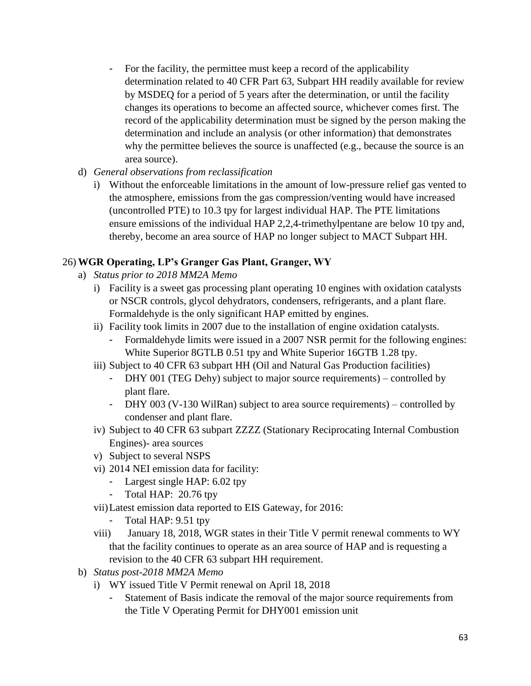- For the facility, the permittee must keep a record of the applicability determination related to 40 CFR Part 63, Subpart HH readily available for review by MSDEQ for a period of 5 years after the determination, or until the facility changes its operations to become an affected source, whichever comes first. The record of the applicability determination must be signed by the person making the determination and include an analysis (or other information) that demonstrates why the permittee believes the source is unaffected (e.g., because the source is an area source).
- d) *General observations from reclassification*
	- i) Without the enforceable limitations in the amount of low-pressure relief gas vented to the atmosphere, emissions from the gas compression/venting would have increased (uncontrolled PTE) to 10.3 tpy for largest individual HAP. The PTE limitations ensure emissions of the individual HAP 2,2,4-trimethylpentane are below 10 tpy and, thereby, become an area source of HAP no longer subject to MACT Subpart HH.

# 26) **WGR Operating, LP's Granger Gas Plant, Granger, WY**

- a) *Status prior to 2018 MM2A Memo*
	- i) Facility is a sweet gas processing plant operating 10 engines with oxidation catalysts or NSCR controls, glycol dehydrators, condensers, refrigerants, and a plant flare. Formaldehyde is the only significant HAP emitted by engines.
	- ii) Facility took limits in 2007 due to the installation of engine oxidation catalysts.
		- Formaldehyde limits were issued in a 2007 NSR permit for the following engines: White Superior 8GTLB 0.51 tpy and White Superior 16GTB 1.28 tpy.
	- iii) Subject to 40 CFR 63 subpart HH (Oil and Natural Gas Production facilities)
		- DHY 001 (TEG Dehy) subject to major source requirements) controlled by plant flare.
		- DHY 003 (V-130 WilRan) subject to area source requirements) controlled by condenser and plant flare.
	- iv) Subject to 40 CFR 63 subpart ZZZZ (Stationary Reciprocating Internal Combustion Engines)- area sources
	- v) Subject to several NSPS
	- vi) 2014 NEI emission data for facility:
		- Largest single HAP: 6.02 tpy
		- Total HAP: 20.76 tpy
	- vii)Latest emission data reported to EIS Gateway, for 2016:
		- Total HAP: 9.51 tpy
	- viii) January 18, 2018, WGR states in their Title V permit renewal comments to WY that the facility continues to operate as an area source of HAP and is requesting a revision to the 40 CFR 63 subpart HH requirement.
- b) *Status post-2018 MM2A Memo*
	- i) WY issued Title V Permit renewal on April 18, 2018
		- Statement of Basis indicate the removal of the major source requirements from the Title V Operating Permit for DHY001 emission unit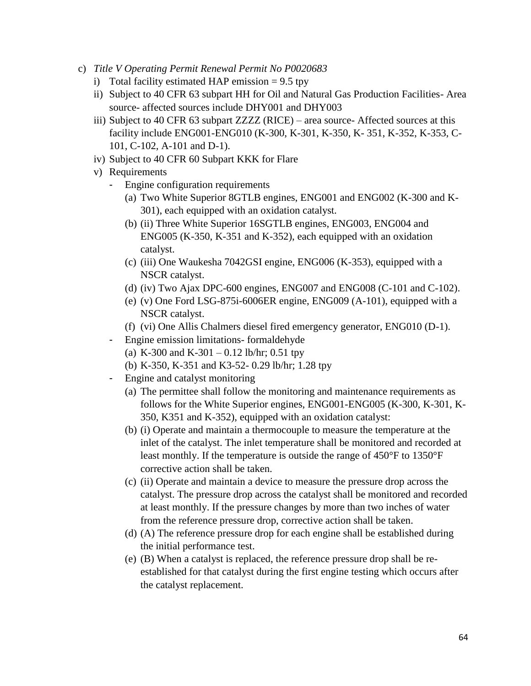- c) *Title V Operating Permit Renewal Permit No P0020683*
	- i) Total facility estimated HAP emission  $= 9.5$  tpy
	- ii) Subject to 40 CFR 63 subpart HH for Oil and Natural Gas Production Facilities- Area source- affected sources include DHY001 and DHY003
	- iii) Subject to 40 CFR 63 subpart ZZZZ (RICE) area source- Affected sources at this facility include ENG001-ENG010 (K-300, K-301, K-350, K- 351, K-352, K-353, C-101, C-102, A-101 and D-1).
	- iv) Subject to 40 CFR 60 Subpart KKK for Flare
	- v) Requirements
		- Engine configuration requirements
			- (a) Two White Superior 8GTLB engines, ENG001 and ENG002 (K-300 and K-301), each equipped with an oxidation catalyst.
			- (b) (ii) Three White Superior 16SGTLB engines, ENG003, ENG004 and ENG005 (K-350, K-351 and K-352), each equipped with an oxidation catalyst.
			- (c) (iii) One Waukesha 7042GSI engine, ENG006 (K-353), equipped with a NSCR catalyst.
			- (d) (iv) Two Ajax DPC-600 engines, ENG007 and ENG008 (C-101 and C-102).
			- (e) (v) One Ford LSG-875i-6006ER engine, ENG009 (A-101), equipped with a NSCR catalyst.
			- (f) (vi) One Allis Chalmers diesel fired emergency generator, ENG010 (D-1).
		- Engine emission limitations- formaldehyde
			- (a) K-300 and K-301 0.12 lb/hr; 0.51 tpy
			- (b) K-350, K-351 and K3-52- 0.29 lb/hr; 1.28 tpy
		- Engine and catalyst monitoring
			- (a) The permittee shall follow the monitoring and maintenance requirements as follows for the White Superior engines, ENG001-ENG005 (K-300, K-301, K-350, K351 and K-352), equipped with an oxidation catalyst:
			- (b) (i) Operate and maintain a thermocouple to measure the temperature at the inlet of the catalyst. The inlet temperature shall be monitored and recorded at least monthly. If the temperature is outside the range of 450°F to 1350°F corrective action shall be taken.
			- (c) (ii) Operate and maintain a device to measure the pressure drop across the catalyst. The pressure drop across the catalyst shall be monitored and recorded at least monthly. If the pressure changes by more than two inches of water from the reference pressure drop, corrective action shall be taken.
			- (d) (A) The reference pressure drop for each engine shall be established during the initial performance test.
			- (e) (B) When a catalyst is replaced, the reference pressure drop shall be reestablished for that catalyst during the first engine testing which occurs after the catalyst replacement.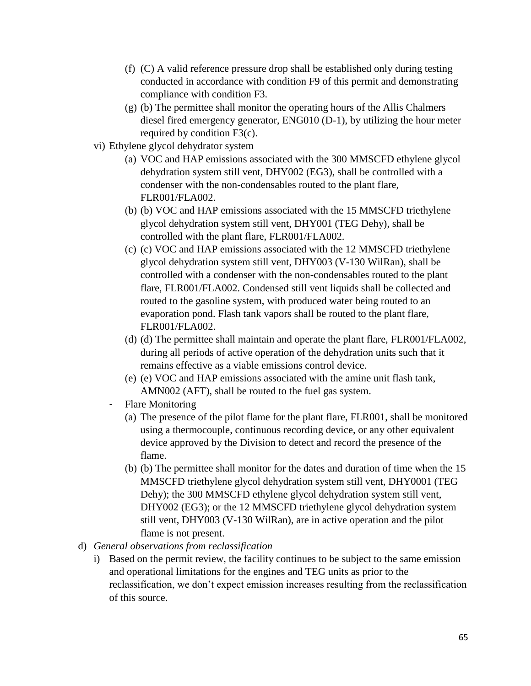- (f) (C) A valid reference pressure drop shall be established only during testing conducted in accordance with condition F9 of this permit and demonstrating compliance with condition F3.
- (g) (b) The permittee shall monitor the operating hours of the Allis Chalmers diesel fired emergency generator, ENG010 (D-1), by utilizing the hour meter required by condition F3(c).
- vi) Ethylene glycol dehydrator system
	- (a) VOC and HAP emissions associated with the 300 MMSCFD ethylene glycol dehydration system still vent, DHY002 (EG3), shall be controlled with a condenser with the non-condensables routed to the plant flare, FLR001/FLA002.
	- (b) (b) VOC and HAP emissions associated with the 15 MMSCFD triethylene glycol dehydration system still vent, DHY001 (TEG Dehy), shall be controlled with the plant flare, FLR001/FLA002.
	- (c) (c) VOC and HAP emissions associated with the 12 MMSCFD triethylene glycol dehydration system still vent, DHY003 (V-130 WilRan), shall be controlled with a condenser with the non-condensables routed to the plant flare, FLR001/FLA002. Condensed still vent liquids shall be collected and routed to the gasoline system, with produced water being routed to an evaporation pond. Flash tank vapors shall be routed to the plant flare, FLR001/FLA002.
	- (d) (d) The permittee shall maintain and operate the plant flare, FLR001/FLA002, during all periods of active operation of the dehydration units such that it remains effective as a viable emissions control device.
	- (e) (e) VOC and HAP emissions associated with the amine unit flash tank, AMN002 (AFT), shall be routed to the fuel gas system.
	- Flare Monitoring
		- (a) The presence of the pilot flame for the plant flare, FLR001, shall be monitored using a thermocouple, continuous recording device, or any other equivalent device approved by the Division to detect and record the presence of the flame.
		- (b) (b) The permittee shall monitor for the dates and duration of time when the 15 MMSCFD triethylene glycol dehydration system still vent, DHY0001 (TEG Dehy); the 300 MMSCFD ethylene glycol dehydration system still vent, DHY002 (EG3); or the 12 MMSCFD triethylene glycol dehydration system still vent, DHY003 (V-130 WilRan), are in active operation and the pilot flame is not present.
- d) *General observations from reclassification*
	- i) Based on the permit review, the facility continues to be subject to the same emission and operational limitations for the engines and TEG units as prior to the reclassification, we don't expect emission increases resulting from the reclassification of this source.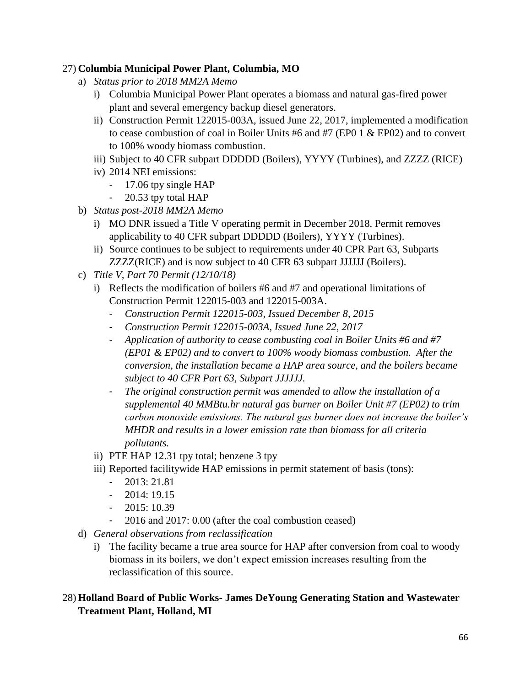### 27) **Columbia Municipal Power Plant, Columbia, MO**

- a) *Status prior to 2018 MM2A Memo*
	- i) Columbia Municipal Power Plant operates a biomass and natural gas-fired power plant and several emergency backup diesel generators.
	- ii) Construction Permit 122015-003A, issued June 22, 2017, implemented a modification to cease combustion of coal in Boiler Units #6 and #7 (EP0 1 & EP02) and to convert to 100% woody biomass combustion.
	- iii) Subject to 40 CFR subpart DDDDD (Boilers), YYYY (Turbines), and ZZZZ (RICE)
	- iv) 2014 NEI emissions:
		- 17.06 tpy single HAP
		- 20.53 tpy total HAP
- b) *Status post-2018 MM2A Memo*
	- i) MO DNR issued a Title V operating permit in December 2018. Permit removes applicability to 40 CFR subpart DDDDD (Boilers), YYYY (Turbines).
	- ii) Source continues to be subject to requirements under 40 CPR Part 63, Subparts ZZZZ(RICE) and is now subject to 40 CFR 63 subpart JJJJJJ (Boilers).
- c) *Title V, Part 70 Permit (12/10/18)*
	- i) Reflects the modification of boilers #6 and #7 and operational limitations of Construction Permit 122015-003 and 122015-003A.
		- *Construction Permit 122015-003, Issued December 8, 2015*
		- *Construction Permit 122015-003A, Issued June 22, 2017*
		- *Application of authority to cease combusting coal in Boiler Units #6 and #7 (EP01 & EP02) and to convert to 100% woody biomass combustion. After the conversion, the installation became a HAP area source, and the boilers became subject to 40 CFR Part 63, Subpart JJJJJJ.*
		- *The original construction permit was amended to allow the installation of a supplemental 40 MMBtu.hr natural gas burner on Boiler Unit #7 (EP02) to trim carbon monoxide emissions. The natural gas burner does not increase the boiler's MHDR and results in a lower emission rate than biomass for all criteria pollutants.*
	- ii) PTE HAP 12.31 tpy total; benzene 3 tpy
	- iii) Reported facilitywide HAP emissions in permit statement of basis (tons):
		- 2013: 21.81
		- 2014: 19.15
		- $-2015:10.39$
		- 2016 and 2017: 0.00 (after the coal combustion ceased)
- d) *General observations from reclassification*
	- i) The facility became a true area source for HAP after conversion from coal to woody biomass in its boilers, we don't expect emission increases resulting from the reclassification of this source.

# 28) **Holland Board of Public Works- James DeYoung Generating Station and Wastewater Treatment Plant, Holland, MI**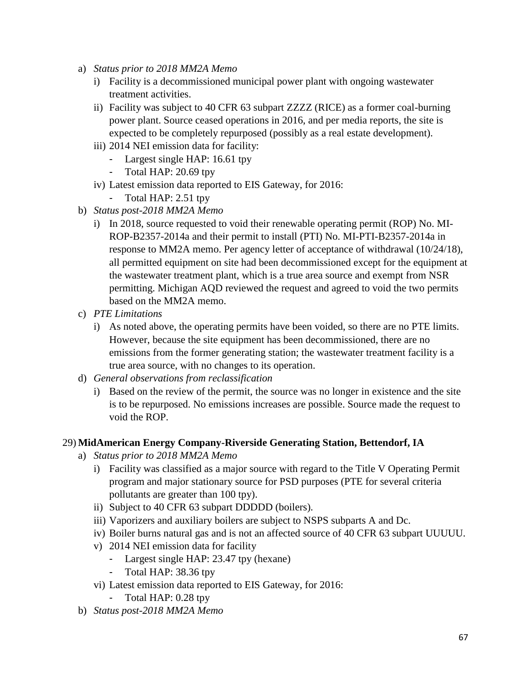- a) *Status prior to 2018 MM2A Memo*
	- i) Facility is a decommissioned municipal power plant with ongoing wastewater treatment activities.
	- ii) Facility was subject to 40 CFR 63 subpart ZZZZ (RICE) as a former coal-burning power plant. Source ceased operations in 2016, and per media reports, the site is expected to be completely repurposed (possibly as a real estate development).
	- iii) 2014 NEI emission data for facility:
		- Largest single HAP: 16.61 tpy
		- Total HAP: 20.69 tpy
	- iv) Latest emission data reported to EIS Gateway, for 2016:
		- Total HAP: 2.51 tpy
- b) *Status post-2018 MM2A Memo*
	- i) In 2018, source requested to void their renewable operating permit (ROP) No. MI-ROP-B2357-2014a and their permit to install (PTI) No. MI-PTI-B2357-2014a in response to MM2A memo. Per agency letter of acceptance of withdrawal (10/24/18), all permitted equipment on site had been decommissioned except for the equipment at the wastewater treatment plant, which is a true area source and exempt from NSR permitting. Michigan AQD reviewed the request and agreed to void the two permits based on the MM2A memo.
- c) *PTE Limitations*
	- i) As noted above, the operating permits have been voided, so there are no PTE limits. However, because the site equipment has been decommissioned, there are no emissions from the former generating station; the wastewater treatment facility is a true area source, with no changes to its operation.
- d) *General observations from reclassification*
	- i) Based on the review of the permit, the source was no longer in existence and the site is to be repurposed. No emissions increases are possible. Source made the request to void the ROP.

#### 29) **MidAmerican Energy Company-Riverside Generating Station, Bettendorf, IA**

- a) *Status prior to 2018 MM2A Memo*
	- i) Facility was classified as a major source with regard to the Title V Operating Permit program and major stationary source for PSD purposes (PTE for several criteria pollutants are greater than 100 tpy).
	- ii) Subject to 40 CFR 63 subpart DDDDD (boilers).
	- iii) Vaporizers and auxiliary boilers are subject to NSPS subparts A and Dc.
	- iv) Boiler burns natural gas and is not an affected source of 40 CFR 63 subpart UUUUU.
	- v) 2014 NEI emission data for facility
		- Largest single HAP: 23.47 tpy (hexane)
		- Total HAP: 38.36 tpy
	- vi) Latest emission data reported to EIS Gateway, for 2016:
		- Total HAP: 0.28 tpy
- b) *Status post-2018 MM2A Memo*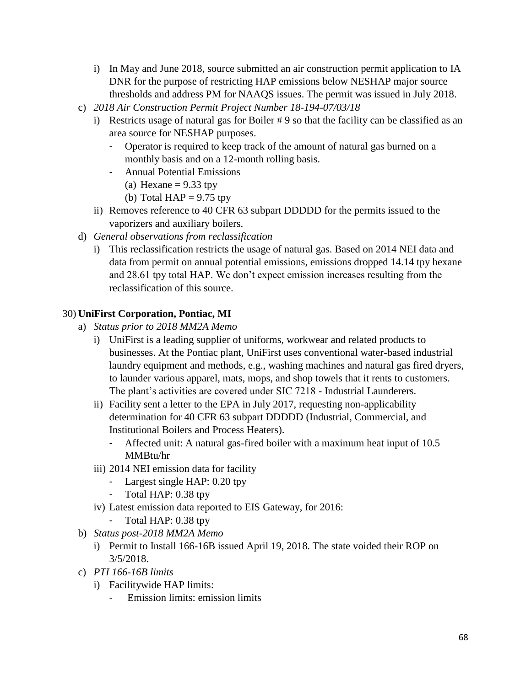- i) In May and June 2018, source submitted an air construction permit application to IA DNR for the purpose of restricting HAP emissions below NESHAP major source thresholds and address PM for NAAQS issues. The permit was issued in July 2018.
- c) *2018 Air Construction Permit Project Number 18-194-07/03/18*
	- i) Restricts usage of natural gas for Boiler # 9 so that the facility can be classified as an area source for NESHAP purposes.
		- Operator is required to keep track of the amount of natural gas burned on a monthly basis and on a 12-month rolling basis.
		- Annual Potential Emissions
			- (a) Hexane  $= 9.33$  tpy
			- (b) Total  $HAP = 9.75$  tpy
	- ii) Removes reference to 40 CFR 63 subpart DDDDD for the permits issued to the vaporizers and auxiliary boilers.
- d) *General observations from reclassification*
	- i) This reclassification restricts the usage of natural gas. Based on 2014 NEI data and data from permit on annual potential emissions, emissions dropped 14.14 tpy hexane and 28.61 tpy total HAP. We don't expect emission increases resulting from the reclassification of this source.

### 30) **UniFirst Corporation, Pontiac, MI**

- a) *Status prior to 2018 MM2A Memo*
	- i) UniFirst is a leading supplier of uniforms, workwear and related products to businesses. At the Pontiac plant, UniFirst uses conventional water-based industrial laundry equipment and methods, e.g., washing machines and natural gas fired dryers, to launder various apparel, mats, mops, and shop towels that it rents to customers. The plant's activities are covered under SIC 7218 - Industrial Launderers.
	- ii) Facility sent a letter to the EPA in July 2017, requesting non-applicability determination for 40 CFR 63 subpart DDDDD (Industrial, Commercial, and Institutional Boilers and Process Heaters).
		- Affected unit: A natural gas-fired boiler with a maximum heat input of 10.5 MMBtu/hr
	- iii) 2014 NEI emission data for facility
		- Largest single HAP: 0.20 tpy
		- Total HAP: 0.38 tpy
	- iv) Latest emission data reported to EIS Gateway, for 2016:
		- Total HAP: 0.38 tpy
- b) *Status post-2018 MM2A Memo*
	- i) Permit to Install 166-16B issued April 19, 2018. The state voided their ROP on 3/5/2018.
- c) *PTI 166-16B limits*
	- i) Facilitywide HAP limits:
		- Emission limits: emission limits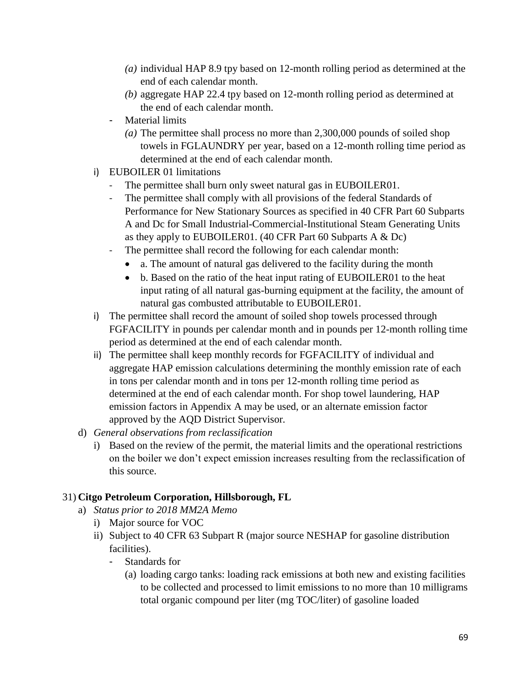- *(a)* individual HAP 8.9 tpy based on 12-month rolling period as determined at the end of each calendar month.
- *(b)* aggregate HAP 22.4 tpy based on 12-month rolling period as determined at the end of each calendar month.
- Material limits
	- *(a)* The permittee shall process no more than 2,300,000 pounds of soiled shop towels in FGLAUNDRY per year, based on a 12-month rolling time period as determined at the end of each calendar month.
- i) EUBOILER 01 limitations
	- The permittee shall burn only sweet natural gas in EUBOILER01.
	- The permittee shall comply with all provisions of the federal Standards of Performance for New Stationary Sources as specified in 40 CFR Part 60 Subparts A and Dc for Small Industrial-Commercial-Institutional Steam Generating Units as they apply to EUBOILER01. (40 CFR Part 60 Subparts A & Dc)
	- The permittee shall record the following for each calendar month:
		- a. The amount of natural gas delivered to the facility during the month
		- b. Based on the ratio of the heat input rating of EUBOILER01 to the heat input rating of all natural gas-burning equipment at the facility, the amount of natural gas combusted attributable to EUBOILER01.
- i) The permittee shall record the amount of soiled shop towels processed through FGFACILITY in pounds per calendar month and in pounds per 12-month rolling time period as determined at the end of each calendar month.
- ii) The permittee shall keep monthly records for FGFACILITY of individual and aggregate HAP emission calculations determining the monthly emission rate of each in tons per calendar month and in tons per 12-month rolling time period as determined at the end of each calendar month. For shop towel laundering, HAP emission factors in Appendix A may be used, or an alternate emission factor approved by the AQD District Supervisor*.*
- d) *General observations from reclassification*
	- i) Based on the review of the permit, the material limits and the operational restrictions on the boiler we don't expect emission increases resulting from the reclassification of this source.

# 31) **Citgo Petroleum Corporation, Hillsborough, FL**

- a) *Status prior to 2018 MM2A Memo*
	- i) Major source for VOC
	- ii) Subject to 40 CFR 63 Subpart R (major source NESHAP for gasoline distribution facilities).
		- Standards for
			- (a) loading cargo tanks: loading rack emissions at both new and existing facilities to be collected and processed to limit emissions to no more than 10 milligrams total organic compound per liter (mg TOC/liter) of gasoline loaded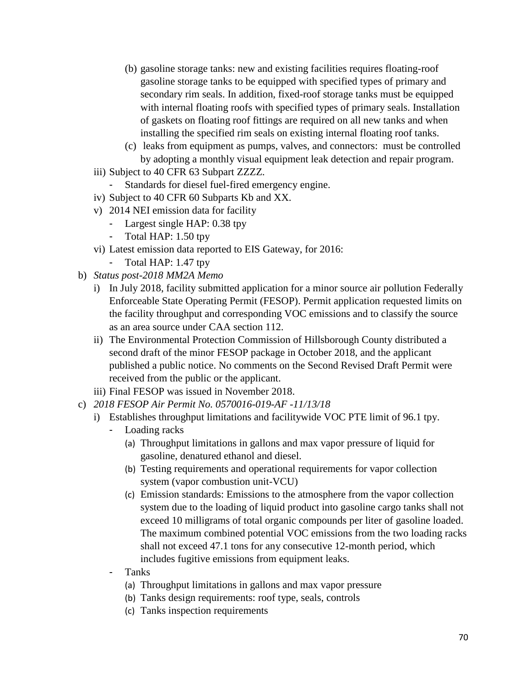- (b) gasoline storage tanks: new and existing facilities requires floating-roof gasoline storage tanks to be equipped with specified types of primary and secondary rim seals. In addition, fixed-roof storage tanks must be equipped with internal floating roofs with specified types of primary seals. Installation of gaskets on floating roof fittings are required on all new tanks and when installing the specified rim seals on existing internal floating roof tanks.
- (c) leaks from equipment as pumps, valves, and connectors: must be controlled by adopting a monthly visual equipment leak detection and repair program.
- iii) Subject to 40 CFR 63 Subpart ZZZZ.
	- Standards for diesel fuel-fired emergency engine.
- iv) Subject to 40 CFR 60 Subparts Kb and XX.
- v) 2014 NEI emission data for facility
	- Largest single HAP: 0.38 tpy
	- Total HAP: 1.50 tpy
- vi) Latest emission data reported to EIS Gateway, for 2016:
	- Total HAP: 1.47 tpy
- b) *Status post-2018 MM2A Memo*
	- i) In July 2018, facility submitted application for a minor source air pollution Federally Enforceable State Operating Permit (FESOP). Permit application requested limits on the facility throughput and corresponding VOC emissions and to classify the source as an area source under CAA section 112.
	- ii) The Environmental Protection Commission of Hillsborough County distributed a second draft of the minor FESOP package in October 2018, and the applicant published a public notice. No comments on the Second Revised Draft Permit were received from the public or the applicant.
	- iii) Final FESOP was issued in November 2018.
- c) *2018 FESOP Air Permit No. 0570016-019-AF -11/13/18*
	- i) Establishes throughput limitations and facilitywide VOC PTE limit of 96.1 tpy.
		- Loading racks
			- (a) Throughput limitations in gallons and max vapor pressure of liquid for gasoline, denatured ethanol and diesel.
			- (b) Testing requirements and operational requirements for vapor collection system (vapor combustion unit-VCU)
			- (c) Emission standards: Emissions to the atmosphere from the vapor collection system due to the loading of liquid product into gasoline cargo tanks shall not exceed 10 milligrams of total organic compounds per liter of gasoline loaded. The maximum combined potential VOC emissions from the two loading racks shall not exceed 47.1 tons for any consecutive 12-month period, which includes fugitive emissions from equipment leaks.
		- **Tanks** 
			- (a) Throughput limitations in gallons and max vapor pressure
			- (b) Tanks design requirements: roof type, seals, controls
			- (c) Tanks inspection requirements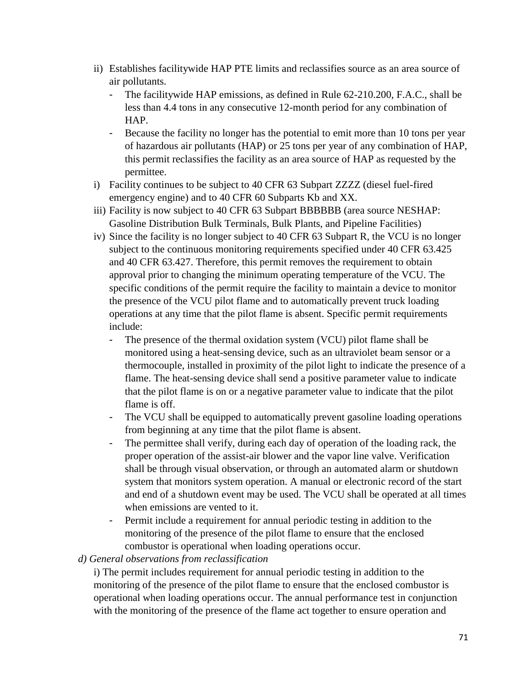- ii) Establishes facilitywide HAP PTE limits and reclassifies source as an area source of air pollutants.
	- The facilitywide HAP emissions, as defined in Rule 62-210.200, F.A.C., shall be less than 4.4 tons in any consecutive 12-month period for any combination of HAP.
	- Because the facility no longer has the potential to emit more than 10 tons per year of hazardous air pollutants (HAP) or 25 tons per year of any combination of HAP, this permit reclassifies the facility as an area source of HAP as requested by the permittee.
- i) Facility continues to be subject to 40 CFR 63 Subpart ZZZZ (diesel fuel-fired emergency engine) and to 40 CFR 60 Subparts Kb and XX.
- iii) Facility is now subject to 40 CFR 63 Subpart BBBBBB (area source NESHAP: Gasoline Distribution Bulk Terminals, Bulk Plants, and Pipeline Facilities)
- iv) Since the facility is no longer subject to 40 CFR 63 Subpart R, the VCU is no longer subject to the continuous monitoring requirements specified under 40 CFR 63.425 and 40 CFR 63.427. Therefore, this permit removes the requirement to obtain approval prior to changing the minimum operating temperature of the VCU. The specific conditions of the permit require the facility to maintain a device to monitor the presence of the VCU pilot flame and to automatically prevent truck loading operations at any time that the pilot flame is absent. Specific permit requirements include:
	- The presence of the thermal oxidation system (VCU) pilot flame shall be monitored using a heat-sensing device, such as an ultraviolet beam sensor or a thermocouple, installed in proximity of the pilot light to indicate the presence of a flame. The heat-sensing device shall send a positive parameter value to indicate that the pilot flame is on or a negative parameter value to indicate that the pilot flame is off.
	- The VCU shall be equipped to automatically prevent gasoline loading operations from beginning at any time that the pilot flame is absent.
	- The permittee shall verify, during each day of operation of the loading rack, the proper operation of the assist-air blower and the vapor line valve. Verification shall be through visual observation, or through an automated alarm or shutdown system that monitors system operation. A manual or electronic record of the start and end of a shutdown event may be used. The VCU shall be operated at all times when emissions are vented to it.
	- Permit include a requirement for annual periodic testing in addition to the monitoring of the presence of the pilot flame to ensure that the enclosed combustor is operational when loading operations occur.

### *d) General observations from reclassification*

i) The permit includes requirement for annual periodic testing in addition to the monitoring of the presence of the pilot flame to ensure that the enclosed combustor is operational when loading operations occur. The annual performance test in conjunction with the monitoring of the presence of the flame act together to ensure operation and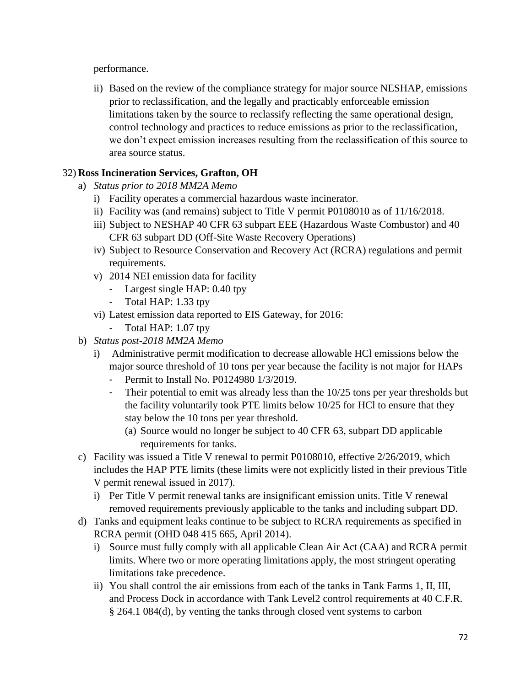performance.

ii) Based on the review of the compliance strategy for major source NESHAP, emissions prior to reclassification, and the legally and practicably enforceable emission limitations taken by the source to reclassify reflecting the same operational design, control technology and practices to reduce emissions as prior to the reclassification, we don't expect emission increases resulting from the reclassification of this source to area source status.

## 32) **Ross Incineration Services, Grafton, OH**

- a) *Status prior to 2018 MM2A Memo*
	- i) Facility operates a commercial hazardous waste incinerator.
	- ii) Facility was (and remains) subject to Title V permit P0108010 as of 11/16/2018.
	- iii) Subject to NESHAP 40 CFR 63 subpart EEE (Hazardous Waste Combustor) and 40 CFR 63 subpart DD (Off-Site Waste Recovery Operations)
	- iv) Subject to Resource Conservation and Recovery Act (RCRA) regulations and permit requirements.
	- v) 2014 NEI emission data for facility
		- Largest single HAP: 0.40 tpy
		- Total HAP: 1.33 tpy
	- vi) Latest emission data reported to EIS Gateway, for 2016:
		- Total HAP: 1.07 tpy
- b) *Status post-2018 MM2A Memo*
	- i) Administrative permit modification to decrease allowable HCl emissions below the major source threshold of 10 tons per year because the facility is not major for HAPs
		- Permit to Install No. P0124980 1/3/2019.
		- Their potential to emit was already less than the  $10/25$  tons per year thresholds but the facility voluntarily took PTE limits below 10/25 for HCl to ensure that they stay below the 10 tons per year threshold.
			- (a) Source would no longer be subject to 40 CFR 63, subpart DD applicable requirements for tanks.
- c) Facility was issued a Title V renewal to permit P0108010, effective 2/26/2019, which includes the HAP PTE limits (these limits were not explicitly listed in their previous Title V permit renewal issued in 2017).
	- i) Per Title V permit renewal tanks are insignificant emission units. Title V renewal removed requirements previously applicable to the tanks and including subpart DD.
- d) Tanks and equipment leaks continue to be subject to RCRA requirements as specified in RCRA permit (OHD 048 415 665, April 2014).
	- i) Source must fully comply with all applicable Clean Air Act (CAA) and RCRA permit limits. Where two or more operating limitations apply, the most stringent operating limitations take precedence.
	- ii) You shall control the air emissions from each of the tanks in Tank Farms 1, II, III, and Process Dock in accordance with Tank Level2 control requirements at 40 C.F.R. § 264.1 084(d), by venting the tanks through closed vent systems to carbon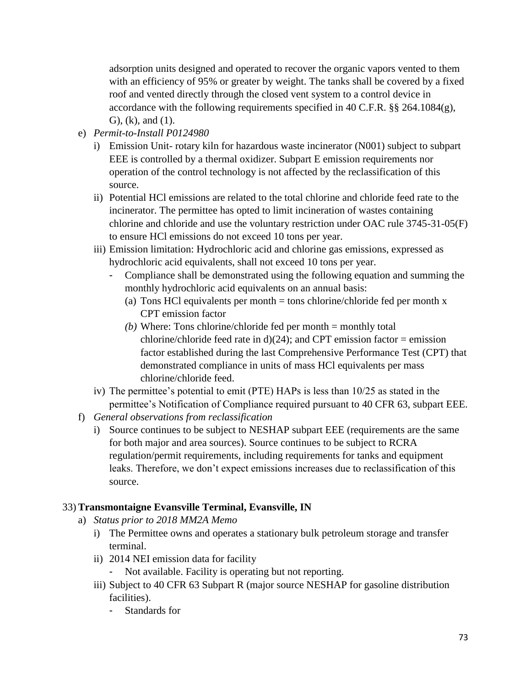adsorption units designed and operated to recover the organic vapors vented to them with an efficiency of 95% or greater by weight. The tanks shall be covered by a fixed roof and vented directly through the closed vent system to a control device in accordance with the following requirements specified in 40 C.F.R. §§ 264.1084(g), G), (k), and (1).

- e) *Permit-to-Install P0124980*
	- i) Emission Unit- rotary kiln for hazardous waste incinerator (N001) subject to subpart EEE is controlled by a thermal oxidizer. Subpart E emission requirements nor operation of the control technology is not affected by the reclassification of this source.
	- ii) Potential HCl emissions are related to the total chlorine and chloride feed rate to the incinerator. The permittee has opted to limit incineration of wastes containing chlorine and chloride and use the voluntary restriction under OAC rule 3745-31-05(F) to ensure HCl emissions do not exceed 10 tons per year.
	- iii) Emission limitation: Hydrochloric acid and chlorine gas emissions, expressed as hydrochloric acid equivalents, shall not exceed 10 tons per year.
		- Compliance shall be demonstrated using the following equation and summing the monthly hydrochloric acid equivalents on an annual basis:
			- (a) Tons HCl equivalents per month  $=$  tons chlorine/chloride fed per month x CPT emission factor
			- *(b)* Where: Tons chlorine/chloride fed per month = monthly total chlorine/chloride feed rate in  $d(24)$ ; and CPT emission factor = emission factor established during the last Comprehensive Performance Test (CPT) that demonstrated compliance in units of mass HCl equivalents per mass chlorine/chloride feed.
	- iv) The permittee's potential to emit (PTE) HAPs is less than 10/25 as stated in the permittee's Notification of Compliance required pursuant to 40 CFR 63, subpart EEE.
- f) *General observations from reclassification*
	- i) Source continues to be subject to NESHAP subpart EEE (requirements are the same for both major and area sources). Source continues to be subject to RCRA regulation/permit requirements, including requirements for tanks and equipment leaks. Therefore, we don't expect emissions increases due to reclassification of this source.

#### 33) **Transmontaigne Evansville Terminal, Evansville, IN**

- a) *Status prior to 2018 MM2A Memo*
	- i) The Permittee owns and operates a stationary bulk petroleum storage and transfer terminal.
	- ii) 2014 NEI emission data for facility
		- Not available. Facility is operating but not reporting.
	- iii) Subject to 40 CFR 63 Subpart R (major source NESHAP for gasoline distribution facilities).
		- Standards for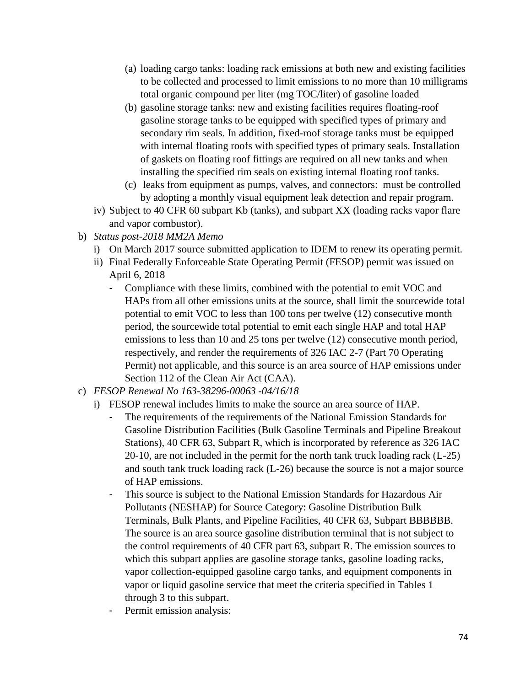- (a) loading cargo tanks: loading rack emissions at both new and existing facilities to be collected and processed to limit emissions to no more than 10 milligrams total organic compound per liter (mg TOC/liter) of gasoline loaded
- (b) gasoline storage tanks: new and existing facilities requires floating-roof gasoline storage tanks to be equipped with specified types of primary and secondary rim seals. In addition, fixed-roof storage tanks must be equipped with internal floating roofs with specified types of primary seals. Installation of gaskets on floating roof fittings are required on all new tanks and when installing the specified rim seals on existing internal floating roof tanks.
- (c) leaks from equipment as pumps, valves, and connectors: must be controlled by adopting a monthly visual equipment leak detection and repair program.
- iv) Subject to 40 CFR 60 subpart Kb (tanks), and subpart XX (loading racks vapor flare and vapor combustor).
- b) *Status post-2018 MM2A Memo*
	- i) On March 2017 source submitted application to IDEM to renew its operating permit.
	- ii) Final Federally Enforceable State Operating Permit (FESOP) permit was issued on April 6, 2018
		- Compliance with these limits, combined with the potential to emit VOC and HAPs from all other emissions units at the source, shall limit the sourcewide total potential to emit VOC to less than 100 tons per twelve (12) consecutive month period, the sourcewide total potential to emit each single HAP and total HAP emissions to less than 10 and 25 tons per twelve (12) consecutive month period, respectively, and render the requirements of 326 IAC 2-7 (Part 70 Operating Permit) not applicable, and this source is an area source of HAP emissions under Section 112 of the Clean Air Act (CAA).
- c) *FESOP Renewal No 163-38296-00063 -04/16/18*
	- i) FESOP renewal includes limits to make the source an area source of HAP.
		- The requirements of the requirements of the National Emission Standards for Gasoline Distribution Facilities (Bulk Gasoline Terminals and Pipeline Breakout Stations), 40 CFR 63, Subpart R, which is incorporated by reference as 326 IAC 20-10, are not included in the permit for the north tank truck loading rack (L-25) and south tank truck loading rack (L-26) because the source is not a major source of HAP emissions.
		- This source is subject to the National Emission Standards for Hazardous Air Pollutants (NESHAP) for Source Category: Gasoline Distribution Bulk Terminals, Bulk Plants, and Pipeline Facilities, 40 CFR 63, Subpart BBBBBB. The source is an area source gasoline distribution terminal that is not subject to the control requirements of 40 CFR part 63, subpart R. The emission sources to which this subpart applies are gasoline storage tanks, gasoline loading racks, vapor collection-equipped gasoline cargo tanks, and equipment components in vapor or liquid gasoline service that meet the criteria specified in Tables 1 through 3 to this subpart.
		- Permit emission analysis: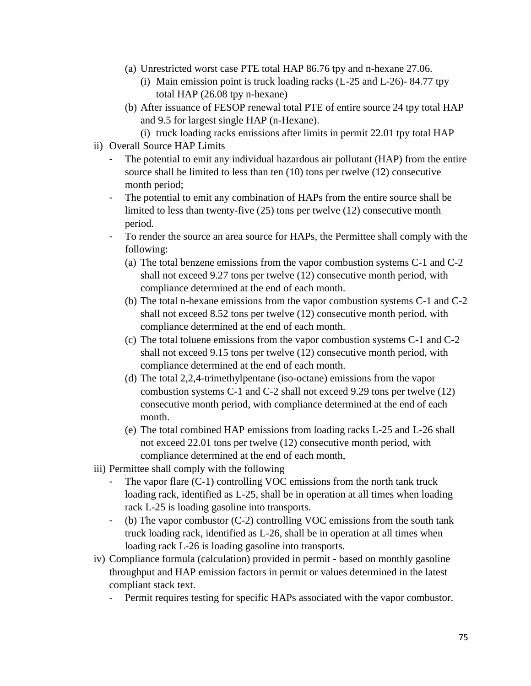- (a) Unrestricted worst case PTE total HAP 86.76 tpy and n-hexane 27.06.
	- (i) Main emission point is truck loading racks (L-25 and L-26)- 84.77 tpy total HAP (26.08 tpy n-hexane)
- (b) After issuance of FESOP renewal total PTE of entire source 24 tpy total HAP and 9.5 for largest single HAP (n-Hexane).
	- (i) truck loading racks emissions after limits in permit 22.01 tpy total HAP
- ii) Overall Source HAP Limits
	- The potential to emit any individual hazardous air pollutant (HAP) from the entire source shall be limited to less than ten (10) tons per twelve (12) consecutive month period;
	- The potential to emit any combination of HAPs from the entire source shall be limited to less than twenty-five (25) tons per twelve (12) consecutive month period.
	- To render the source an area source for HAPs, the Permittee shall comply with the following:
		- (a) The total benzene emissions from the vapor combustion systems C-1 and C-2 shall not exceed 9.27 tons per twelve (12) consecutive month period, with compliance determined at the end of each month.
		- (b) The total n-hexane emissions from the vapor combustion systems C-1 and C-2 shall not exceed 8.52 tons per twelve (12) consecutive month period, with compliance determined at the end of each month.
		- (c) The total toluene emissions from the vapor combustion systems C-1 and C-2 shall not exceed 9.15 tons per twelve (12) consecutive month period, with compliance determined at the end of each month.
		- (d) The total 2,2,4-trimethylpentane (iso-octane) emissions from the vapor combustion systems C-1 and C-2 shall not exceed 9.29 tons per twelve (12) consecutive month period, with compliance determined at the end of each month.
		- (e) The total combined HAP emissions from loading racks L-25 and L-26 shall not exceed 22.01 tons per twelve (12) consecutive month period, with compliance determined at the end of each month,
- iii) Permittee shall comply with the following
	- The vapor flare  $(C-1)$  controlling VOC emissions from the north tank truck loading rack, identified as L-25, shall be in operation at all times when loading rack L-25 is loading gasoline into transports.
	- (b) The vapor combustor  $(C-2)$  controlling VOC emissions from the south tank truck loading rack, identified as L-26, shall be in operation at all times when loading rack L-26 is loading gasoline into transports.
- iv) Compliance formula (calculation) provided in permit based on monthly gasoline throughput and HAP emission factors in permit or values determined in the latest compliant stack text.
	- Permit requires testing for specific HAPs associated with the vapor combustor.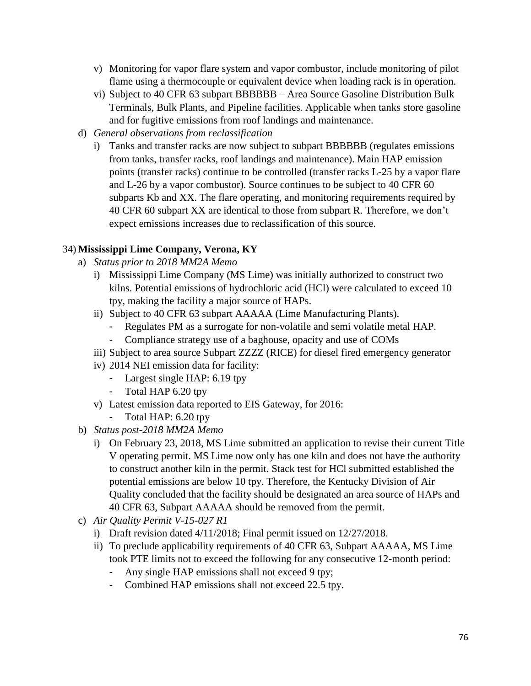- v) Monitoring for vapor flare system and vapor combustor, include monitoring of pilot flame using a thermocouple or equivalent device when loading rack is in operation.
- vi) Subject to 40 CFR 63 subpart BBBBBB Area Source Gasoline Distribution Bulk Terminals, Bulk Plants, and Pipeline facilities. Applicable when tanks store gasoline and for fugitive emissions from roof landings and maintenance.
- d) *General observations from reclassification*
	- i) Tanks and transfer racks are now subject to subpart BBBBBB (regulates emissions from tanks, transfer racks, roof landings and maintenance). Main HAP emission points (transfer racks) continue to be controlled (transfer racks L-25 by a vapor flare and L-26 by a vapor combustor). Source continues to be subject to 40 CFR 60 subparts Kb and XX. The flare operating, and monitoring requirements required by 40 CFR 60 subpart XX are identical to those from subpart R. Therefore, we don't expect emissions increases due to reclassification of this source.

#### 34) **Mississippi Lime Company, Verona, KY**

- a) *Status prior to 2018 MM2A Memo*
	- i) Mississippi Lime Company (MS Lime) was initially authorized to construct two kilns. Potential emissions of hydrochloric acid (HCl) were calculated to exceed 10 tpy, making the facility a major source of HAPs.
	- ii) Subject to 40 CFR 63 subpart AAAAA (Lime Manufacturing Plants).
		- Regulates PM as a surrogate for non-volatile and semi volatile metal HAP.
		- Compliance strategy use of a baghouse, opacity and use of COMs
	- iii) Subject to area source Subpart ZZZZ (RICE) for diesel fired emergency generator
	- iv) 2014 NEI emission data for facility:
		- Largest single HAP: 6.19 tpy
		- Total HAP 6.20 tpy
	- v) Latest emission data reported to EIS Gateway, for 2016:
		- Total HAP: 6.20 tpy
- b) *Status post-2018 MM2A Memo*
	- i) On February 23, 2018, MS Lime submitted an application to revise their current Title V operating permit. MS Lime now only has one kiln and does not have the authority to construct another kiln in the permit. Stack test for HCl submitted established the potential emissions are below 10 tpy. Therefore, the Kentucky Division of Air Quality concluded that the facility should be designated an area source of HAPs and 40 CFR 63, Subpart AAAAA should be removed from the permit.
- c) *Air Quality Permit V-15-027 R1*
	- i) Draft revision dated 4/11/2018; Final permit issued on 12/27/2018.
	- ii) To preclude applicability requirements of 40 CFR 63, Subpart AAAAA, MS Lime took PTE limits not to exceed the following for any consecutive 12-month period:
		- Any single HAP emissions shall not exceed 9 tpy;
		- Combined HAP emissions shall not exceed 22.5 tpy.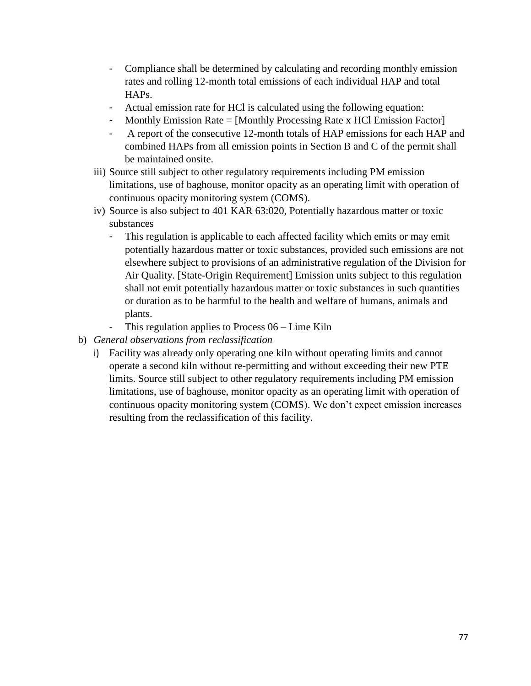- Compliance shall be determined by calculating and recording monthly emission rates and rolling 12-month total emissions of each individual HAP and total HAPs.
- Actual emission rate for HCl is calculated using the following equation:
- Monthly Emission Rate = [Monthly Processing Rate x HCl Emission Factor]
- A report of the consecutive 12-month totals of HAP emissions for each HAP and combined HAPs from all emission points in Section B and C of the permit shall be maintained onsite.
- iii) Source still subject to other regulatory requirements including PM emission limitations, use of baghouse, monitor opacity as an operating limit with operation of continuous opacity monitoring system (COMS).
- iv) Source is also subject to 401 KAR 63:020, Potentially hazardous matter or toxic substances
	- This regulation is applicable to each affected facility which emits or may emit potentially hazardous matter or toxic substances, provided such emissions are not elsewhere subject to provisions of an administrative regulation of the Division for Air Quality. [State-Origin Requirement] Emission units subject to this regulation shall not emit potentially hazardous matter or toxic substances in such quantities or duration as to be harmful to the health and welfare of humans, animals and plants.
	- This regulation applies to Process  $06 -$ Lime Kiln
- b) *General observations from reclassification*
	- i) Facility was already only operating one kiln without operating limits and cannot operate a second kiln without re-permitting and without exceeding their new PTE limits. Source still subject to other regulatory requirements including PM emission limitations, use of baghouse, monitor opacity as an operating limit with operation of continuous opacity monitoring system (COMS). We don't expect emission increases resulting from the reclassification of this facility.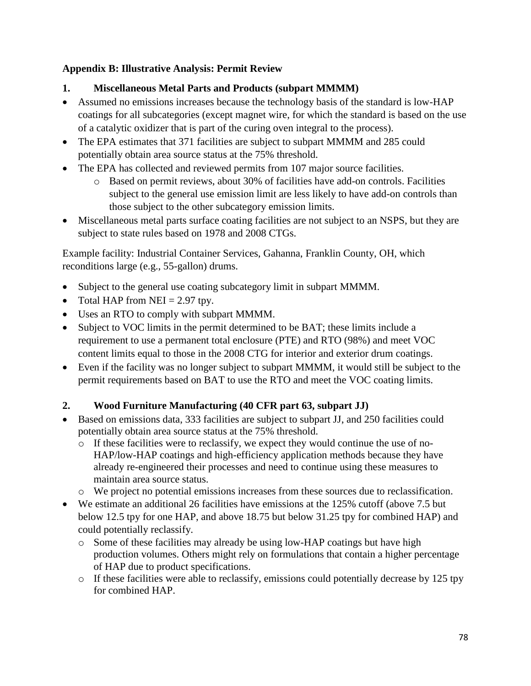## **Appendix B: Illustrative Analysis: Permit Review**

- **1. Miscellaneous Metal Parts and Products (subpart MMMM)**
- Assumed no emissions increases because the technology basis of the standard is low-HAP coatings for all subcategories (except magnet wire, for which the standard is based on the use of a catalytic oxidizer that is part of the curing oven integral to the process).
- The EPA estimates that 371 facilities are subject to subpart MMMM and 285 could potentially obtain area source status at the 75% threshold.
- The EPA has collected and reviewed permits from 107 major source facilities.
	- o Based on permit reviews, about 30% of facilities have add-on controls. Facilities subject to the general use emission limit are less likely to have add-on controls than those subject to the other subcategory emission limits.
- Miscellaneous metal parts surface coating facilities are not subject to an NSPS, but they are subject to state rules based on 1978 and 2008 CTGs.

Example facility: Industrial Container Services, Gahanna, Franklin County, OH, which reconditions large (e.g., 55-gallon) drums.

- Subject to the general use coating subcategory limit in subpart MMMM.
- Total HAP from NEI =  $2.97$  tpy.
- Uses an RTO to comply with subpart MMMM.
- Subject to VOC limits in the permit determined to be BAT; these limits include a requirement to use a permanent total enclosure (PTE) and RTO (98%) and meet VOC content limits equal to those in the 2008 CTG for interior and exterior drum coatings.
- Even if the facility was no longer subject to subpart MMMM, it would still be subject to the permit requirements based on BAT to use the RTO and meet the VOC coating limits.

# **2. Wood Furniture Manufacturing (40 CFR part 63, subpart JJ)**

- Based on emissions data, 333 facilities are subject to subpart JJ, and 250 facilities could potentially obtain area source status at the 75% threshold.
	- o If these facilities were to reclassify, we expect they would continue the use of no-HAP/low-HAP coatings and high-efficiency application methods because they have already re-engineered their processes and need to continue using these measures to maintain area source status.
	- o We project no potential emissions increases from these sources due to reclassification.
- We estimate an additional 26 facilities have emissions at the 125% cutoff (above 7.5 but below 12.5 tpy for one HAP, and above 18.75 but below 31.25 tpy for combined HAP) and could potentially reclassify.
	- o Some of these facilities may already be using low-HAP coatings but have high production volumes. Others might rely on formulations that contain a higher percentage of HAP due to product specifications.
	- $\circ$  If these facilities were able to reclassify, emissions could potentially decrease by 125 tpy for combined HAP.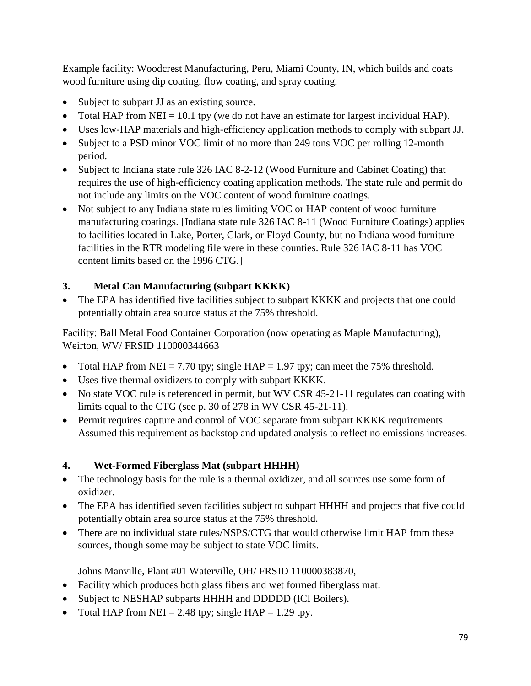Example facility: Woodcrest Manufacturing, Peru, Miami County, IN, which builds and coats wood furniture using dip coating, flow coating, and spray coating.

- Subject to subpart JJ as an existing source.
- Total HAP from NEI = 10.1 tpy (we do not have an estimate for largest individual HAP).
- Uses low-HAP materials and high-efficiency application methods to comply with subpart JJ.
- Subject to a PSD minor VOC limit of no more than 249 tons VOC per rolling 12-month period.
- Subject to Indiana state rule 326 IAC 8-2-12 (Wood Furniture and Cabinet Coating) that requires the use of high-efficiency coating application methods. The state rule and permit do not include any limits on the VOC content of wood furniture coatings.
- Not subject to any Indiana state rules limiting VOC or HAP content of wood furniture manufacturing coatings. [Indiana state rule 326 IAC 8-11 (Wood Furniture Coatings) applies to facilities located in Lake, Porter, Clark, or Floyd County, but no Indiana wood furniture facilities in the RTR modeling file were in these counties. Rule 326 IAC 8-11 has VOC content limits based on the 1996 CTG.]

# **3. Metal Can Manufacturing (subpart KKKK)**

• The EPA has identified five facilities subject to subpart KKKK and projects that one could potentially obtain area source status at the 75% threshold.

Facility: Ball Metal Food Container Corporation (now operating as Maple Manufacturing), Weirton, WV/ FRSID 110000344663

- Total HAP from NEI = 7.70 tpy; single HAP = 1.97 tpy; can meet the 75% threshold.
- Uses five thermal oxidizers to comply with subpart KKKK.
- No state VOC rule is referenced in permit, but WV CSR 45-21-11 regulates can coating with limits equal to the CTG (see p. 30 of 278 in WV CSR 45-21-11).
- Permit requires capture and control of VOC separate from subpart KKKK requirements. Assumed this requirement as backstop and updated analysis to reflect no emissions increases.

# **4. Wet-Formed Fiberglass Mat (subpart HHHH)**

- The technology basis for the rule is a thermal oxidizer, and all sources use some form of oxidizer.
- The EPA has identified seven facilities subject to subpart HHHH and projects that five could potentially obtain area source status at the 75% threshold.
- There are no individual state rules/NSPS/CTG that would otherwise limit HAP from these sources, though some may be subject to state VOC limits.

Johns Manville, Plant #01 Waterville, OH/ FRSID 110000383870,

- Facility which produces both glass fibers and wet formed fiberglass mat.
- Subject to NESHAP subparts HHHH and DDDDD (ICI Boilers).
- Total HAP from NEI = 2.48 tpy; single HAP = 1.29 tpy.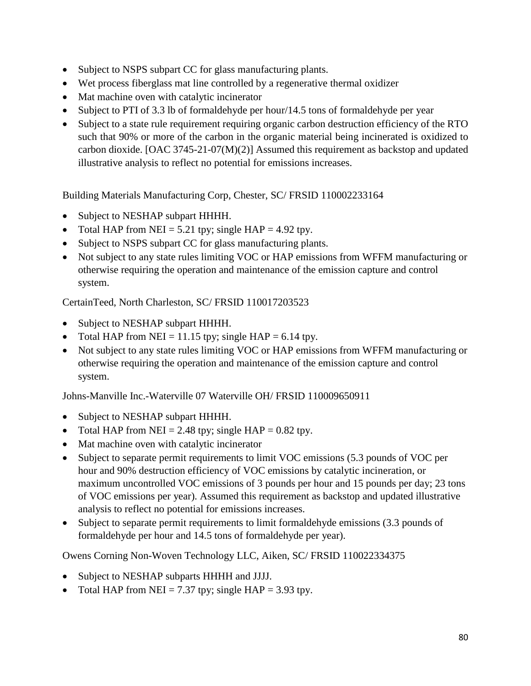- Subject to NSPS subpart CC for glass manufacturing plants.
- Wet process fiberglass mat line controlled by a regenerative thermal oxidizer
- Mat machine oven with catalytic incinerator
- Subject to PTI of 3.3 lb of formaldehyde per hour/14.5 tons of formaldehyde per year
- Subject to a state rule requirement requiring organic carbon destruction efficiency of the RTO such that 90% or more of the carbon in the organic material being incinerated is oxidized to carbon dioxide. [OAC 3745-21-07(M)(2)] Assumed this requirement as backstop and updated illustrative analysis to reflect no potential for emissions increases.

Building Materials Manufacturing Corp, Chester, SC/ FRSID 110002233164

- Subject to NESHAP subpart HHHH.
- Total HAP from NEI = 5.21 tpy; single HAP = 4.92 tpy.
- Subject to NSPS subpart CC for glass manufacturing plants.
- Not subject to any state rules limiting VOC or HAP emissions from WFFM manufacturing or otherwise requiring the operation and maintenance of the emission capture and control system.

CertainTeed, North Charleston, SC/ FRSID 110017203523

- Subject to NESHAP subpart HHHH.
- Total HAP from NEI = 11.15 tpy; single HAP = 6.14 tpy.
- Not subject to any state rules limiting VOC or HAP emissions from WFFM manufacturing or otherwise requiring the operation and maintenance of the emission capture and control system.

Johns-Manville Inc.-Waterville 07 Waterville OH/ FRSID 110009650911

- Subject to NESHAP subpart HHHH.
- Total HAP from NEI = 2.48 tpy; single HAP =  $0.82$  tpy.
- Mat machine oven with catalytic incinerator
- Subject to separate permit requirements to limit VOC emissions (5.3 pounds of VOC per hour and 90% destruction efficiency of VOC emissions by catalytic incineration, or maximum uncontrolled VOC emissions of 3 pounds per hour and 15 pounds per day; 23 tons of VOC emissions per year). Assumed this requirement as backstop and updated illustrative analysis to reflect no potential for emissions increases.
- Subject to separate permit requirements to limit formaldehyde emissions (3.3 pounds of formaldehyde per hour and 14.5 tons of formaldehyde per year).

Owens Corning Non-Woven Technology LLC, Aiken, SC/ FRSID 110022334375

- Subject to NESHAP subparts HHHH and JJJJ.
- Total HAP from NEI = 7.37 tpy; single HAP = 3.93 tpy.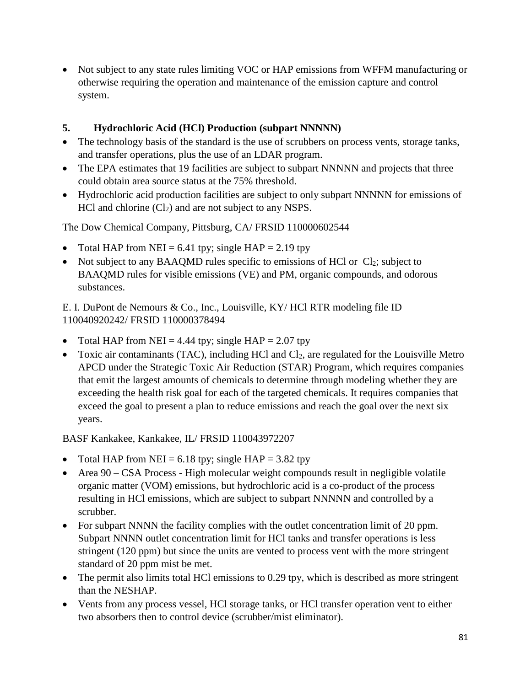• Not subject to any state rules limiting VOC or HAP emissions from WFFM manufacturing or otherwise requiring the operation and maintenance of the emission capture and control system.

### **5. Hydrochloric Acid (HCl) Production (subpart NNNNN)**

- The technology basis of the standard is the use of scrubbers on process vents, storage tanks, and transfer operations, plus the use of an LDAR program.
- The EPA estimates that 19 facilities are subject to subpart NNNNN and projects that three could obtain area source status at the 75% threshold.
- Hydrochloric acid production facilities are subject to only subpart NNNNN for emissions of HCl and chlorine  $(Cl<sub>2</sub>)$  and are not subject to any NSPS.

The Dow Chemical Company, Pittsburg, CA/ FRSID 110000602544

- Total HAP from NEI = 6.41 tpy; single HAP = 2.19 tpy
- Not subject to any BAAQMD rules specific to emissions of HCl or  $Cl_2$ ; subject to BAAQMD rules for visible emissions (VE) and PM, organic compounds, and odorous substances.

E. I. DuPont de Nemours & Co., Inc., Louisville, KY/ HCl RTR modeling file ID 110040920242/ FRSID 110000378494

- Total HAP from NEI = 4.44 tpy; single HAP =  $2.07$  tpy
- Toxic air contaminants (TAC), including HCl and Cl<sub>2</sub>, are regulated for the Louisville Metro APCD under the Strategic Toxic Air Reduction (STAR) Program, which requires companies that emit the largest amounts of chemicals to determine through modeling whether they are exceeding the health risk goal for each of the targeted chemicals. It requires companies that exceed the goal to present a plan to reduce emissions and reach the goal over the next six years.

BASF Kankakee, Kankakee, IL/ FRSID 110043972207

- Total HAP from NEI = 6.18 tpy; single HAP = 3.82 tpy
- Area 90 CSA Process High molecular weight compounds result in negligible volatile organic matter (VOM) emissions, but hydrochloric acid is a co-product of the process resulting in HCl emissions, which are subject to subpart NNNNN and controlled by a scrubber.
- For subpart NNNN the facility complies with the outlet concentration limit of 20 ppm. Subpart NNNN outlet concentration limit for HCl tanks and transfer operations is less stringent (120 ppm) but since the units are vented to process vent with the more stringent standard of 20 ppm mist be met.
- The permit also limits total HCl emissions to 0.29 tpy, which is described as more stringent than the NESHAP.
- Vents from any process vessel, HCl storage tanks, or HCl transfer operation vent to either two absorbers then to control device (scrubber/mist eliminator).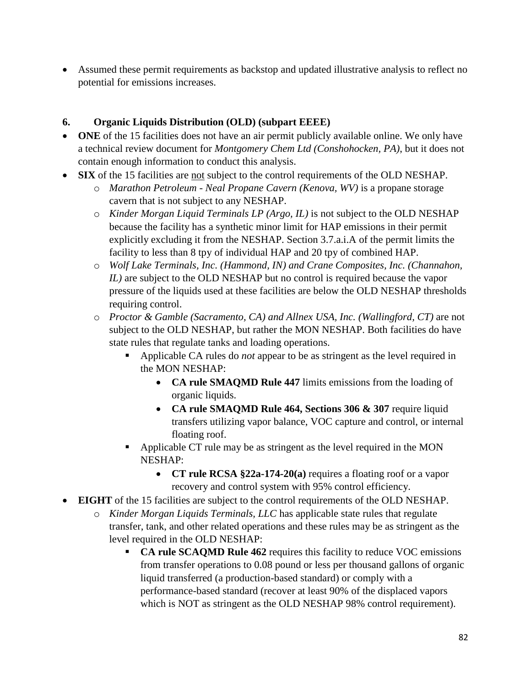Assumed these permit requirements as backstop and updated illustrative analysis to reflect no potential for emissions increases.

## **6. Organic Liquids Distribution (OLD) (subpart EEEE)**

- **ONE** of the 15 facilities does not have an air permit publicly available online. We only have a technical review document for *Montgomery Chem Ltd (Conshohocken, PA)*, but it does not contain enough information to conduct this analysis.
- **SIX** of the 15 facilities are not subject to the control requirements of the OLD NESHAP.
	- o *Marathon Petroleum - Neal Propane Cavern (Kenova, WV)* is a propane storage cavern that is not subject to any NESHAP.
	- o *Kinder Morgan Liquid Terminals LP (Argo, IL)* is not subject to the OLD NESHAP because the facility has a synthetic minor limit for HAP emissions in their permit explicitly excluding it from the NESHAP. Section 3.7.a.i.A of the permit limits the facility to less than 8 tpy of individual HAP and 20 tpy of combined HAP.
	- o *Wolf Lake Terminals, Inc. (Hammond, IN) and Crane Composites, Inc. (Channahon, IL)* are subject to the OLD NESHAP but no control is required because the vapor pressure of the liquids used at these facilities are below the OLD NESHAP thresholds requiring control.
	- o *Proctor & Gamble (Sacramento, CA) and Allnex USA, Inc. (Wallingford, CT)* are not subject to the OLD NESHAP, but rather the MON NESHAP. Both facilities do have state rules that regulate tanks and loading operations.
		- Applicable CA rules do *not* appear to be as stringent as the level required in the MON NESHAP:
			- **CA rule SMAQMD Rule 447** limits emissions from the loading of organic liquids.
			- **CA rule SMAQMD Rule 464, Sections 306 & 307** require liquid transfers utilizing vapor balance, VOC capture and control, or internal floating roof.
		- Applicable CT rule may be as stringent as the level required in the MON NESHAP:
			- **CT rule RCSA §22a-174-20(a)** requires a floating roof or a vapor recovery and control system with 95% control efficiency.
- **EIGHT** of the 15 facilities are subject to the control requirements of the OLD NESHAP.
	- o *Kinder Morgan Liquids Terminals, LLC* has applicable state rules that regulate transfer, tank, and other related operations and these rules may be as stringent as the level required in the OLD NESHAP:
		- **CA rule SCAQMD Rule 462** requires this facility to reduce VOC emissions from transfer operations to 0.08 pound or less per thousand gallons of organic liquid transferred (a production-based standard) or comply with a performance-based standard (recover at least 90% of the displaced vapors which is NOT as stringent as the OLD NESHAP 98% control requirement).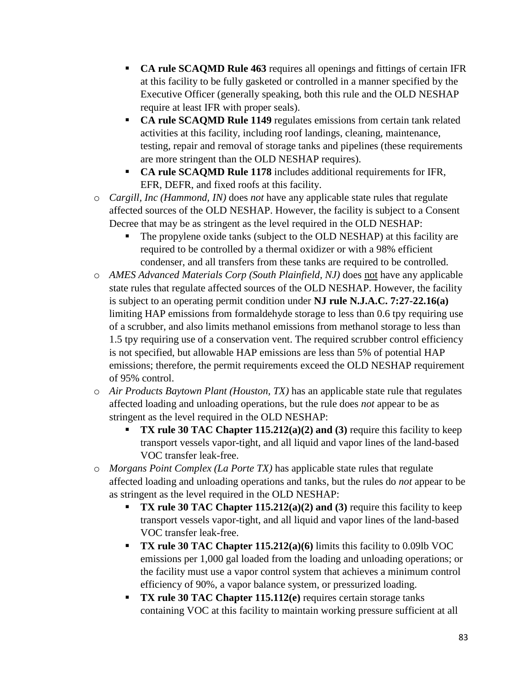- **CA rule SCAQMD Rule 463** requires all openings and fittings of certain IFR at this facility to be fully gasketed or controlled in a manner specified by the Executive Officer (generally speaking, both this rule and the OLD NESHAP require at least IFR with proper seals).
- **CA rule SCAQMD Rule 1149** regulates emissions from certain tank related activities at this facility, including roof landings, cleaning, maintenance, testing, repair and removal of storage tanks and pipelines (these requirements are more stringent than the OLD NESHAP requires).
- CA rule SCAQMD Rule 1178 includes additional requirements for IFR, EFR, DEFR, and fixed roofs at this facility.
- o *Cargill, Inc (Hammond, IN)* does *not* have any applicable state rules that regulate affected sources of the OLD NESHAP. However, the facility is subject to a Consent Decree that may be as stringent as the level required in the OLD NESHAP:
	- The propylene oxide tanks (subject to the OLD NESHAP) at this facility are required to be controlled by a thermal oxidizer or with a 98% efficient condenser, and all transfers from these tanks are required to be controlled.
- o *AMES Advanced Materials Corp (South Plainfield, NJ)* does not have any applicable state rules that regulate affected sources of the OLD NESHAP. However, the facility is subject to an operating permit condition under **NJ rule N.J.A.C. 7:27-22.16(a)** limiting HAP emissions from formaldehyde storage to less than 0.6 tpy requiring use of a scrubber, and also limits methanol emissions from methanol storage to less than 1.5 tpy requiring use of a conservation vent. The required scrubber control efficiency is not specified, but allowable HAP emissions are less than 5% of potential HAP emissions; therefore, the permit requirements exceed the OLD NESHAP requirement of 95% control.
- o *Air Products Baytown Plant (Houston, TX)* has an applicable state rule that regulates affected loading and unloading operations, but the rule does *not* appear to be as stringent as the level required in the OLD NESHAP:
	- **TX rule 30 TAC Chapter**  $115.212(a)(2)$  **and (3) require this facility to keep** transport vessels vapor-tight, and all liquid and vapor lines of the land-based VOC transfer leak-free.
- o *Morgans Point Complex (La Porte TX)* has applicable state rules that regulate affected loading and unloading operations and tanks, but the rules do *not* appear to be as stringent as the level required in the OLD NESHAP:
	- **TX rule 30 TAC Chapter 115.212(a)(2) and (3) require this facility to keep** transport vessels vapor-tight, and all liquid and vapor lines of the land-based VOC transfer leak-free.
	- **TX rule 30 TAC Chapter 115.212(a)(6)** limits this facility to 0.09lb VOC emissions per 1,000 gal loaded from the loading and unloading operations; or the facility must use a vapor control system that achieves a minimum control efficiency of 90%, a vapor balance system, or pressurized loading.
	- **TX rule 30 TAC Chapter 115.112(e)** requires certain storage tanks containing VOC at this facility to maintain working pressure sufficient at all